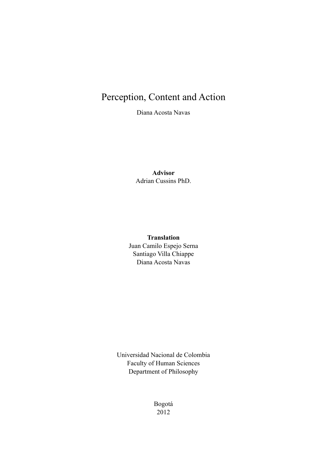# Perception, Content and Action

Diana Acosta Navas

## **Advisor** Adrian Cussins PhD.

## **Translation**

Juan Camilo Espejo Serna Santiago Villa Chiappe Diana Acosta Navas

Universidad Nacional de Colombia Faculty of Human Sciences Department of Philosophy

> Bogotá 2012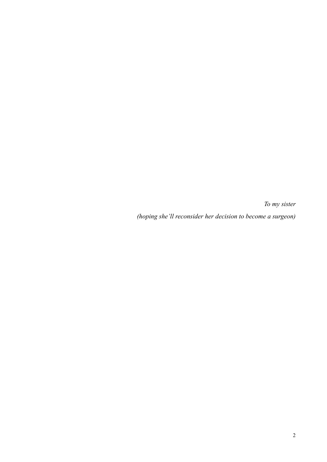*To my sister*

*(hoping she'll reconsider her decision to become a surgeon)*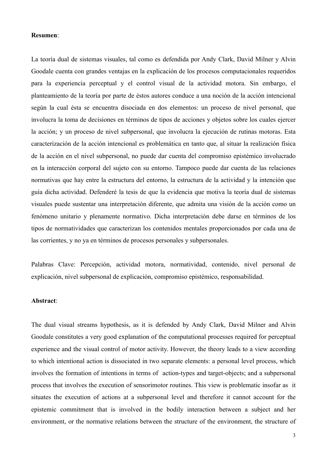#### **Resumen**:

La teoría dual de sistemas visuales, tal como es defendida por Andy Clark, David Milner y Alvin Goodale cuenta con grandes ventajas en la explicación de los procesos computacionales requeridos para la experiencia perceptual y el control visual de la actividad motora. Sin embargo, el planteamiento de la teoría por parte de éstos autores conduce a una noción de la acción intencional según la cual ésta se encuentra disociada en dos elementos: un proceso de nivel personal, que involucra la toma de decisiones en términos de tipos de acciones y objetos sobre los cuales ejercer la acción; y un proceso de nivel subpersonal, que involucra la ejecución de rutinas motoras. Esta caracterización de la acción intencional es problemática en tanto que, al situar la realización física de la acción en el nivel subpersonal, no puede dar cuenta del compromiso epistémico involucrado en la interacción corporal del sujeto con su entorno. Tampoco puede dar cuenta de las relaciones normativas que hay entre la estructura del entorno, la estructura de la actividad y la intención que guía dicha actividad. Defenderé la tesis de que la evidencia que motiva la teoría dual de sistemas visuales puede sustentar una interpretación diferente, que admita una visión de la acción como un fenómeno unitario y plenamente normativo. Dicha interpretación debe darse en términos de los tipos de normatividades que caracterizan los contenidos mentales proporcionados por cada una de las corrientes, y no ya en términos de procesos personales y subpersonales.

Palabras Clave: Percepción, actividad motora, normatividad, contenido, nivel personal de explicación, nivel subpersonal de explicación, compromiso epistémico, responsabilidad.

#### **Abstract**:

The dual visual streams hypothesis, as it is defended by Andy Clark, David Milner and Alvin Goodale constitutes a very good explanation of the computational processes required for perceptual experience and the visual control of motor activity. However, the theory leads to a view according to which intentional action is dissociated in two separate elements: a personal level process, which involves the formation of intentions in terms of action-types and target-objects; and a subpersonal process that involves the execution of sensorimotor routines. This view is problematic insofar as it situates the execution of actions at a subpersonal level and therefore it cannot account for the epistemic commitment that is involved in the bodily interaction between a subject and her environment, or the normative relations between the structure of the environment, the structure of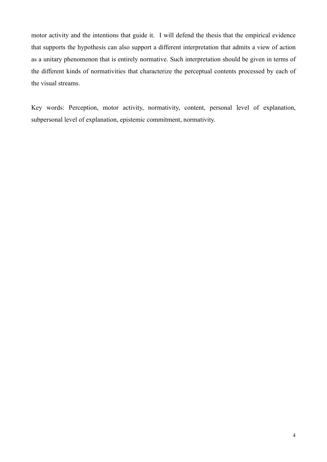motor activity and the intentions that guide it. I will defend the thesis that the empirical evidence that supports the hypothesis can also support a different interpretation that admits a view of action as a unitary phenomenon that is entirely normative. Such interpretation should be given in terms of the different kinds of normativities that characterize the perceptual contents processed by each of the visual streams.

Key words: Perception, motor activity, normativity, content, personal level of explanation, subpersonal level of explanation, epistemic commitment, normativity.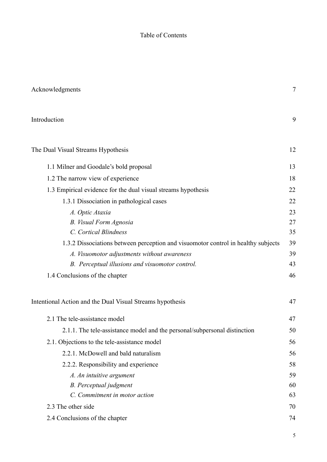## Table of Contents

| Acknowledgments                                                                   | $\overline{7}$ |
|-----------------------------------------------------------------------------------|----------------|
| Introduction                                                                      | 9              |
| The Dual Visual Streams Hypothesis                                                | 12             |
| 1.1 Milner and Goodale's bold proposal                                            | 13             |
| 1.2 The narrow view of experience                                                 | 18             |
| 1.3 Empirical evidence for the dual visual streams hypothesis                     | 22             |
| 1.3.1 Dissociation in pathological cases                                          | 22             |
| A. Optic Ataxia                                                                   | 23             |
| <b>B.</b> Visual Form Agnosia                                                     | 27             |
| C. Cortical Blindness                                                             | 35             |
| 1.3.2 Dissociations between perception and visuomotor control in healthy subjects | 39             |
| A. Visuomotor adjustments without awareness                                       | 39             |
| B. Perceptual illusions and visuomotor control.                                   | 43             |
| 1.4 Conclusions of the chapter                                                    | 46             |
| Intentional Action and the Dual Visual Streams hypothesis                         | 47             |
| 2.1 The tele-assistance model                                                     | 47             |
| 2.1.1. The tele-assistance model and the personal/subpersonal distinction         | 50             |
| 2.1. Objections to the tele-assistance model                                      | 56             |
| 2.2.1. McDowell and bald naturalism                                               | 56             |
| 2.2.2. Responsibility and experience                                              | 58             |
| A. An intuitive argument                                                          | 59             |
| <b>B.</b> Perceptual judgment                                                     | 60             |
| C. Commitment in motor action                                                     | 63             |
| 2.3 The other side                                                                | 70             |
| 2.4 Conclusions of the chapter                                                    | 74             |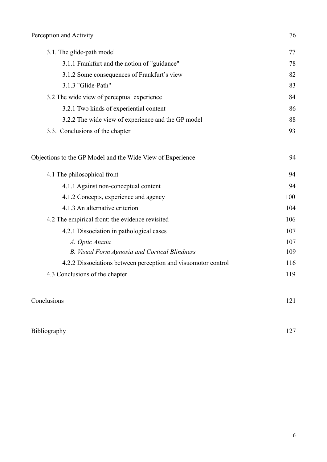| 3.1. The glide-path model                                     | 77  |
|---------------------------------------------------------------|-----|
| 3.1.1 Frankfurt and the notion of "guidance"                  | 78  |
| 3.1.2 Some consequences of Frankfurt's view                   | 82  |
| 3.1.3 "Glide-Path"                                            | 83  |
| 3.2 The wide view of perceptual experience                    | 84  |
| 3.2.1 Two kinds of experiential content                       | 86  |
| 3.2.2 The wide view of experience and the GP model            | 88  |
| 3.3. Conclusions of the chapter                               | 93  |
| Objections to the GP Model and the Wide View of Experience    | 94  |
| 4.1 The philosophical front                                   | 94  |
| 4.1.1 Against non-conceptual content                          | 94  |
| 4.1.2 Concepts, experience and agency                         | 100 |
| 4.1.3 An alternative criterion                                | 104 |
| 4.2 The empirical front: the evidence revisited               | 106 |
| 4.2.1 Dissociation in pathological cases                      | 107 |
| A. Optic Ataxia                                               | 107 |
| B. Visual Form Agnosia and Cortical Blindness                 | 109 |
| 4.2.2 Dissociations between perception and visuomotor control | 116 |
| 4.3 Conclusions of the chapter                                | 119 |
| Conclusions                                                   | 121 |

## [Bibliography 127](#page-126-0)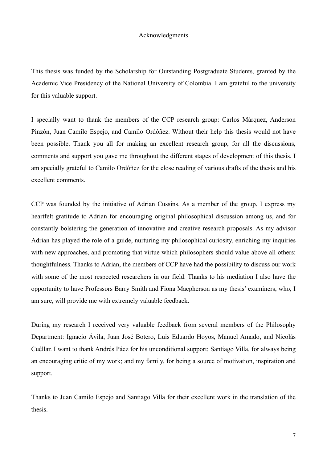#### <span id="page-6-0"></span>Acknowledgments

This thesis was funded by the Scholarship for Outstanding Postgraduate Students, granted by the Academic Vice Presidency of the National University of Colombia. I am grateful to the university for this valuable support.

I specially want to thank the members of the CCP research group: Carlos Márquez, Anderson Pinzón, Juan Camilo Espejo, and Camilo Ordóñez. Without their help this thesis would not have been possible. Thank you all for making an excellent research group, for all the discussions, comments and support you gave me throughout the different stages of development of this thesis. I am specially grateful to Camilo Ordóñez for the close reading of various drafts of the thesis and his excellent comments.

CCP was founded by the initiative of Adrian Cussins. As a member of the group, I express my heartfelt gratitude to Adrian for encouraging original philosophical discussion among us, and for constantly bolstering the generation of innovative and creative research proposals. As my advisor Adrian has played the role of a guide, nurturing my philosophical curiosity, enriching my inquiries with new approaches, and promoting that virtue which philosophers should value above all others: thoughtfulness. Thanks to Adrian, the members of CCP have had the possibility to discuss our work with some of the most respected researchers in our field. Thanks to his mediation I also have the opportunity to have Professors Barry Smith and Fiona Macpherson as my thesis' examiners, who, I am sure, will provide me with extremely valuable feedback.

During my research I received very valuable feedback from several members of the Philosophy Department: Ignacio Ávila, Juan José Botero, Luis Eduardo Hoyos, Manuel Amado, and Nicolás Cuéllar. I want to thank Andrés Páez for his unconditional support; Santiago Villa, for always being an encouraging critic of my work; and my family, for being a source of motivation, inspiration and support.

Thanks to Juan Camilo Espejo and Santiago Villa for their excellent work in the translation of the thesis.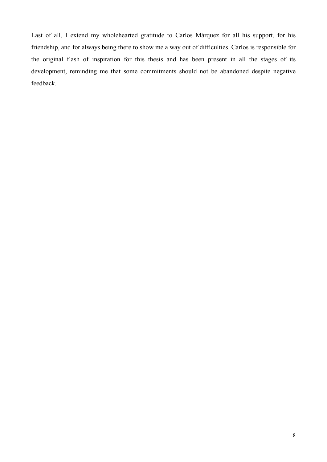Last of all, I extend my wholehearted gratitude to Carlos Márquez for all his support, for his friendship, and for always being there to show me a way out of difficulties. Carlos is responsible for the original flash of inspiration for this thesis and has been present in all the stages of its development, reminding me that some commitments should not be abandoned despite negative feedback.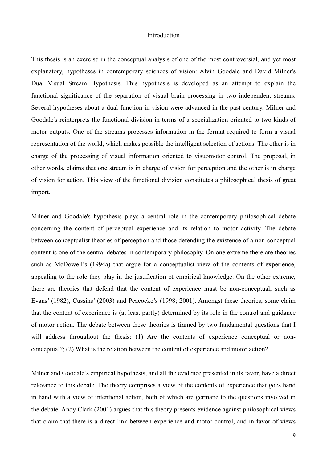#### <span id="page-8-0"></span>Introduction

This thesis is an exercise in the conceptual analysis of one of the most controversial, and yet most explanatory, hypotheses in contemporary sciences of vision: Alvin Goodale and David Milner's Dual Visual Stream Hypothesis. This hypothesis is developed as an attempt to explain the functional significance of the separation of visual brain processing in two independent streams. Several hypotheses about a dual function in vision were advanced in the past century. Milner and Goodale's reinterprets the functional division in terms of a specialization oriented to two kinds of motor outputs*.* One of the streams processes information in the format required to form a visual representation of the world, which makes possible the intelligent selection of actions. The other is in charge of the processing of visual information oriented to visuomotor control. The proposal, in other words, claims that one stream is in charge of vision for perception and the other is in charge of vision for action. This view of the functional division constitutes a philosophical thesis of great import.

Milner and Goodale's hypothesis plays a central role in the contemporary philosophical debate concerning the content of perceptual experience and its relation to motor activity. The debate between conceptualist theories of perception and those defending the existence of a non-conceptual content is one of the central debates in contemporary philosophy. On one extreme there are theories such as McDowell's (1994a) that argue for a conceptualist view of the contents of experience, appealing to the role they play in the justification of empirical knowledge. On the other extreme, there are theories that defend that the content of experience must be non-conceptual, such as Evans' (1982), Cussins' (2003) and Peacocke's (1998; 2001). Amongst these theories, some claim that the content of experience is (at least partly) determined by its role in the control and guidance of motor action. The debate between these theories is framed by two fundamental questions that I will address throughout the thesis: (1) Are the contents of experience conceptual or nonconceptual?; (2) What is the relation between the content of experience and motor action?

Milner and Goodale's empirical hypothesis, and all the evidence presented in its favor, have a direct relevance to this debate. The theory comprises a view of the contents of experience that goes hand in hand with a view of intentional action, both of which are germane to the questions involved in the debate. Andy Clark (2001) argues that this theory presents evidence against philosophical views that claim that there is a direct link between experience and motor control, and in favor of views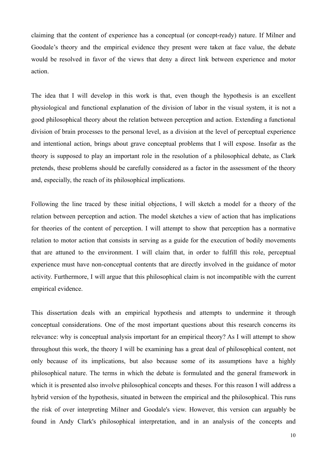claiming that the content of experience has a conceptual (or concept-ready) nature. If Milner and Goodale's theory and the empirical evidence they present were taken at face value, the debate would be resolved in favor of the views that deny a direct link between experience and motor action.

The idea that I will develop in this work is that, even though the hypothesis is an excellent physiological and functional explanation of the division of labor in the visual system, it is not a good philosophical theory about the relation between perception and action. Extending a functional division of brain processes to the personal level, as a division at the level of perceptual experience and intentional action, brings about grave conceptual problems that I will expose. Insofar as the theory is supposed to play an important role in the resolution of a philosophical debate, as Clark pretends, these problems should be carefully considered as a factor in the assessment of the theory and, especially, the reach of its philosophical implications.

Following the line traced by these initial objections, I will sketch a model for a theory of the relation between perception and action. The model sketches a view of action that has implications for theories of the content of perception. I will attempt to show that perception has a normative relation to motor action that consists in serving as a guide for the execution of bodily movements that are attuned to the environment. I will claim that, in order to fulfill this role, perceptual experience must have non-conceptual contents that are directly involved in the guidance of motor activity. Furthermore, I will argue that this philosophical claim is not incompatible with the current empirical evidence.

This dissertation deals with an empirical hypothesis and attempts to undermine it through conceptual considerations. One of the most important questions about this research concerns its relevance: why is conceptual analysis important for an empirical theory? As I will attempt to show throughout this work, the theory I will be examining has a great deal of philosophical content, not only because of its implications, but also because some of its assumptions have a highly philosophical nature. The terms in which the debate is formulated and the general framework in which it is presented also involve philosophical concepts and theses. For this reason I will address a hybrid version of the hypothesis, situated in between the empirical and the philosophical. This runs the risk of over interpreting Milner and Goodale's view. However, this version can arguably be found in Andy Clark's philosophical interpretation, and in an analysis of the concepts and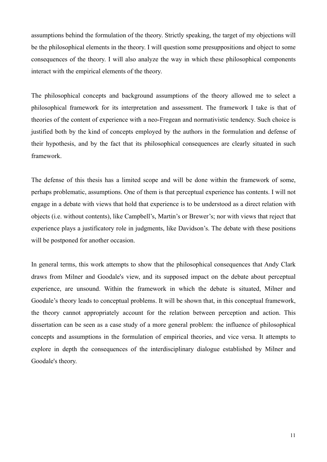assumptions behind the formulation of the theory. Strictly speaking, the target of my objections will be the philosophical elements in the theory. I will question some presuppositions and object to some consequences of the theory. I will also analyze the way in which these philosophical components interact with the empirical elements of the theory.

The philosophical concepts and background assumptions of the theory allowed me to select a philosophical framework for its interpretation and assessment. The framework I take is that of theories of the content of experience with a neo-Fregean and normativistic tendency. Such choice is justified both by the kind of concepts employed by the authors in the formulation and defense of their hypothesis, and by the fact that its philosophical consequences are clearly situated in such framework.

The defense of this thesis has a limited scope and will be done within the framework of some, perhaps problematic, assumptions. One of them is that perceptual experience has contents. I will not engage in a debate with views that hold that experience is to be understood as a direct relation with objects (i.e. without contents), like Campbell's, Martin's or Brewer's; nor with views that reject that experience plays a justificatory role in judgments, like Davidson's. The debate with these positions will be postponed for another occasion.

In general terms, this work attempts to show that the philosophical consequences that Andy Clark draws from Milner and Goodale's view, and its supposed impact on the debate about perceptual experience, are unsound. Within the framework in which the debate is situated, Milner and Goodale's theory leads to conceptual problems. It will be shown that, in this conceptual framework, the theory cannot appropriately account for the relation between perception and action. This dissertation can be seen as a case study of a more general problem: the influence of philosophical concepts and assumptions in the formulation of empirical theories, and vice versa. It attempts to explore in depth the consequences of the interdisciplinary dialogue established by Milner and Goodale's theory.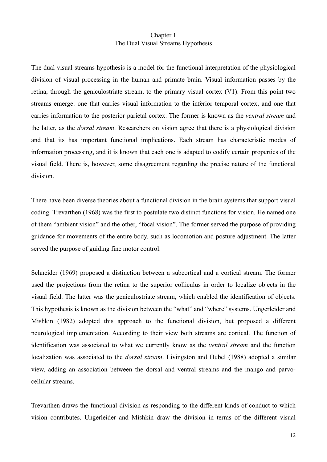## <span id="page-11-0"></span>Chapter 1 The Dual Visual Streams Hypothesis

The dual visual streams hypothesis is a model for the functional interpretation of the physiological division of visual processing in the human and primate brain. Visual information passes by the retina, through the geniculostriate stream, to the primary visual cortex (V1). From this point two streams emerge: one that carries visual information to the inferior temporal cortex, and one that carries information to the posterior parietal cortex. The former is known as the *ventral stream* and the latter, as the *dorsal stream*. Researchers on vision agree that there is a physiological division and that its has important functional implications. Each stream has characteristic modes of information processing, and it is known that each one is adapted to codify certain properties of the visual field. There is, however, some disagreement regarding the precise nature of the functional division.

There have been diverse theories about a functional division in the brain systems that support visual coding. Trevarthen (1968) was the first to postulate two distinct functions for vision. He named one of them "ambient vision" and the other, "focal vision". The former served the purpose of providing guidance for movements of the entire body, such as locomotion and posture adjustment. The latter served the purpose of guiding fine motor control.

Schneider (1969) proposed a distinction between a subcortical and a cortical stream. The former used the projections from the retina to the superior colliculus in order to localize objects in the visual field. The latter was the geniculostriate stream, which enabled the identification of objects. This hypothesis is known as the division between the "what" and "where" systems. Ungerleider and Mishkin (1982) adopted this approach to the functional division, but proposed a different neurological implementation. According to their view both streams are cortical. The function of identification was associated to what we currently know as the *ventral stream* and the function localization was associated to the *dorsal stream*. Livingston and Hubel (1988) adopted a similar view, adding an association between the dorsal and ventral streams and the mango and parvocellular streams.

Trevarthen draws the functional division as responding to the different kinds of conduct to which vision contributes. Ungerleider and Mishkin draw the division in terms of the different visual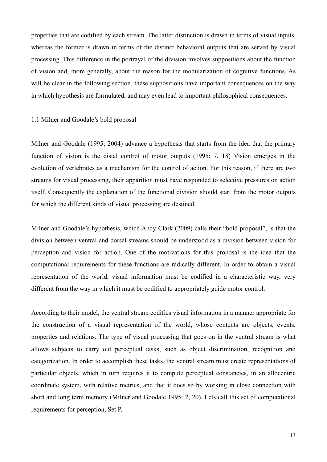properties that are codified by each stream. The latter distinction is drawn in terms of visual inputs, whereas the former is drawn in terms of the distinct behavioral outputs that are served by visual processing. This difference in the portrayal of the division involves suppositions about the function of vision and, more generally, about the reason for the modularization of cognitive functions. As will be clear in the following section, these suppositions have important consequences on the way in which hypothesis are formulated, and may even lead to important philosophical consequences.

#### <span id="page-12-0"></span>1.1 Milner and Goodale's bold proposal

Milner and Goodale (1995; 2004) advance a hypothesis that starts from the idea that the primary function of vision is the distal control of motor outputs (1995: 7, 18) Vision emerges in the evolution of vertebrates as a mechanism for the control of action. For this reason, if there are two streams for visual processing, their apparition must have responded to selective pressures on action itself. Consequently the explanation of the functional division should start from the motor outputs for which the different kinds of visual processing are destined.

Milner and Goodale's hypothesis, which Andy Clark (2009) calls their "bold proposal", is that the division between ventral and dorsal streams should be understood as a division between vision for perception and vision for action. One of the motivations for this proposal is the idea that the computational requirements for these functions are radically different. In order to obtain a visual representation of the world, visual information must be codified in a characteristic way, very different from the way in which it must be codified to appropriately guide motor control.

According to their model, the ventral stream codifies visual information in a manner appropriate for the construction of a visual representation of the world, whose contents are objects, events, properties and relations. The type of visual processing that goes on in the ventral stream is what allows subjects to carry out perceptual tasks, such as object discrimination, recognition and categorization. In order to accomplish these tasks, the ventral stream must create representations of particular objects, which in turn requires it to compute perceptual constancies, in an allocentric coordinate system, with relative metrics, and that it does so by working in close connection with short and long term memory (Milner and Goodale 1995: 2, 20). Lets call this set of computational requirements for perception, Set P.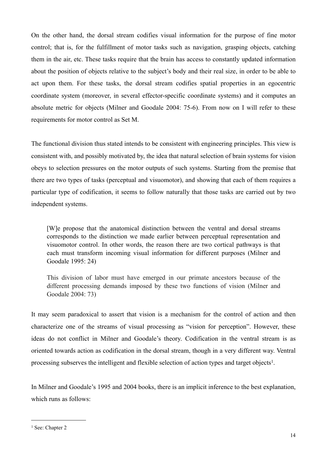On the other hand, the dorsal stream codifies visual information for the purpose of fine motor control; that is, for the fulfillment of motor tasks such as navigation, grasping objects, catching them in the air, etc. These tasks require that the brain has access to constantly updated information about the position of objects relative to the subject's body and their real size, in order to be able to act upon them. For these tasks, the dorsal stream codifies spatial properties in an egocentric coordinate system (moreover, in several effector-specific coordinate systems) and it computes an absolute metric for objects (Milner and Goodale 2004: 75-6). From now on I will refer to these requirements for motor control as Set M.

The functional division thus stated intends to be consistent with engineering principles. This view is consistent with, and possibly motivated by, the idea that natural selection of brain systems for vision obeys to selection pressures on the motor outputs of such systems. Starting from the premise that there are two types of tasks (perceptual and visuomotor), and showing that each of them requires a particular type of codification, it seems to follow naturally that those tasks are carried out by two independent systems.

[W]e propose that the anatomical distinction between the ventral and dorsal streams corresponds to the distinction we made earlier between perceptual representation and visuomotor control. In other words, the reason there are two cortical pathways is that each must transform incoming visual information for different purposes (Milner and Goodale 1995: 24)

This division of labor must have emerged in our primate ancestors because of the different processing demands imposed by these two functions of vision (Milner and Goodale 2004: 73)

It may seem paradoxical to assert that vision is a mechanism for the control of action and then characterize one of the streams of visual processing as "vision for perception". However, these ideas do not conflict in Milner and Goodale's theory. Codification in the ventral stream is as oriented towards action as codification in the dorsal stream, though in a very different way. Ventral processing subserves the intelligent and flexible selection of action types and target objects<sup>1</sup>.

In Milner and Goodale's 1995 and 2004 books, there is an implicit inference to the best explanation, which runs as follows:

<span id="page-13-0"></span><sup>&</sup>lt;sup>1</sup> See: Chapter 2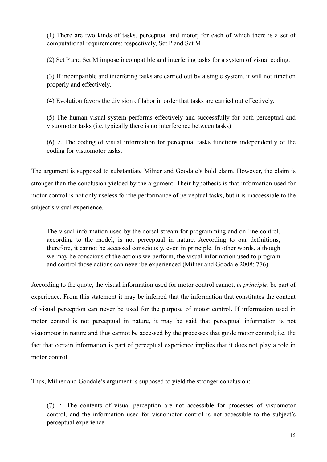(1) There are two kinds of tasks, perceptual and motor, for each of which there is a set of computational requirements: respectively, Set P and Set M

(2) Set P and Set M impose incompatible and interfering tasks for a system of visual coding.

(3) If incompatible and interfering tasks are carried out by a single system, it will not function properly and effectively.

(4) Evolution favors the division of labor in order that tasks are carried out effectively.

(5) The human visual system performs effectively and successfully for both perceptual and visuomotor tasks (i.e. typically there is no interference between tasks)

(6) ∴ The coding of visual information for perceptual tasks functions independently of the coding for visuomotor tasks.

The argument is supposed to substantiate Milner and Goodale's bold claim. However, the claim is stronger than the conclusion yielded by the argument. Their hypothesis is that information used for motor control is not only useless for the performance of perceptual tasks, but it is inaccessible to the subject's visual experience.

The visual information used by the dorsal stream for programming and on-line control, according to the model, is not perceptual in nature. According to our definitions, therefore, it cannot be accessed consciously, even in principle. In other words, although we may be conscious of the actions we perform, the visual information used to program and control those actions can never be experienced (Milner and Goodale 2008: 776).

According to the quote, the visual information used for motor control cannot, *in principle*, be part of experience. From this statement it may be inferred that the information that constitutes the content of visual perception can never be used for the purpose of motor control. If information used in motor control is not perceptual in nature, it may be said that perceptual information is not visuomotor in nature and thus cannot be accessed by the processes that guide motor control; i.e. the fact that certain information is part of perceptual experience implies that it does not play a role in motor control.

Thus, Milner and Goodale's argument is supposed to yield the stronger conclusion:

(7) ∴ The contents of visual perception are not accessible for processes of visuomotor control, and the information used for visuomotor control is not accessible to the subject's perceptual experience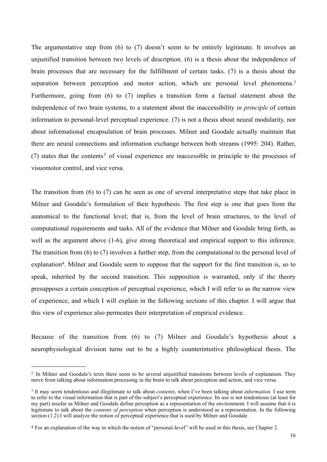The argumentative step from (6) to (7) doesn't seem to be entirely legitimate. It involves an unjustified transition between two levels of description. (6) is a thesis about the independence of brain processes that are necessary for the fulfillment of certain tasks. (7) is a thesis about the separation between perception and motor action, which are personal level phenomena.<sup>[2](#page-15-0)</sup> Furthermore, going from (6) to (7) implies a transition form a factual statement about the independence of two brain systems, to a statement about the inaccessibility *in principle* of certain information to personal-level perceptual experience. (7) is not a thesis about neural modularity, nor about informational encapsulation of brain processes. Milner and Goodale actually maintain that there are neural connections and information exchange between both streams (1995: 204). Rather,  $(7)$  states that the contents<sup>3</sup> of visual experience are inaccessible in principle to the processes of visuomotor control, and vice versa.

The transition from (6) to (7) can be seen as one of several interpretative steps that take place in Milner and Goodale's formulation of their hypothesis. The first step is one that goes from the anatomical to the functional level; that is, from the level of brain structures, to the level of computational requirements and tasks. All of the evidence that Milner and Goodale bring forth, as well as the argument above  $(1-6)$ , give strong theoretical and empirical support to this inference. The transition from (6) to (7) involves a further step, from the computational to the personal level of explanation<sup>4</sup>. Milner and Goodale seem to suppose that the support for the first transition is, so to speak, inherited by the second transition. This supposition is warranted, only if the theory presupposes a certain conception of perceptual experience, which I will refer to as the narrow view of experience, and which I will explain in the following sections of this chapter. I will argue that this view of experience also permeates their interpretation of empirical evidence.

Because of the transition from (6) to (7) Milner and Goodale's hypothesis about a neurophysiological division turns out to be a highly counterintuitive philosophical thesis. The

<span id="page-15-0"></span><sup>&</sup>lt;sup>2</sup> In Milner and Goodale's texts there seem to be several unjustified transitions between levels of explanation. They move from talking about information processing in the brain to talk about perception and action, and vice versa.

<span id="page-15-1"></span><sup>3</sup> It may seem tendentious and illegitimate to talk about *contents*, when I've been talking about *information.* I use term to refer to the visual information that is part of the subject's perceptual experience. Its use is not tendentious (at least for my part) insofar as Milner and Goodale define perception as a representation of the environment. I will assume that it is legitimate to talk about the *contents of perception* when perception is understood as a representation. In the following section (1.2) I will analyze the notion of perceptual experience that is used by Milner and Goodale.

<span id="page-15-2"></span><sup>4</sup> For an explanation of the way in which the notion of "personal-level" will be used in this thesis, see Chapter 2.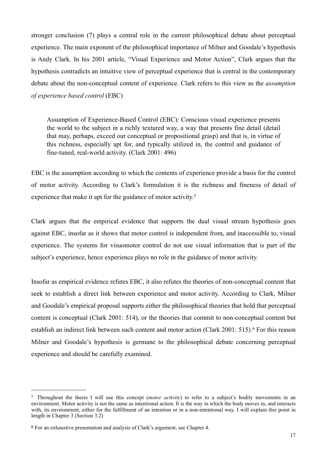stronger conclusion (7) plays a central role in the current philosophical debate about perceptual experience. The main exponent of the philosophical importance of Milner and Goodale's hypothesis is Andy Clark. In his 2001 article, "Visual Experience and Motor Action", Clark argues that the hypothesis contradicts an intuitive view of perceptual experience that is central in the contemporary debate about the non-conceptual content of experience. Clark refers to this view as the *assumption of experience based control* (EBC)

Assumption of Experience-Based Control (EBC): Conscious visual experience presents the world to the subject in a richly textured way, a way that presents fine detail (detail that may, perhaps, exceed our conceptual or propositional grasp) and that is, in virtue of this richness, especially apt for, and typically utilized in, the control and guidance of fine-tuned, real-world activity. (Clark 2001: 496)

EBC is the assumption according to which the contents of experience provide a basis for the control of motor activity. According to Clark's formulation it is the richness and fineness of detail of experience that make it apt for the guidance of motor activity.<sup>[5](#page-16-0)</sup>

Clark argues that the empirical evidence that supports the dual visual stream hypothesis goes against EBC, insofar as it shows that motor control is independent from, and inaccessible to, visual experience. The systems for visuomotor control do not use visual information that is part of the subject's experience, hence experience plays no role in the guidance of motor activity.

Insofar as empirical evidence refutes EBC, it also refutes the theories of non-conceptual content that seek to establish a direct link between experience and motor activity. According to Clark, Milner and Goodale's empirical proposal supports either the philosophical theories that hold that perceptual content is conceptual (Clark 2001: 514), or the theories that commit to non-conceptual content but establish an indirect link between such content and motor action (Clark 2001: 515).<sup>6</sup> For this reason Milner and Goodale's hypothesis is germane to the philosophical debate concerning perceptual experience and should be carefully examined.

<span id="page-16-0"></span><sup>5</sup> Throughout the thesis I will use this concept (*motor activity*) to refer to a subject's bodily movements in an environment. Motor activity is not the same as intentional action. It is the way in which the body moves in, and interacts with, its environment, either for the fulfillment of an intention or in a non-intentional way. I will explain this point in length in Chapter 3 (Section 3.2)

<span id="page-16-1"></span><sup>6</sup> For an exhaustive presentation and analysis of Clark's argument, see Chapter 4.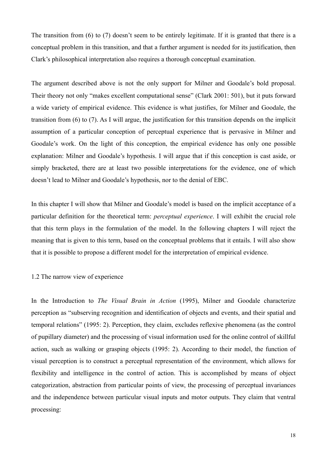The transition from (6) to (7) doesn't seem to be entirely legitimate. If it is granted that there is a conceptual problem in this transition, and that a further argument is needed for its justification, then Clark's philosophical interpretation also requires a thorough conceptual examination.

The argument described above is not the only support for Milner and Goodale's bold proposal. Their theory not only "makes excellent computational sense" (Clark 2001: 501), but it puts forward a wide variety of empirical evidence. This evidence is what justifies, for Milner and Goodale, the transition from (6) to (7). As I will argue, the justification for this transition depends on the implicit assumption of a particular conception of perceptual experience that is pervasive in Milner and Goodale's work. On the light of this conception, the empirical evidence has only one possible explanation: Milner and Goodale's hypothesis. I will argue that if this conception is cast aside, or simply bracketed, there are at least two possible interpretations for the evidence, one of which doesn't lead to Milner and Goodale's hypothesis, nor to the denial of EBC.

In this chapter I will show that Milner and Goodale's model is based on the implicit acceptance of a particular definition for the theoretical term: *perceptual experience*. I will exhibit the crucial role that this term plays in the formulation of the model. In the following chapters I will reject the meaning that is given to this term, based on the conceptual problems that it entails. I will also show that it is possible to propose a different model for the interpretation of empirical evidence.

#### <span id="page-17-0"></span>1.2 The narrow view of experience

In the Introduction to *The Visual Brain in Action* (1995), Milner and Goodale characterize perception as "subserving recognition and identification of objects and events, and their spatial and temporal relations" (1995: 2). Perception, they claim, excludes reflexive phenomena (as the control of pupillary diameter) and the processing of visual information used for the online control of skillful action, such as walking or grasping objects (1995: 2). According to their model, the function of visual perception is to construct a perceptual representation of the environment, which allows for flexibility and intelligence in the control of action. This is accomplished by means of object categorization, abstraction from particular points of view, the processing of perceptual invariances and the independence between particular visual inputs and motor outputs. They claim that ventral processing: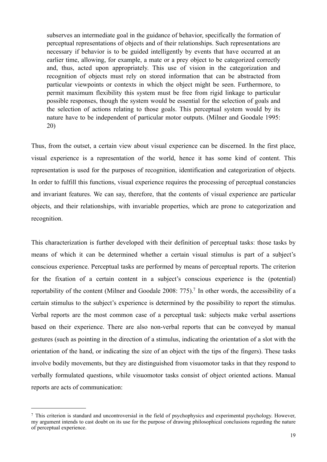subserves an intermediate goal in the guidance of behavior, specifically the formation of perceptual representations of objects and of their relationships. Such representations are necessary if behavior is to be guided intelligently by events that have occurred at an earlier time, allowing, for example, a mate or a prey object to be categorized correctly and, thus, acted upon appropriately. This use of vision in the categorization and recognition of objects must rely on stored information that can be abstracted from particular viewpoints or contexts in which the object might be seen. Furthermore, to permit maximum flexibility this system must be free from rigid linkage to particular possible responses, though the system would be essential for the selection of goals and the selection of actions relating to those goals. This perceptual system would by its nature have to be independent of particular motor outputs. (Milner and Goodale 1995: 20)

Thus, from the outset, a certain view about visual experience can be discerned. In the first place, visual experience is a representation of the world, hence it has some kind of content. This representation is used for the purposes of recognition, identification and categorization of objects. In order to fulfill this functions, visual experience requires the processing of perceptual constancies and invariant features. We can say, therefore, that the contents of visual experience are particular objects, and their relationships, with invariable properties, which are prone to categorization and recognition.

This characterization is further developed with their definition of perceptual tasks: those tasks by means of which it can be determined whether a certain visual stimulus is part of a subject's conscious experience. Perceptual tasks are performed by means of perceptual reports. The criterion for the fixation of a certain content in a subject's conscious experience is the (potential) reportability of the content (Milner and Goodale 2008: 775)[.7](#page-18-0) In other words, the accessibility of a certain stimulus to the subject's experience is determined by the possibility to report the stimulus. Verbal reports are the most common case of a perceptual task: subjects make verbal assertions based on their experience. There are also non-verbal reports that can be conveyed by manual gestures (such as pointing in the direction of a stimulus, indicating the orientation of a slot with the orientation of the hand, or indicating the size of an object with the tips of the fingers). These tasks involve bodily movements, but they are distinguished from visuomotor tasks in that they respond to verbally formulated questions, while visuomotor tasks consist of object oriented actions. Manual reports are acts of communication:

<span id="page-18-0"></span><sup>7</sup> This criterion is standard and uncontroversial in the field of psychophysics and experimental psychology. However, my argument intends to cast doubt on its use for the purpose of drawing philosophical conclusions regarding the nature of perceptual experience.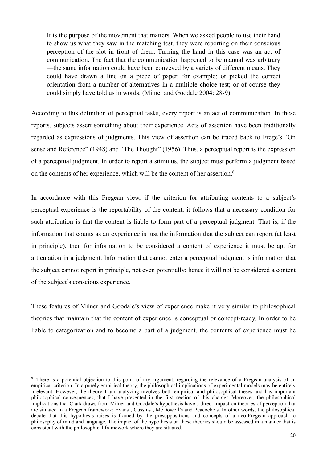It is the purpose of the movement that matters. When we asked people to use their hand to show us what they saw in the matching test, they were reporting on their conscious perception of the slot in front of them. Turning the hand in this case was an act of communication. The fact that the communication happened to be manual was arbitrary —the same information could have been conveyed by a variety of different means. They could have drawn a line on a piece of paper, for example; or picked the correct orientation from a number of alternatives in a multiple choice test; or of course they could simply have told us in words. (Milner and Goodale 2004: 28-9)

According to this definition of perceptual tasks, every report is an act of communication. In these reports, subjects assert something about their experience. Acts of assertion have been traditionally regarded as expressions of judgments. This view of assertion can be traced back to Frege's "On sense and Reference" (1948) and "The Thought" (1956). Thus, a perceptual report is the expression of a perceptual judgment. In order to report a stimulus, the subject must perform a judgment based on the contents of her experience, which will be the content of her assertion.<sup>8</sup>

In accordance with this Fregean view, if the criterion for attributing contents to a subject's perceptual experience is the reportability of the content, it follows that a necessary condition for such attribution is that the content is liable to form part of a perceptual judgment. That is, if the information that counts as an experience is just the information that the subject can report (at least in principle), then for information to be considered a content of experience it must be apt for articulation in a judgment. Information that cannot enter a perceptual judgment is information that the subject cannot report in principle, not even potentially; hence it will not be considered a content of the subject's conscious experience.

These features of Milner and Goodale's view of experience make it very similar to philosophical theories that maintain that the content of experience is conceptual or concept-ready. In order to be liable to categorization and to become a part of a judgment, the contents of experience must be

<span id="page-19-0"></span><sup>8</sup> There is a potential objection to this point of my argument, regarding the relevance of a Fregean analysis of an empirical criterion. In a purely empirical theory, the philosophical implications of experimental models may be entirely irrelevant. However, the theory I am analyzing involves both empirical and philosophical theses and has important philosophical consequences, that I have presented in the first section of this chapter. Moreover, the philosophical implications that Clark draws from Milner and Goodale's hypothesis have a direct impact on theories of perception that are situated in a Fregean framework: Evans', Cussins', McDowell's and Peacocke's. In other words, the philosophical debate that this hypothesis raises is framed by the presuppositions and concepts of a neo-Fregean approach to philosophy of mind and language. The impact of the hypothesis on these theories should be assessed in a manner that is consistent with the philosophical framework where they are situated.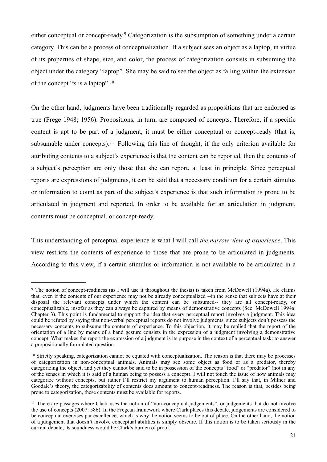either conceptual or concept-ready.[9](#page-20-0) Categorization is the subsumption of something under a certain category. This can be a process of conceptualization. If a subject sees an object as a laptop, in virtue of its properties of shape, size, and color, the process of categorization consists in subsuming the object under the category "laptop". She may be said to see the object as falling within the extension of the concept "x is a laptop".[10](#page-20-1)

On the other hand, judgments have been traditionally regarded as propositions that are endorsed as true (Frege 1948; 1956). Propositions, in turn, are composed of concepts. Therefore, if a specific content is apt to be part of a judgment, it must be either conceptual or concept-ready (that is, subsumable under concepts).<sup>11</sup> Following this line of thought, if the only criterion available for attributing contents to a subject's experience is that the content can be reported, then the contents of a subject's perception are only those that she can report, at least in principle. Since perceptual reports are expressions of judgments, it can be said that a necessary condition for a certain stimulus or information to count as part of the subject's experience is that such information is prone to be articulated in judgment and reported. In order to be available for an articulation in judgment, contents must be conceptual, or concept-ready.

This understanding of perceptual experience is what I will call *the narrow view of experience*. This view restricts the contents of experience to those that are prone to be articulated in judgments. According to this view, if a certain stimulus or information is not available to be articulated in a

<span id="page-20-0"></span><sup>9</sup> The notion of concept-readiness (as I will use it throughout the thesis) is taken from McDowell (1994a). He claims that, even if the contents of our experience may not be already conceptualized --in the sense that subjects have at their disposal the relevant concepts under which the content can be subsumed-- they are all concept-ready, or conceptualizable, insofar as they can always be captured by means of demonstrative concepts (See: McDowell 1994a: Chapter 3). This point is fundamental to support the idea that every perceptual report involves a judgment. This idea could be refuted by saying that non-verbal perceptual reports do not involve judgments, since subjects don't possess the necessary concepts to subsume the contents of experience. To this objection, it may be replied that the report of the orientation of a line by means of a hand gesture consists in the expression of a judgment involving a demonstrative concept. What makes the report the expression of a judgment is its purpose in the context of a perceptual task: to answer a propositionally formulated question.

<span id="page-20-1"></span><sup>&</sup>lt;sup>10</sup> Strictly speaking, categorization cannot be equated with conceptualization. The reason is that there may be processes of categorization in non-conceptual animals. Animals may see some object as food or as a predator, thereby categorizing the object, and yet they cannot be said to be in possession of the concepts "food" or "predator" (not in any of the senses in which it is said of a human being to possess a concept). I will not touch the issue of how animals may categorize without concepts, but rather I'll restrict my argument to human perception. I'll say that, in Milner and Goodale's theory, the categorizability of contents does amount to concept-readiness. The reason is that, besides being prone to categorization, these contents must be available for reports.

<span id="page-20-2"></span><sup>&</sup>lt;sup>11</sup> There are passages where Clark uses the notion of "non-conceptual judgements", or judgements that do not involve the use of concepts (2007: 586). In the Fregean framework where Clark places this debate, judgements are considered to be conceptual exercises par excellence, which is why the notion seems to be out of place. On the other hand, the notion of a judgement that doesn't involve conceptual abilities is simply obscure. If this notion is to be taken seriously in the current debate, its soundness would be Clark's burden of proof.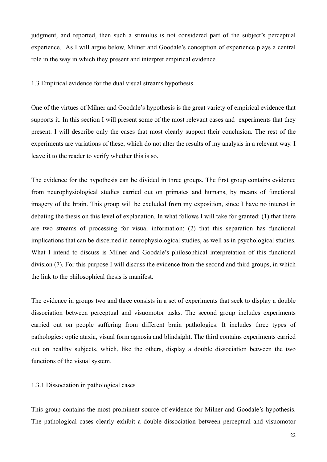judgment, and reported, then such a stimulus is not considered part of the subject's perceptual experience. As I will argue below, Milner and Goodale's conception of experience plays a central role in the way in which they present and interpret empirical evidence.

<span id="page-21-0"></span>1.3 Empirical evidence for the dual visual streams hypothesis

One of the virtues of Milner and Goodale's hypothesis is the great variety of empirical evidence that supports it. In this section I will present some of the most relevant cases and experiments that they present. I will describe only the cases that most clearly support their conclusion. The rest of the experiments are variations of these, which do not alter the results of my analysis in a relevant way. I leave it to the reader to verify whether this is so.

The evidence for the hypothesis can be divided in three groups. The first group contains evidence from neurophysiological studies carried out on primates and humans, by means of functional imagery of the brain. This group will be excluded from my exposition, since I have no interest in debating the thesis on this level of explanation. In what follows I will take for granted: (1) that there are two streams of processing for visual information; (2) that this separation has functional implications that can be discerned in neurophysiological studies, as well as in psychological studies. What I intend to discuss is Milner and Goodale's philosophical interpretation of this functional division (7). For this purpose I will discuss the evidence from the second and third groups, in which the link to the philosophical thesis is manifest.

The evidence in groups two and three consists in a set of experiments that seek to display a double dissociation between perceptual and visuomotor tasks. The second group includes experiments carried out on people suffering from different brain pathologies. It includes three types of pathologies: optic ataxia, visual form agnosia and blindsight. The third contains experiments carried out on healthy subjects, which, like the others, display a double dissociation between the two functions of the visual system.

#### <span id="page-21-1"></span>1.3.1 Dissociation in pathological cases

This group contains the most prominent source of evidence for Milner and Goodale's hypothesis. The pathological cases clearly exhibit a double dissociation between perceptual and visuomotor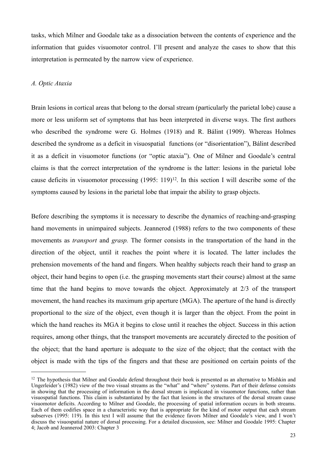tasks, which Milner and Goodale take as a dissociation between the contents of experience and the information that guides visuomotor control. I'll present and analyze the cases to show that this interpretation is permeated by the narrow view of experience.

#### <span id="page-22-0"></span>*A. Optic Ataxia*

Brain lesions in cortical areas that belong to the dorsal stream (particularly the parietal lobe) cause a more or less uniform set of symptoms that has been interpreted in diverse ways. The first authors who described the syndrome were G. Holmes (1918) and R. Bálint (1909). Whereas Holmes described the syndrome as a deficit in visuospatial functions (or "disorientation"), Bálint described it as a deficit in visuomotor functions (or "optic ataxia"). One of Milner and Goodale's central claims is that the correct interpretation of the syndrome is the latter: lesions in the parietal lobe cause deficits in visuomotor processing  $(1995: 119)^{12}$ . In this section I will describe some of the symptoms caused by lesions in the parietal lobe that impair the ability to grasp objects.

Before describing the symptoms it is necessary to describe the dynamics of reaching-and-grasping hand movements in unimpaired subjects. Jeannerod (1988) refers to the two components of these movements as *transport* and *grasp.* The former consists in the transportation of the hand in the direction of the object, until it reaches the point where it is located. The latter includes the prehension movements of the hand and fingers. When healthy subjects reach their hand to grasp an object, their hand begins to open (i.e. the grasping movements start their course) almost at the same time that the hand begins to move towards the object. Approximately at 2/3 of the transport movement, the hand reaches its maximum grip aperture (MGA). The aperture of the hand is directly proportional to the size of the object, even though it is larger than the object. From the point in which the hand reaches its MGA it begins to close until it reaches the object. Success in this action requires, among other things, that the transport movements are accurately directed to the position of the object; that the hand aperture is adequate to the size of the object; that the contact with the object is made with the tips of the fingers and that these are positioned on certain points of the

<span id="page-22-1"></span><sup>&</sup>lt;sup>12</sup> The hypothesis that Milner and Goodale defend throughout their book is presented as an alternative to Mishkin and Ungerleider's (1982) view of the two visual streams as the "what" and "where" systems. Part of their defense consists in showing that the processing of information in the dorsal stream is implicated in visuomotor functions, rather than visuospatial functions. This claim is substantiated by the fact that lesions in the structures of the dorsal stream cause visuomotor deficits. According to Milner and Goodale, the processing of spatial information occurs in both streams. Each of them codifies space in a characteristic way that is appropriate for the kind of motor output that each stream subserves (1995: 119). In this text I will assume that the evidence favors Milner and Goodale's view, and I won't discuss the visuospatial nature of dorsal processing. For a detailed discussion, see: Milner and Goodale 1995: Chapter 4; Jacob and Jeannerod 2003: Chapter 3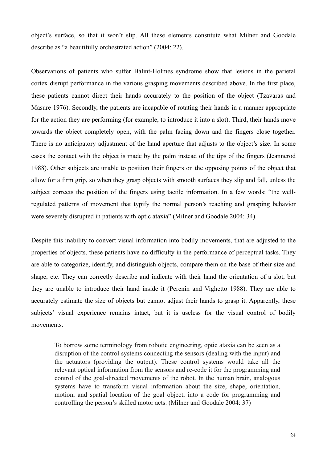object's surface, so that it won't slip. All these elements constitute what Milner and Goodale describe as "a beautifully orchestrated action" (2004: 22).

Observations of patients who suffer Bálint-Holmes syndrome show that lesions in the parietal cortex disrupt performance in the various grasping movements described above. In the first place, these patients cannot direct their hands accurately to the position of the object (Tzavaras and Masure 1976). Secondly, the patients are incapable of rotating their hands in a manner appropriate for the action they are performing (for example, to introduce it into a slot). Third, their hands move towards the object completely open, with the palm facing down and the fingers close together. There is no anticipatory adjustment of the hand aperture that adjusts to the object's size. In some cases the contact with the object is made by the palm instead of the tips of the fingers (Jeannerod 1988). Other subjects are unable to position their fingers on the opposing points of the object that allow for a firm grip, so when they grasp objects with smooth surfaces they slip and fall, unless the subject corrects the position of the fingers using tactile information. In a few words: "the wellregulated patterns of movement that typify the normal person's reaching and grasping behavior were severely disrupted in patients with optic ataxia" (Milner and Goodale 2004: 34).

Despite this inability to convert visual information into bodily movements, that are adjusted to the properties of objects, these patients have no difficulty in the performance of perceptual tasks. They are able to categorize, identify, and distinguish objects, compare them on the base of their size and shape, etc. They can correctly describe and indicate with their hand the orientation of a slot, but they are unable to introduce their hand inside it (Perenin and Vighetto 1988). They are able to accurately estimate the size of objects but cannot adjust their hands to grasp it. Apparently, these subjects' visual experience remains intact, but it is useless for the visual control of bodily movements.

To borrow some terminology from robotic engineering, optic ataxia can be seen as a disruption of the control systems connecting the sensors (dealing with the input) and the actuators (providing the output). These control systems would take all the relevant optical information from the sensors and re-code it for the programming and control of the goal-directed movements of the robot. In the human brain, analogous systems have to transform visual information about the size, shape, orientation, motion, and spatial location of the goal object, into a code for programming and controlling the person's skilled motor acts. (Milner and Goodale 2004: 37)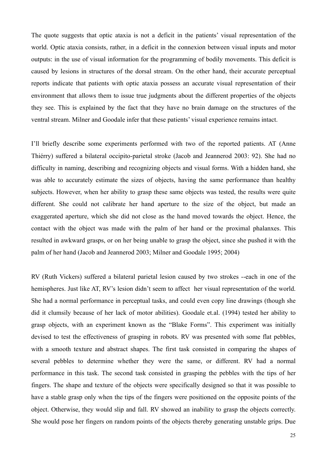The quote suggests that optic ataxia is not a deficit in the patients' visual representation of the world. Optic ataxia consists, rather, in a deficit in the connexion between visual inputs and motor outputs: in the use of visual information for the programming of bodily movements. This deficit is caused by lesions in structures of the dorsal stream. On the other hand, their accurate perceptual reports indicate that patients with optic ataxia possess an accurate visual representation of their environment that allows them to issue true judgments about the different properties of the objects they see. This is explained by the fact that they have no brain damage on the structures of the ventral stream. Milner and Goodale infer that these patients' visual experience remains intact.

I'll briefly describe some experiments performed with two of the reported patients. AT (Anne Thiérry) suffered a bilateral occipito-parietal stroke (Jacob and Jeannerod 2003: 92). She had no difficulty in naming, describing and recognizing objects and visual forms. With a hidden hand, she was able to accurately estimate the sizes of objects, having the same performance than healthy subjects. However, when her ability to grasp these same objects was tested, the results were quite different. She could not calibrate her hand aperture to the size of the object, but made an exaggerated aperture, which she did not close as the hand moved towards the object. Hence, the contact with the object was made with the palm of her hand or the proximal phalanxes. This resulted in awkward grasps, or on her being unable to grasp the object, since she pushed it with the palm of her hand (Jacob and Jeannerod 2003; Milner and Goodale 1995; 2004)

RV (Ruth Vickers) suffered a bilateral parietal lesion caused by two strokes --each in one of the hemispheres. Just like AT, RV's lesion didn't seem to affect her visual representation of the world. She had a normal performance in perceptual tasks, and could even copy line drawings (though she did it clumsily because of her lack of motor abilities). Goodale et.al. (1994) tested her ability to grasp objects, with an experiment known as the "Blake Forms". This experiment was initially devised to test the effectiveness of grasping in robots. RV was presented with some flat pebbles, with a smooth texture and abstract shapes. The first task consisted in comparing the shapes of several pebbles to determine whether they were the same, or different. RV had a normal performance in this task. The second task consisted in grasping the pebbles with the tips of her fingers. The shape and texture of the objects were specifically designed so that it was possible to have a stable grasp only when the tips of the fingers were positioned on the opposite points of the object. Otherwise, they would slip and fall. RV showed an inability to grasp the objects correctly. She would pose her fingers on random points of the objects thereby generating unstable grips. Due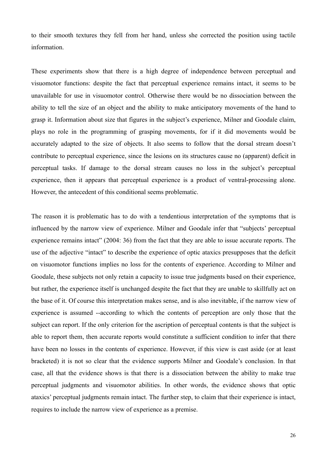to their smooth textures they fell from her hand, unless she corrected the position using tactile information.

These experiments show that there is a high degree of independence between perceptual and visuomotor functions: despite the fact that perceptual experience remains intact, it seems to be unavailable for use in visuomotor control. Otherwise there would be no dissociation between the ability to tell the size of an object and the ability to make anticipatory movements of the hand to grasp it. Information about size that figures in the subject's experience, Milner and Goodale claim, plays no role in the programming of grasping movements, for if it did movements would be accurately adapted to the size of objects. It also seems to follow that the dorsal stream doesn't contribute to perceptual experience, since the lesions on its structures cause no (apparent) deficit in perceptual tasks. If damage to the dorsal stream causes no loss in the subject's perceptual experience, then it appears that perceptual experience is a product of ventral-processing alone. However, the antecedent of this conditional seems problematic.

The reason it is problematic has to do with a tendentious interpretation of the symptoms that is influenced by the narrow view of experience. Milner and Goodale infer that "subjects' perceptual experience remains intact" (2004: 36) from the fact that they are able to issue accurate reports. The use of the adjective "intact" to describe the experience of optic ataxics presupposes that the deficit on visuomotor functions implies no loss for the contents of experience. According to Milner and Goodale, these subjects not only retain a capacity to issue true judgments based on their experience, but rather, the experience itself is unchanged despite the fact that they are unable to skillfully act on the base of it. Of course this interpretation makes sense, and is also inevitable, if the narrow view of experience is assumed --according to which the contents of perception are only those that the subject can report. If the only criterion for the ascription of perceptual contents is that the subject is able to report them, then accurate reports would constitute a sufficient condition to infer that there have been no losses in the contents of experience. However, if this view is cast aside (or at least bracketed) it is not so clear that the evidence supports Milner and Goodale's conclusion. In that case, all that the evidence shows is that there is a dissociation between the ability to make true perceptual judgments and visuomotor abilities. In other words, the evidence shows that optic ataxics' perceptual judgments remain intact. The further step, to claim that their experience is intact, requires to include the narrow view of experience as a premise.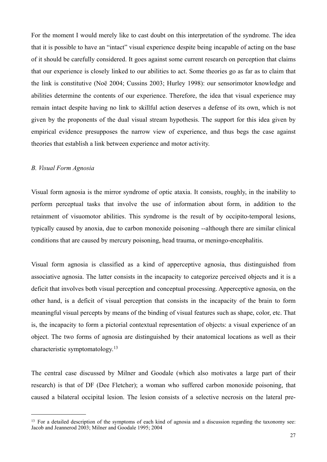For the moment I would merely like to cast doubt on this interpretation of the syndrome. The idea that it is possible to have an "intact" visual experience despite being incapable of acting on the base of it should be carefully considered. It goes against some current research on perception that claims that our experience is closely linked to our abilities to act. Some theories go as far as to claim that the link is constitutive (Noë 2004; Cussins 2003; Hurley 1998): our sensorimotor knowledge and abilities determine the contents of our experience. Therefore, the idea that visual experience may remain intact despite having no link to skillful action deserves a defense of its own, which is not given by the proponents of the dual visual stream hypothesis. The support for this idea given by empirical evidence presupposes the narrow view of experience, and thus begs the case against theories that establish a link between experience and motor activity.

#### <span id="page-26-0"></span>*B. Visual Form Agnosia*

Visual form agnosia is the mirror syndrome of optic ataxia. It consists, roughly, in the inability to perform perceptual tasks that involve the use of information about form, in addition to the retainment of visuomotor abilities. This syndrome is the result of by occipito-temporal lesions, typically caused by anoxia, due to carbon monoxide poisoning --although there are similar clinical conditions that are caused by mercury poisoning, head trauma, or meningo-encephalitis.

Visual form agnosia is classified as a kind of apperceptive agnosia, thus distinguished from associative agnosia. The latter consists in the incapacity to categorize perceived objects and it is a deficit that involves both visual perception and conceptual processing. Apperceptive agnosia, on the other hand, is a deficit of visual perception that consists in the incapacity of the brain to form meaningful visual percepts by means of the binding of visual features such as shape, color, etc. That is, the incapacity to form a pictorial contextual representation of objects: a visual experience of an object. The two forms of agnosia are distinguished by their anatomical locations as well as their characteristic symptomatology.[13](#page-26-1)

The central case discussed by Milner and Goodale (which also motivates a large part of their research) is that of DF (Dee Fletcher); a woman who suffered carbon monoxide poisoning, that caused a bilateral occipital lesion. The lesion consists of a selective necrosis on the lateral pre-

<span id="page-26-1"></span><sup>&</sup>lt;sup>13</sup> For a detailed description of the symptoms of each kind of agnosia and a discussion regarding the taxonomy see: Jacob and Jeannerod 2003; Milner and Goodale 1995; 2004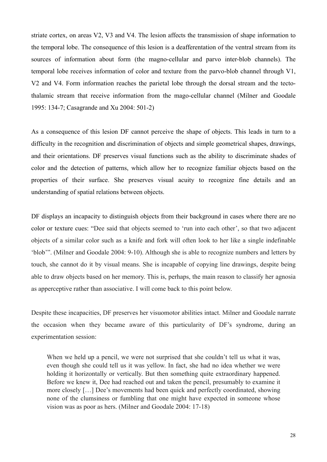striate cortex, on areas V2, V3 and V4. The lesion affects the transmission of shape information to the temporal lobe. The consequence of this lesion is a deafferentation of the ventral stream from its sources of information about form (the magno-cellular and parvo inter-blob channels). The temporal lobe receives information of color and texture from the parvo-blob channel through V1, V2 and V4. Form information reaches the parietal lobe through the dorsal stream and the tectothalamic stream that receive information from the mago-cellular channel (Milner and Goodale 1995: 134-7; Casagrande and Xu 2004: 501-2)

As a consequence of this lesion DF cannot perceive the shape of objects. This leads in turn to a difficulty in the recognition and discrimination of objects and simple geometrical shapes, drawings, and their orientations. DF preserves visual functions such as the ability to discriminate shades of color and the detection of patterns, which allow her to recognize familiar objects based on the properties of their surface. She preserves visual acuity to recognize fine details and an understanding of spatial relations between objects.

DF displays an incapacity to distinguish objects from their background in cases where there are no color or texture cues: "Dee said that objects seemed to 'run into each other', so that two adjacent objects of a similar color such as a knife and fork will often look to her like a single indefinable 'blob'". (Milner and Goodale 2004: 9-10). Although she is able to recognize numbers and letters by touch, she cannot do it by visual means. She is incapable of copying line drawings, despite being able to draw objects based on her memory. This is, perhaps, the main reason to classify her agnosia as apperceptive rather than associative. I will come back to this point below.

Despite these incapacities, DF preserves her visuomotor abilities intact. Milner and Goodale narrate the occasion when they became aware of this particularity of DF's syndrome, during an experimentation session:

When we held up a pencil, we were not surprised that she couldn't tell us what it was, even though she could tell us it was yellow. In fact, she had no idea whether we were holding it horizontally or vertically. But then something quite extraordinary happened. Before we knew it, Dee had reached out and taken the pencil, presumably to examine it more closely […] Dee's movements had been quick and perfectly coordinated, showing none of the clumsiness or fumbling that one might have expected in someone whose vision was as poor as hers. (Milner and Goodale 2004: 17-18)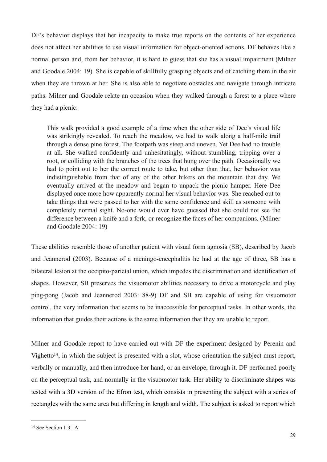DF's behavior displays that her incapacity to make true reports on the contents of her experience does not affect her abilities to use visual information for object-oriented actions. DF behaves like a normal person and, from her behavior, it is hard to guess that she has a visual impairment (Milner and Goodale 2004: 19). She is capable of skillfully grasping objects and of catching them in the air when they are thrown at her. She is also able to negotiate obstacles and navigate through intricate paths. Milner and Goodale relate an occasion when they walked through a forest to a place where they had a picnic:

This walk provided a good example of a time when the other side of Dee's visual life was strikingly revealed. To reach the meadow, we had to walk along a half-mile trail through a dense pine forest. The footpath was steep and uneven. Yet Dee had no trouble at all. She walked confidently and unhesitatingly, without stumbling, tripping over a root, or colliding with the branches of the trees that hung over the path. Occasionally we had to point out to her the correct route to take, but other than that, her behavior was indistinguishable from that of any of the other hikers on the mountain that day. We eventually arrived at the meadow and began to unpack the picnic hamper. Here Dee displayed once more how apparently normal her visual behavior was. She reached out to take things that were passed to her with the same confidence and skill as someone with completely normal sight. No-one would ever have guessed that she could not see the difference between a knife and a fork, or recognize the faces of her companions. (Milner and Goodale 2004: 19)

These abilities resemble those of another patient with visual form agnosia (SB), described by Jacob and Jeannerod (2003). Because of a meningo-encephalitis he had at the age of three, SB has a bilateral lesion at the occipito-parietal union, which impedes the discrimination and identification of shapes. However, SB preserves the visuomotor abilities necessary to drive a motorcycle and play ping-pong (Jacob and Jeannerod 2003: 88-9) DF and SB are capable of using for visuomotor control, the very information that seems to be inaccessible for perceptual tasks. In other words, the information that guides their actions is the same information that they are unable to report.

Milner and Goodale report to have carried out with DF the experiment designed by Perenin and Vighetto<sup>14</sup>, in which the subject is presented with a slot, whose orientation the subject must report, verbally or manually, and then introduce her hand, or an envelope, through it. DF performed poorly on the perceptual task, and normally in the visuomotor task. Her ability to discriminate shapes was tested with a 3D version of the Efron test, which consists in presenting the subject with a series of rectangles with the same area but differing in length and width. The subject is asked to report which

<span id="page-28-0"></span><sup>&</sup>lt;sup>14</sup> See Section 1.3.1A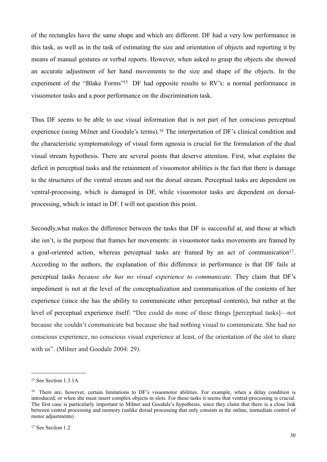of the rectangles have the same shape and which are different. DF had a very low performance in this task, as well as in the task of estimating the size and orientation of objects and reporting it by means of manual gestures or verbal reports. However, when asked to grasp the objects she showed an accurate adjustment of her hand movements to the size and shape of the objects. In the experiment of the "Blake Forms"<sup>15</sup> DF had opposite results to RV's: a normal performance in visuomotor tasks and a poor performance on the discrimination task.

Thus DF seems to be able to use visual information that is not part of her conscious perceptual experience (using Milner and Goodale's terms).<sup>16</sup> The interpretation of DF's clinical condition and the characteristic symptomatology of visual form agnosia is crucial for the formulation of the dual visual stream hypothesis. There are several points that deserve attention. First, what explains the deficit in perceptual tasks and the retainment of visuomotor abilities is the fact that there is damage to the structures of the ventral stream and not the dorsal stream. Perceptual tasks are dependent on ventral-processing, which is damaged in DF, while visuomotor tasks are dependent on dorsalprocessing, which is intact in DF. I will not question this point.

Secondly,what makes the difference between the tasks that DF is successful at, and those at which she isn't, is the purpose that frames her movements: in visuomotor tasks movements are framed by a goal-oriented action, whereas perceptual tasks are framed by an act of communication<sup>17</sup>. According to the authors, the explanation of this difference in performance is that DF fails at perceptual tasks *because she has no visual experience to communicate*. They claim that DF's impediment is not at the level of the conceptualization and communication of the contents of her experience (since she has the ability to communicate other perceptual contents), but rather at the level of perceptual experience itself: "Dee could do none of these things [perceptual tasks]—not because she couldn't communicate but because she had nothing visual to communicate. She had no conscious experience, no conscious visual experience at least, of the orientation of the slot to share with us". (Milner and Goodale 2004: 29).

<span id="page-29-0"></span><sup>15</sup> See Section 1.3.1A

<span id="page-29-2"></span><span id="page-29-1"></span><sup>&</sup>lt;sup>16</sup> There are, however, certain limitations to DF's visuomotor abilities. For example, when a delay condition is introduced, or when she must insert complex objects in slots. For these tasks it seems that ventral-processing is crucial. The first case is particularly important to Milner and Goodale's hypothesis, since they claim that there is a close link between ventral processing and memory (unlike dorsal processing that only consists in the online, immediate control of motor adjustments)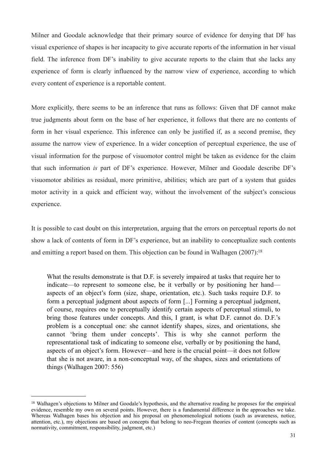Milner and Goodale acknowledge that their primary source of evidence for denying that DF has visual experience of shapes is her incapacity to give accurate reports of the information in her visual field. The inference from DF's inability to give accurate reports to the claim that she lacks any experience of form is clearly influenced by the narrow view of experience, according to which every content of experience is a reportable content.

More explicitly, there seems to be an inference that runs as follows: Given that DF cannot make true judgments about form on the base of her experience, it follows that there are no contents of form in her visual experience. This inference can only be justified if, as a second premise, they assume the narrow view of experience. In a wider conception of perceptual experience, the use of visual information for the purpose of visuomotor control might be taken as evidence for the claim that such information *is* part of DF's experience. However, Milner and Goodale describe DF's visuomotor abilities as residual, more primitive, abilities; which are part of a system that guides motor activity in a quick and efficient way, without the involvement of the subject's conscious experience.

It is possible to cast doubt on this interpretation, arguing that the errors on perceptual reports do not show a lack of contents of form in DF's experience, but an inability to conceptualize such contents and emitting a report based on them. This objection can be found in Walhagen (2007):<sup>18</sup>

What the results demonstrate is that D.F. is severely impaired at tasks that require her to indicate—to represent to someone else, be it verbally or by positioning her hand aspects of an object's form (size, shape, orientation, etc.). Such tasks require D.F. to form a perceptual judgment about aspects of form [...] Forming a perceptual judgment, of course, requires one to perceptually identify certain aspects of perceptual stimuli, to bring those features under concepts. And this, I grant, is what D.F. cannot do. D.F.'s problem is a conceptual one: she cannot identify shapes, sizes, and orientations, she cannot 'bring them under concepts'. This is why she cannot perform the representational task of indicating to someone else, verbally or by positioning the hand, aspects of an object's form. However—and here is the crucial point—it does not follow that she is not aware, in a non-conceptual way, of the shapes, sizes and orientations of things (Walhagen 2007: 556)

<span id="page-30-0"></span><sup>&</sup>lt;sup>18</sup> Walhagen's objections to Milner and Goodale's hypothesis, and the alternative reading he proposes for the empirical evidence, resemble my own on several points. However, there is a fundamental difference in the approaches we take. Whereas Walhagen bases his objection and his proposal on phenomenological notions (such as awareness, notice, attention, etc.), my objections are based on concepts that belong to neo-Fregean theories of content (concepts such as normativity, commitment, responsibility, judgment, etc.)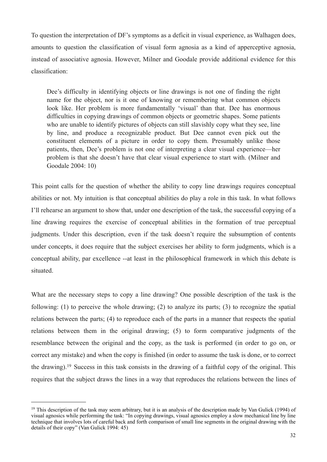To question the interpretation of DF's symptoms as a deficit in visual experience, as Walhagen does, amounts to question the classification of visual form agnosia as a kind of apperceptive agnosia, instead of associative agnosia. However, Milner and Goodale provide additional evidence for this classification:

Dee's difficulty in identifying objects or line drawings is not one of finding the right name for the object, nor is it one of knowing or remembering what common objects look like. Her problem is more fundamentally 'visual' than that. Dee has enormous difficulties in copying drawings of common objects or geometric shapes. Some patients who are unable to identify pictures of objects can still slavishly copy what they see, line by line, and produce a recognizable product. But Dee cannot even pick out the constituent elements of a picture in order to copy them. Presumably unlike those patients, then, Dee's problem is not one of interpreting a clear visual experience—her problem is that she doesn't have that clear visual experience to start with. (Milner and Goodale 2004: 10)

This point calls for the question of whether the ability to copy line drawings requires conceptual abilities or not. My intuition is that conceptual abilities do play a role in this task. In what follows I'll rehearse an argument to show that, under one description of the task, the successful copying of a line drawing requires the exercise of conceptual abilities in the formation of true perceptual judgments. Under this description, even if the task doesn't require the subsumption of contents under concepts, it does require that the subject exercises her ability to form judgments, which is a conceptual ability, par excellence --at least in the philosophical framework in which this debate is situated.

What are the necessary steps to copy a line drawing? One possible description of the task is the following: (1) to perceive the whole drawing; (2) to analyze its parts; (3) to recognize the spatial relations between the parts; (4) to reproduce each of the parts in a manner that respects the spatial relations between them in the original drawing; (5) to form comparative judgments of the resemblance between the original and the copy, as the task is performed (in order to go on, or correct any mistake) and when the copy is finished (in order to assume the task is done, or to correct the drawing).[19](#page-31-0) Success in this task consists in the drawing of a faithful copy of the original. This requires that the subject draws the lines in a way that reproduces the relations between the lines of

<span id="page-31-0"></span><sup>&</sup>lt;sup>19</sup> This description of the task may seem arbitrary, but it is an analysis of the description made by Van Gulick (1994) of visual agnosics while performing the task: "In copying drawings, visual agnosics employ a slow mechanical line by line technique that involves lots of careful back and forth comparison of small line segments in the original drawing with the details of their copy" (Van Gulick 1994: 45)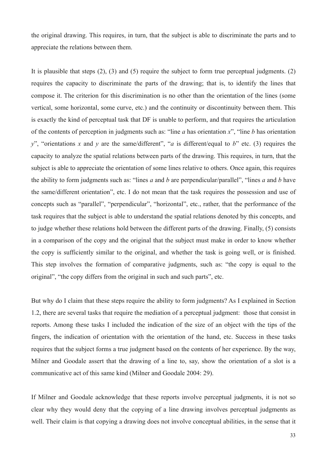the original drawing. This requires, in turn, that the subject is able to discriminate the parts and to appreciate the relations between them.

It is plausible that steps (2), (3) and (5) require the subject to form true perceptual judgments. (2) requires the capacity to discriminate the parts of the drawing; that is, to identify the lines that compose it. The criterion for this discrimination is no other than the orientation of the lines (some vertical, some horizontal, some curve, etc.) and the continuity or discontinuity between them. This is exactly the kind of perceptual task that DF is unable to perform, and that requires the articulation of the contents of perception in judgments such as: "line *a* has orientation *x*", "line *b* has orientation *y*", "orientations *x* and *y* are the same/different", "*a* is different/equal to *b*" etc. (3) requires the capacity to analyze the spatial relations between parts of the drawing. This requires, in turn, that the subject is able to appreciate the orientation of some lines relative to others. Once again, this requires the ability to form judgments such as: "lines *a* and *b* are perpendicular/parallel", "lines *a* and *b* have the same/different orientation", etc. I do not mean that the task requires the possession and use of concepts such as "parallel", "perpendicular", "horizontal", etc., rather, that the performance of the task requires that the subject is able to understand the spatial relations denoted by this concepts, and to judge whether these relations hold between the different parts of the drawing. Finally, (5) consists in a comparison of the copy and the original that the subject must make in order to know whether the copy is sufficiently similar to the original, and whether the task is going well, or is finished. This step involves the formation of comparative judgments, such as: "the copy is equal to the original", "the copy differs from the original in such and such parts", etc.

But why do I claim that these steps require the ability to form judgments? As I explained in Section 1.2, there are several tasks that require the mediation of a perceptual judgment: those that consist in reports. Among these tasks I included the indication of the size of an object with the tips of the fingers, the indication of orientation with the orientation of the hand, etc. Success in these tasks requires that the subject forms a true judgment based on the contents of her experience. By the way, Milner and Goodale assert that the drawing of a line to, say, show the orientation of a slot is a communicative act of this same kind (Milner and Goodale 2004: 29).

If Milner and Goodale acknowledge that these reports involve perceptual judgments, it is not so clear why they would deny that the copying of a line drawing involves perceptual judgments as well. Their claim is that copying a drawing does not involve conceptual abilities, in the sense that it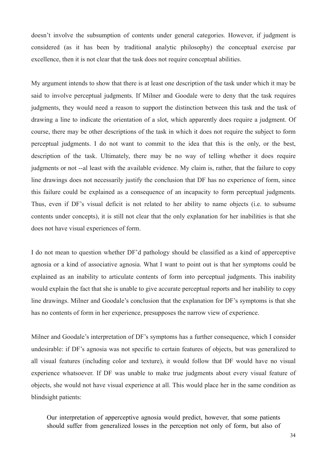doesn't involve the subsumption of contents under general categories. However, if judgment is considered (as it has been by traditional analytic philosophy) the conceptual exercise par excellence, then it is not clear that the task does not require conceptual abilities.

My argument intends to show that there is at least one description of the task under which it may be said to involve perceptual judgments. If Milner and Goodale were to deny that the task requires judgments, they would need a reason to support the distinction between this task and the task of drawing a line to indicate the orientation of a slot, which apparently does require a judgment. Of course, there may be other descriptions of the task in which it does not require the subject to form perceptual judgments. I do not want to commit to the idea that this is the only, or the best, description of the task. Ultimately, there may be no way of telling whether it does require judgments or not --al least with the available evidence. My claim is, rather, that the failure to copy line drawings does not necessarily justify the conclusion that DF has no experience of form, since this failure could be explained as a consequence of an incapacity to form perceptual judgments. Thus, even if DF's visual deficit is not related to her ability to name objects (i.e. to subsume contents under concepts), it is still not clear that the only explanation for her inabilities is that she does not have visual experiences of form.

I do not mean to question whether DF'd pathology should be classified as a kind of apperceptive agnosia or a kind of associative agnosia. What I want to point out is that her symptoms could be explained as an inability to articulate contents of form into perceptual judgments. This inability would explain the fact that she is unable to give accurate perceptual reports and her inability to copy line drawings. Milner and Goodale's conclusion that the explanation for DF's symptoms is that she has no contents of form in her experience, presupposes the narrow view of experience.

Milner and Goodale's interpretation of DF's symptoms has a further consequence, which I consider undesirable: if DF's agnosia was not specific to certain features of objects, but was generalized to all visual features (including color and texture), it would follow that DF would have no visual experience whatsoever. If DF was unable to make true judgments about every visual feature of objects, she would not have visual experience at all. This would place her in the same condition as blindsight patients:

Our interpretation of apperceptive agnosia would predict, however, that some patients should suffer from generalized losses in the perception not only of form, but also of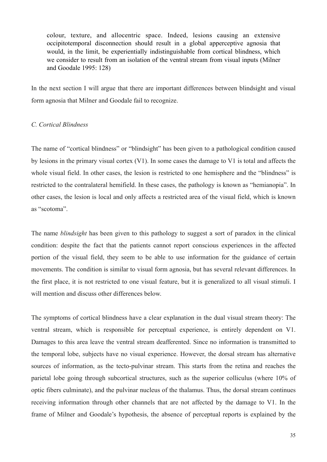colour, texture, and allocentric space. Indeed, lesions causing an extensive occipitotemporal disconnection should result in a global apperceptive agnosia that would, in the limit, be experientially indistinguishable from cortical blindness, which we consider to result from an isolation of the ventral stream from visual inputs (Milner and Goodale 1995: 128)

In the next section I will argue that there are important differences between blindsight and visual form agnosia that Milner and Goodale fail to recognize.

#### <span id="page-34-0"></span>*C. Cortical Blindness*

The name of "cortical blindness" or "blindsight" has been given to a pathological condition caused by lesions in the primary visual cortex (V1). In some cases the damage to V1 is total and affects the whole visual field. In other cases, the lesion is restricted to one hemisphere and the "blindness" is restricted to the contralateral hemifield. In these cases, the pathology is known as "hemianopia". In other cases, the lesion is local and only affects a restricted area of the visual field, which is known as "scotoma".

The name *blindsight* has been given to this pathology to suggest a sort of paradox in the clinical condition: despite the fact that the patients cannot report conscious experiences in the affected portion of the visual field, they seem to be able to use information for the guidance of certain movements. The condition is similar to visual form agnosia, but has several relevant differences. In the first place, it is not restricted to one visual feature, but it is generalized to all visual stimuli. I will mention and discuss other differences below.

The symptoms of cortical blindness have a clear explanation in the dual visual stream theory: The ventral stream, which is responsible for perceptual experience, is entirely dependent on V1. Damages to this area leave the ventral stream deafferented. Since no information is transmitted to the temporal lobe, subjects have no visual experience. However, the dorsal stream has alternative sources of information, as the tecto-pulvinar stream. This starts from the retina and reaches the parietal lobe going through subcortical structures, such as the superior colliculus (where 10% of optic fibers culminate), and the pulvinar nucleus of the thalamus. Thus, the dorsal stream continues receiving information through other channels that are not affected by the damage to V1. In the frame of Milner and Goodale's hypothesis, the absence of perceptual reports is explained by the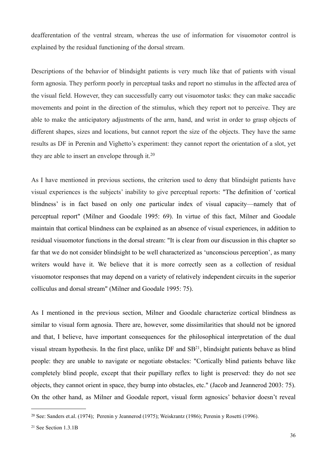deafferentation of the ventral stream, whereas the use of information for visuomotor control is explained by the residual functioning of the dorsal stream.

Descriptions of the behavior of blindsight patients is very much like that of patients with visual form agnosia. They perform poorly in perceptual tasks and report no stimulus in the affected area of the visual field. However, they can successfully carry out visuomotor tasks: they can make saccadic movements and point in the direction of the stimulus, which they report not to perceive. They are able to make the anticipatory adjustments of the arm, hand, and wrist in order to grasp objects of different shapes, sizes and locations, but cannot report the size of the objects. They have the same results as DF in Perenin and Vighetto's experiment: they cannot report the orientation of a slot, yet they are able to insert an envelope through it.[20](#page-35-0)

As I have mentioned in previous sections, the criterion used to deny that blindsight patients have visual experiences is the subjects' inability to give perceptual reports: "The definition of 'cortical blindness' is in fact based on only one particular index of visual capacity—namely that of perceptual report" (Milner and Goodale 1995: 69). In virtue of this fact, Milner and Goodale maintain that cortical blindness can be explained as an absence of visual experiences, in addition to residual visuomotor functions in the dorsal stream: "It is clear from our discussion in this chapter so far that we do not consider blindsight to be well characterized as 'unconscious perception', as many writers would have it. We believe that it is more correctly seen as a collection of residual visuomotor responses that may depend on a variety of relatively independent circuits in the superior colliculus and dorsal stream" (Milner and Goodale 1995: 75).

As I mentioned in the previous section, Milner and Goodale characterize cortical blindness as similar to visual form agnosia. There are, however, some dissimilarities that should not be ignored and that, I believe, have important consequences for the philosophical interpretation of the dual visual stream hypothesis. In the first place, unlike DF and S[B21](#page-35-1), blindsight patients behave as blind people: they are unable to navigate or negotiate obstacles: "Cortically blind patients behave like completely blind people, except that their pupillary reflex to light is preserved: they do not see objects, they cannot orient in space, they bump into obstacles, etc." (Jacob and Jeannerod 2003: 75). On the other hand, as Milner and Goodale report, visual form agnosics' behavior doesn't reveal

<span id="page-35-0"></span><sup>20</sup> See: Sanders et.al. (1974); Perenin y Jeannerod (1975); Weiskrantz (1986); Perenin y Rosetti (1996).

<span id="page-35-1"></span><sup>21</sup> See Section 1.3.1B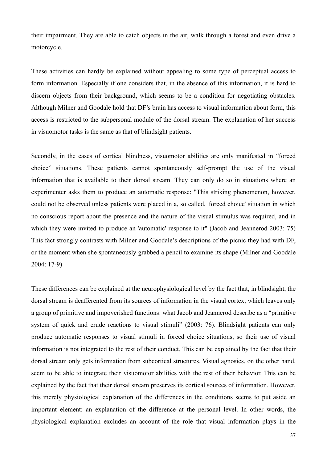their impairment. They are able to catch objects in the air, walk through a forest and even drive a motorcycle.

These activities can hardly be explained without appealing to some type of perceptual access to form information. Especially if one considers that, in the absence of this information, it is hard to discern objects from their background, which seems to be a condition for negotiating obstacles. Although Milner and Goodale hold that DF's brain has access to visual information about form, this access is restricted to the subpersonal module of the dorsal stream. The explanation of her success in visuomotor tasks is the same as that of blindsight patients.

Secondly, in the cases of cortical blindness, visuomotor abilities are only manifested in "forced choice" situations. These patients cannot spontaneously self-prompt the use of the visual information that is available to their dorsal stream. They can only do so in situations where an experimenter asks them to produce an automatic response: "This striking phenomenon, however, could not be observed unless patients were placed in a, so called, 'forced choice' situation in which no conscious report about the presence and the nature of the visual stimulus was required, and in which they were invited to produce an 'automatic' response to it" (Jacob and Jeannerod 2003: 75) This fact strongly contrasts with Milner and Goodale's descriptions of the picnic they had with DF, or the moment when she spontaneously grabbed a pencil to examine its shape (Milner and Goodale 2004: 17-9)

These differences can be explained at the neurophysiological level by the fact that, in blindsight, the dorsal stream is deafferented from its sources of information in the visual cortex, which leaves only a group of primitive and impoverished functions: what Jacob and Jeannerod describe as a "primitive system of quick and crude reactions to visual stimuli" (2003: 76). Blindsight patients can only produce automatic responses to visual stimuli in forced choice situations, so their use of visual information is not integrated to the rest of their conduct. This can be explained by the fact that their dorsal stream only gets information from subcortical structures. Visual agnosics, on the other hand, seem to be able to integrate their visuomotor abilities with the rest of their behavior. This can be explained by the fact that their dorsal stream preserves its cortical sources of information. However, this merely physiological explanation of the differences in the conditions seems to put aside an important element: an explanation of the difference at the personal level. In other words, the physiological explanation excludes an account of the role that visual information plays in the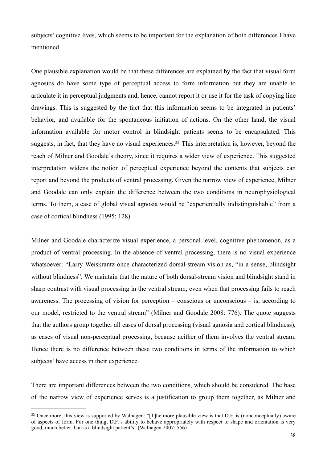subjects' cognitive lives, which seems to be important for the explanation of both differences I have mentioned.

One plausible explanation would be that these differences are explained by the fact that visual form agnosics do have some type of perceptual access to form information but they are unable to articulate it in perceptual judgments and, hence, cannot report it or use it for the task of copying line drawings. This is suggested by the fact that this information seems to be integrated in patients' behavior, and available for the spontaneous initiation of actions. On the other hand, the visual information available for motor control in blindsight patients seems to be encapsulated. This suggests, in fact, that they have no visual experiences.<sup>22</sup> This interpretation is, however, beyond the reach of Milner and Goodale's theory, since it requires a wider view of experience. This suggested interpretation widens the notion of perceptual experience beyond the contents that subjects can report and beyond the products of ventral processing. Given the narrow view of experience, Milner and Goodale can only explain the difference between the two conditions in neurophysiological terms. To them, a case of global visual agnosia would be "experientially indistinguishable" from a case of cortical blindness (1995: 128).

Milner and Goodale characterize visual experience, a personal level, cognitive phenomenon, as a product of ventral processing. In the absence of ventral processing, there is no visual experience whatsoever: "Larry Weiskrantz once characterized dorsal-stream vision as, "in a sense, blindsight without blindness". We maintain that the nature of both dorsal-stream vision and blindsight stand in sharp contrast with visual processing in the ventral stream, even when that processing fails to reach awareness. The processing of vision for perception – conscious or unconscious – is, according to our model, restricted to the ventral stream" (Milner and Goodale 2008: 776). The quote suggests that the authors group together all cases of dorsal processing (visual agnosia and cortical blindness), as cases of visual non-perceptual processing, because neither of them involves the ventral stream. Hence there is no difference between these two conditions in terms of the information to which subjects' have access in their experience.

There are important differences between the two conditions, which should be considered. The base of the narrow view of experience serves is a justification to group them together, as Milner and

<span id="page-37-0"></span><sup>&</sup>lt;sup>22</sup> Once more, this view is supported by Walhagen: "[T]he more plausible view is that D.F. is (nonconceptually) aware of aspects of form. For one thing, D.F.'s ability to behave appropriately with respect to shape and orientation is very good, much better than is a blindsight patient's" (Walhagen 2007: 556)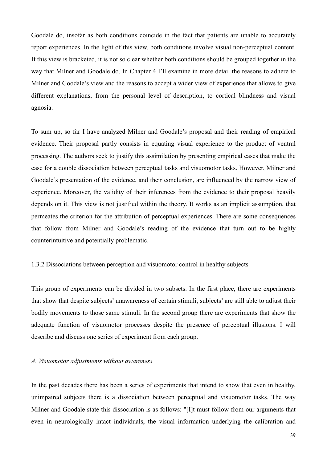Goodale do, insofar as both conditions coincide in the fact that patients are unable to accurately report experiences. In the light of this view, both conditions involve visual non-perceptual content. If this view is bracketed, it is not so clear whether both conditions should be grouped together in the way that Milner and Goodale do. In Chapter 4 I'll examine in more detail the reasons to adhere to Milner and Goodale's view and the reasons to accept a wider view of experience that allows to give different explanations, from the personal level of description, to cortical blindness and visual agnosia.

To sum up, so far I have analyzed Milner and Goodale's proposal and their reading of empirical evidence. Their proposal partly consists in equating visual experience to the product of ventral processing. The authors seek to justify this assimilation by presenting empirical cases that make the case for a double dissociation between perceptual tasks and visuomotor tasks. However, Milner and Goodale's presentation of the evidence, and their conclusion, are influenced by the narrow view of experience. Moreover, the validity of their inferences from the evidence to their proposal heavily depends on it. This view is not justified within the theory. It works as an implicit assumption, that permeates the criterion for the attribution of perceptual experiences. There are some consequences that follow from Milner and Goodale's reading of the evidence that turn out to be highly counterintuitive and potentially problematic.

# 1.3.2 Dissociations between perception and visuomotor control in healthy subjects

This group of experiments can be divided in two subsets. In the first place, there are experiments that show that despite subjects' unawareness of certain stimuli, subjects' are still able to adjust their bodily movements to those same stimuli. In the second group there are experiments that show the adequate function of visuomotor processes despite the presence of perceptual illusions. I will describe and discuss one series of experiment from each group.

# *A. Visuomotor adjustments without awareness*

In the past decades there has been a series of experiments that intend to show that even in healthy, unimpaired subjects there is a dissociation between perceptual and visuomotor tasks. The way Milner and Goodale state this dissociation is as follows: "[I]t must follow from our arguments that even in neurologically intact individuals, the visual information underlying the calibration and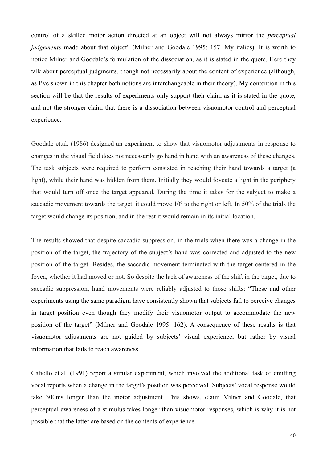control of a skilled motor action directed at an object will not always mirror the *perceptual judgements* made about that object" (Milner and Goodale 1995: 157. My italics). It is worth to notice Milner and Goodale's formulation of the dissociation, as it is stated in the quote. Here they talk about perceptual judgments, though not necessarily about the content of experience (although, as I've shown in this chapter both notions are interchangeable in their theory). My contention in this section will be that the results of experiments only support their claim as it is stated in the quote, and not the stronger claim that there is a dissociation between visuomotor control and perceptual experience.

Goodale et.al. (1986) designed an experiment to show that visuomotor adjustments in response to changes in the visual field does not necessarily go hand in hand with an awareness of these changes. The task subjects were required to perform consisted in reaching their hand towards a target (a light), while their hand was hidden from them. Initially they would foveate a light in the periphery that would turn off once the target appeared. During the time it takes for the subject to make a saccadic movement towards the target, it could move 10º to the right or left. In 50% of the trials the target would change its position, and in the rest it would remain in its initial location.

The results showed that despite saccadic suppression, in the trials when there was a change in the position of the target, the trajectory of the subject's hand was corrected and adjusted to the new position of the target. Besides, the saccadic movement terminated with the target centered in the fovea, whether it had moved or not. So despite the lack of awareness of the shift in the target, due to saccadic suppression, hand movements were reliably adjusted to those shifts: "These and other experiments using the same paradigm have consistently shown that subjects fail to perceive changes in target position even though they modify their visuomotor output to accommodate the new position of the target" (Milner and Goodale 1995: 162). A consequence of these results is that visuomotor adjustments are not guided by subjects' visual experience, but rather by visual information that fails to reach awareness.

Catiello et.al. (1991) report a similar experiment, which involved the additional task of emitting vocal reports when a change in the target's position was perceived. Subjects' vocal response would take 300ms longer than the motor adjustment. This shows, claim Milner and Goodale, that perceptual awareness of a stimulus takes longer than visuomotor responses, which is why it is not possible that the latter are based on the contents of experience.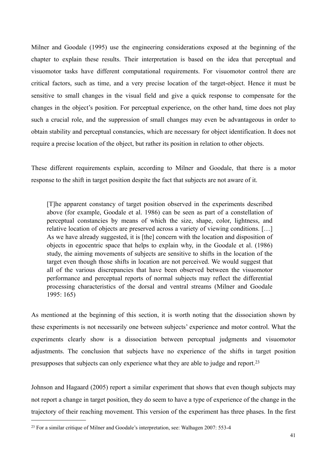Milner and Goodale (1995) use the engineering considerations exposed at the beginning of the chapter to explain these results. Their interpretation is based on the idea that perceptual and visuomotor tasks have different computational requirements. For visuomotor control there are critical factors, such as time, and a very precise location of the target-object. Hence it must be sensitive to small changes in the visual field and give a quick response to compensate for the changes in the object's position. For perceptual experience, on the other hand, time does not play such a crucial role, and the suppression of small changes may even be advantageous in order to obtain stability and perceptual constancies, which are necessary for object identification. It does not require a precise location of the object, but rather its position in relation to other objects.

These different requirements explain, according to Milner and Goodale, that there is a motor response to the shift in target position despite the fact that subjects are not aware of it.

[T]he apparent constancy of target position observed in the experiments described above (for example, Goodale et al. 1986) can be seen as part of a constellation of perceptual constancies by means of which the size, shape, color, lightness, and relative location of objects are preserved across a variety of viewing conditions. […] As we have already suggested, it is [the] concern with the location and disposition of objects in egocentric space that helps to explain why, in the Goodale et al. (1986) study, the aiming movements of subjects are sensitive to shifts in the location of the target even though those shifts in location are not perceived. We would suggest that all of the various discrepancies that have been observed between the visuomotor performance and perceptual reports of normal subjects may reflect the differential processing characteristics of the dorsal and ventral streams (Milner and Goodale 1995: 165)

As mentioned at the beginning of this section, it is worth noting that the dissociation shown by these experiments is not necessarily one between subjects' experience and motor control. What the experiments clearly show is a dissociation between perceptual judgments and visuomotor adjustments. The conclusion that subjects have no experience of the shifts in target position presupposes that subjects can only experience what they are able to judge and report.[23](#page-40-0)

Johnson and Hagaard (2005) report a similar experiment that shows that even though subjects may not report a change in target position, they do seem to have a type of experience of the change in the trajectory of their reaching movement. This version of the experiment has three phases. In the first

<span id="page-40-0"></span><sup>23</sup> For a similar critique of Milner and Goodale's interpretation, see: Walhagen 2007: 553-4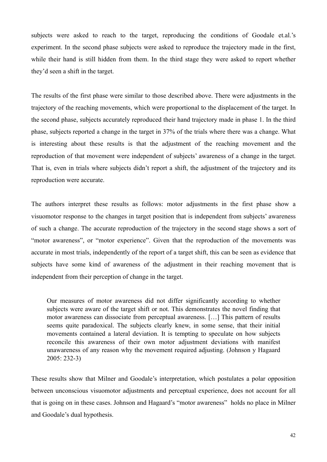subjects were asked to reach to the target, reproducing the conditions of Goodale et.al.'s experiment. In the second phase subjects were asked to reproduce the trajectory made in the first, while their hand is still hidden from them. In the third stage they were asked to report whether they'd seen a shift in the target.

The results of the first phase were similar to those described above. There were adjustments in the trajectory of the reaching movements, which were proportional to the displacement of the target. In the second phase, subjects accurately reproduced their hand trajectory made in phase 1. In the third phase, subjects reported a change in the target in 37% of the trials where there was a change. What is interesting about these results is that the adjustment of the reaching movement and the reproduction of that movement were independent of subjects' awareness of a change in the target. That is, even in trials where subjects didn't report a shift, the adjustment of the trajectory and its reproduction were accurate.

The authors interpret these results as follows: motor adjustments in the first phase show a visuomotor response to the changes in target position that is independent from subjects' awareness of such a change. The accurate reproduction of the trajectory in the second stage shows a sort of "motor awareness", or "motor experience". Given that the reproduction of the movements was accurate in most trials, independently of the report of a target shift, this can be seen as evidence that subjects have some kind of awareness of the adjustment in their reaching movement that is independent from their perception of change in the target.

Our measures of motor awareness did not differ significantly according to whether subjects were aware of the target shift or not. This demonstrates the novel finding that motor awareness can dissociate from perceptual awareness. […] This pattern of results seems quite paradoxical. The subjects clearly knew, in some sense, that their initial movements contained a lateral deviation. It is tempting to speculate on how subjects reconcile this awareness of their own motor adjustment deviations with manifest unawareness of any reason why the movement required adjusting. (Johnson y Hagaard 2005: 232-3)

These results show that Milner and Goodale's interpretation, which postulates a polar opposition between unconscious visuomotor adjustments and perceptual experience, does not account for all that is going on in these cases. Johnson and Hagaard's "motor awareness" holds no place in Milner and Goodale's dual hypothesis.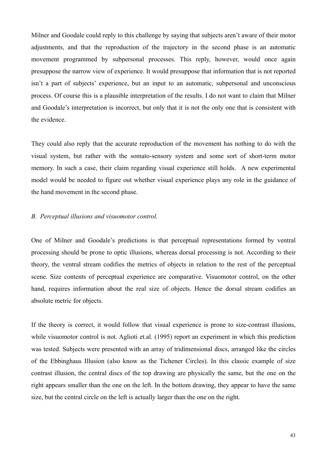Milner and Goodale could reply to this challenge by saying that subjects aren't aware of their motor adjustments, and that the reproduction of the trajectory in the second phase is an automatic movement programmed by subpersonal processes. This reply, however, would once again presuppose the narrow view of experience. It would presuppose that information that is not reported isn't a part of subjects' experience, but an input to an automatic, subpersonal and unconscious process. Of course this is a plausible interpretation of the results. I do not want to claim that Milner and Goodale's interpretation is incorrect, but only that it is not the only one that is consistent with the evidence.

They could also reply that the accurate reproduction of the movement has nothing to do with the visual system, but rather with the somato-sensory system and some sort of short-term motor memory. In such a case, their claim regarding visual experience still holds. A new experimental model would be needed to figure out whether visual experience plays any role in the guidance of the hand movement in the second phase.

# *B. Perceptual illusions and visuomotor control.*

One of Milner and Goodale's predictions is that perceptual representations formed by ventral processing should be prone to optic illusions, whereas dorsal processing is not. According to their theory, the ventral stream codifies the metrics of objects in relation to the rest of the perceptual scene. Size contents of perceptual experience are comparative. Visuomotor control, on the other hand, requires information about the real size of objects. Hence the dorsal stream codifies an absolute metric for objects.

If the theory is correct, it would follow that visual experience is prone to size-contrast illusions, while visuomotor control is not. Aglioti et.al. (1995) report an experiment in which this prediction was tested. Subjects were presented with an array of tridimensional discs, arranged like the circles of the Ebbinghaus Illusion (also know as the Tichener Circles). In this classic example of size contrast illusion, the central discs of the top drawing are physically the same, but the one on the right appears smaller than the one on the left. In the bottom drawing, they appear to have the same size, but the central circle on the left is actually larger than the one on the right.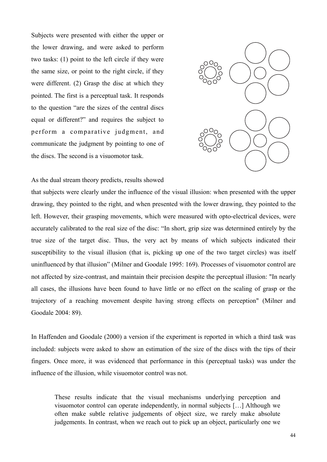Subjects were presented with either the upper or the lower drawing, and were asked to perform two tasks: (1) point to the left circle if they were the same size, or point to the right circle, if they were different. (2) Grasp the disc at which they pointed. The first is a perceptual task. It responds to the question "are the sizes of the central discs equal or different?" and requires the subject to perform a comparative judgment, and communicate the judgment by pointing to one of the discs. The second is a visuomotor task.



As the dual stream theory predicts, results showed

that subjects were clearly under the influence of the visual illusion: when presented with the upper drawing, they pointed to the right, and when presented with the lower drawing, they pointed to the left. However, their grasping movements, which were measured with opto-electrical devices, were accurately calibrated to the real size of the disc: "In short, grip size was determined entirely by the true size of the target disc. Thus, the very act by means of which subjects indicated their susceptibility to the visual illusion (that is, picking up one of the two target circles) was itself uninfluenced by that illusion" (Milner and Goodale 1995: 169). Processes of visuomotor control are not affected by size-contrast, and maintain their precision despite the perceptual illusion: "In nearly all cases, the illusions have been found to have little or no effect on the scaling of grasp or the trajectory of a reaching movement despite having strong effects on perception" (Milner and Goodale 2004: 89).  $\frac{c}{\sqrt{2}}$  in the two arrays in the two arrays in the two arrays in the two arrays in the two arrays in the two arrays in the two arrays in the two arrays in the two arrays in the two arrays in the two arrays in the two ed with opto-electrical devices physically identical.The two the the thinger energy was not not the perceptual musical. In fict

In Haffenden and Goodale (2000) a version if the experiment is reported in which a third task was included: subjects were asked to show an estimation of the size of the discs with the tips of their fingers. Once more, it was evidenced that performance in this (perceptual tasks) was under the influence of the illusion, while visuomotor control was not.

These results indicate that the visual mechanisms underlying perception and visuomotor control can operate independently, in normal subjects […] Although we often make subtle relative judgements of object size, we rarely make absolute judgements. In contrast, when we reach out to pick up an object, particularly one we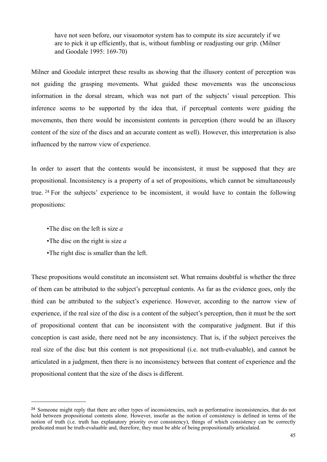have not seen before, our visuomotor system has to compute its size accurately if we are to pick it up efficiently, that is, without fumbling or readjusting our grip. (Milner and Goodale 1995: 169-70)

Milner and Goodale interpret these results as showing that the illusory content of perception was not guiding the grasping movements. What guided these movements was the unconscious information in the dorsal stream, which was not part of the subjects' visual perception. This inference seems to be supported by the idea that, if perceptual contents were guiding the movements, then there would be inconsistent contents in perception (there would be an illusory content of the size of the discs and an accurate content as well). However, this interpretation is also influenced by the narrow view of experience.

In order to assert that the contents would be inconsistent, it must be supposed that they are propositional. Inconsistency is a property of a set of propositions, which cannot be simultaneously true. [24](#page-44-0) For the subjects' experience to be inconsistent, it would have to contain the following propositions:

- •The disc on the left is size *a*
- •The disc on the right is size *a*
- •The right disc is smaller than the left.

These propositions would constitute an inconsistent set. What remains doubtful is whether the three of them can be attributed to the subject's perceptual contents. As far as the evidence goes, only the third can be attributed to the subject's experience. However, according to the narrow view of experience, if the real size of the disc is a content of the subject's perception, then it must be the sort of propositional content that can be inconsistent with the comparative judgment. But if this conception is cast aside, there need not be any inconsistency. That is, if the subject perceives the real size of the disc but this content is not propositional (i.e. not truth-evaluable), and cannot be articulated in a judgment, then there is no inconsistency between that content of experience and the propositional content that the size of the discs is different.

<span id="page-44-0"></span><sup>&</sup>lt;sup>24</sup> Someone might reply that there are other types of inconsistencies, such as performative inconsistencies, that do not hold between propositional contents alone. However, insofar as the notion of consistency is defined in terms of the notion of truth (i.e. truth has explanatory priority over consistency), things of which consistency can be correctly predicated must be truth-evaluable and, therefore, they must be able of being propositionally articulated.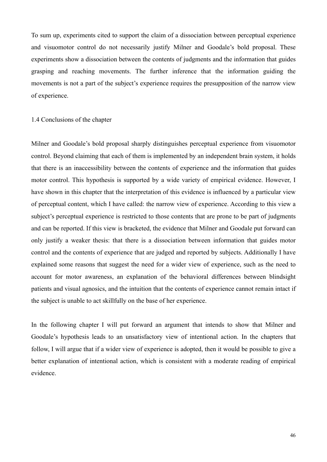To sum up, experiments cited to support the claim of a dissociation between perceptual experience and visuomotor control do not necessarily justify Milner and Goodale's bold proposal. These experiments show a dissociation between the contents of judgments and the information that guides grasping and reaching movements. The further inference that the information guiding the movements is not a part of the subject's experience requires the presupposition of the narrow view of experience.

## 1.4 Conclusions of the chapter

Milner and Goodale's bold proposal sharply distinguishes perceptual experience from visuomotor control. Beyond claiming that each of them is implemented by an independent brain system, it holds that there is an inaccessibility between the contents of experience and the information that guides motor control. This hypothesis is supported by a wide variety of empirical evidence. However, I have shown in this chapter that the interpretation of this evidence is influenced by a particular view of perceptual content, which I have called: the narrow view of experience. According to this view a subject's perceptual experience is restricted to those contents that are prone to be part of judgments and can be reported. If this view is bracketed, the evidence that Milner and Goodale put forward can only justify a weaker thesis: that there is a dissociation between information that guides motor control and the contents of experience that are judged and reported by subjects. Additionally I have explained some reasons that suggest the need for a wider view of experience, such as the need to account for motor awareness, an explanation of the behavioral differences between blindsight patients and visual agnosics, and the intuition that the contents of experience cannot remain intact if the subject is unable to act skillfully on the base of her experience.

In the following chapter I will put forward an argument that intends to show that Milner and Goodale's hypothesis leads to an unsatisfactory view of intentional action. In the chapters that follow, I will argue that if a wider view of experience is adopted, then it would be possible to give a better explanation of intentional action, which is consistent with a moderate reading of empirical evidence.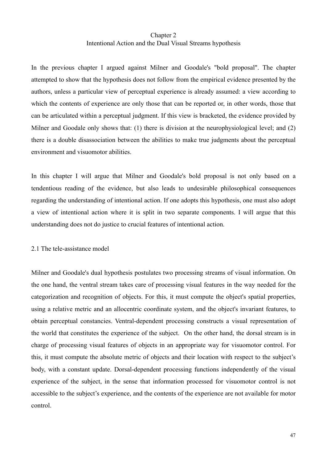# Chapter 2 Intentional Action and the Dual Visual Streams hypothesis

In the previous chapter I argued against Milner and Goodale's "bold proposal". The chapter attempted to show that the hypothesis does not follow from the empirical evidence presented by the authors, unless a particular view of perceptual experience is already assumed: a view according to which the contents of experience are only those that can be reported or, in other words, those that can be articulated within a perceptual judgment. If this view is bracketed, the evidence provided by Milner and Goodale only shows that: (1) there is division at the neurophysiological level; and (2) there is a double disassociation between the abilities to make true judgments about the perceptual environment and visuomotor abilities.

In this chapter I will argue that Milner and Goodale's bold proposal is not only based on a tendentious reading of the evidence, but also leads to undesirable philosophical consequences regarding the understanding of intentional action. If one adopts this hypothesis, one must also adopt a view of intentional action where it is split in two separate components. I will argue that this understanding does not do justice to crucial features of intentional action.

#### 2.1 The tele-assistance model

Milner and Goodale's dual hypothesis postulates two processing streams of visual information. On the one hand, the ventral stream takes care of processing visual features in the way needed for the categorization and recognition of objects. For this, it must compute the object's spatial properties, using a relative metric and an allocentric coordinate system, and the object's invariant features, to obtain perceptual constancies. Ventral-dependent processing constructs a visual representation of the world that constitutes the experience of the subject. On the other hand, the dorsal stream is in charge of processing visual features of objects in an appropriate way for visuomotor control. For this, it must compute the absolute metric of objects and their location with respect to the subject's body, with a constant update. Dorsal-dependent processing functions independently of the visual experience of the subject, in the sense that information processed for visuomotor control is not accessible to the subject's experience, and the contents of the experience are not available for motor control.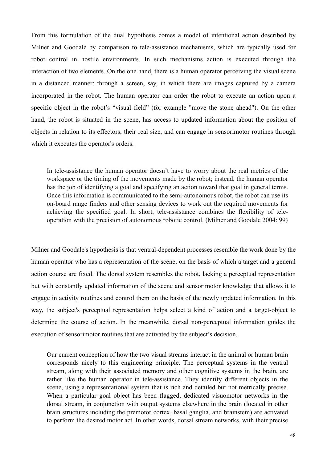From this formulation of the dual hypothesis comes a model of intentional action described by Milner and Goodale by comparison to tele-assistance mechanisms, which are typically used for robot control in hostile environments. In such mechanisms action is executed through the interaction of two elements. On the one hand, there is a human operator perceiving the visual scene in a distanced manner: through a screen, say, in which there are images captured by a camera incorporated in the robot. The human operator can order the robot to execute an action upon a specific object in the robot's "visual field" (for example "move the stone ahead"). On the other hand, the robot is situated in the scene, has access to updated information about the position of objects in relation to its effectors, their real size, and can engage in sensorimotor routines through which it executes the operator's orders.

In tele-assistance the human operator doesn't have to worry about the real metrics of the workspace or the timing of the movements made by the robot; instead, the human operator has the job of identifying a goal and specifying an action toward that goal in general terms. Once this information is communicated to the semi-autonomous robot, the robot can use its on-board range finders and other sensing devices to work out the required movements for achieving the specified goal. In short, tele-assistance combines the flexibility of teleoperation with the precision of autonomous robotic control. (Milner and Goodale 2004: 99)

Milner and Goodale's hypothesis is that ventral-dependent processes resemble the work done by the human operator who has a representation of the scene, on the basis of which a target and a general action course are fixed. The dorsal system resembles the robot, lacking a perceptual representation but with constantly updated information of the scene and sensorimotor knowledge that allows it to engage in activity routines and control them on the basis of the newly updated information. In this way, the subject's perceptual representation helps select a kind of action and a target-object to determine the course of action. In the meanwhile, dorsal non-perceptual information guides the execution of sensorimotor routines that are activated by the subject's decision.

Our current conception of how the two visual streams interact in the animal or human brain corresponds nicely to this engineering principle. The perceptual systems in the ventral stream, along with their associated memory and other cognitive systems in the brain, are rather like the human operator in tele-assistance. They identify different objects in the scene, using a representational system that is rich and detailed but not metrically precise. When a particular goal object has been flagged, dedicated visuomotor networks in the dorsal stream, in conjunction with output systems elsewhere in the brain (located in other brain structures including the premotor cortex, basal ganglia, and brainstem) are activated to perform the desired motor act. In other words, dorsal stream networks, with their precise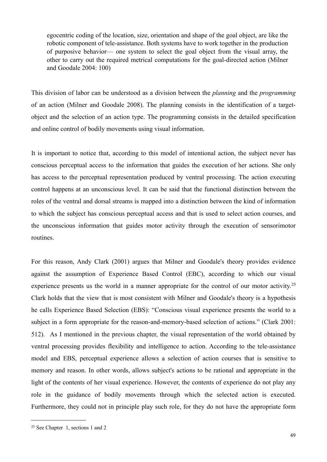egocentric coding of the location, size, orientation and shape of the goal object, are like the robotic component of tele-assistance. Both systems have to work together in the production of purposive behavior— one system to select the goal object from the visual array, the other to carry out the required metrical computations for the goal-directed action (Milner and Goodale 2004: 100)

This division of labor can be understood as a division between the *planning* and the *programming* of an action (Milner and Goodale 2008). The planning consists in the identification of a targetobject and the selection of an action type. The programming consists in the detailed specification and online control of bodily movements using visual information.

It is important to notice that, according to this model of intentional action, the subject never has conscious perceptual access to the information that guides the execution of her actions. She only has access to the perceptual representation produced by ventral processing. The action executing control happens at an unconscious level. It can be said that the functional distinction between the roles of the ventral and dorsal streams is mapped into a distinction between the kind of information to which the subject has conscious perceptual access and that is used to select action courses, and the unconscious information that guides motor activity through the execution of sensorimotor routines.

For this reason, Andy Clark (2001) argues that Milner and Goodale's theory provides evidence against the assumption of Experience Based Control (EBC), according to which our visual experience presents us the world in a manner appropriate for the control of our motor activity.<sup>[25](#page-48-0)</sup> Clark holds that the view that is most consistent with Milner and Goodale's theory is a hypothesis he calls Experience Based Selection (EBS): "Conscious visual experience presents the world to a subject in a form appropriate for the reason-and-memory-based selection of actions." (Clark 2001: 512). As I mentioned in the previous chapter, the visual representation of the world obtained by ventral processing provides flexibility and intelligence to action. According to the tele-assistance model and EBS, perceptual experience allows a selection of action courses that is sensitive to memory and reason. In other words, allows subject's actions to be rational and appropriate in the light of the contents of her visual experience. However, the contents of experience do not play any role in the guidance of bodily movements through which the selected action is executed. Furthermore, they could not in principle play such role, for they do not have the appropriate form

<span id="page-48-0"></span><sup>25</sup> See Chapter 1, sections 1 and 2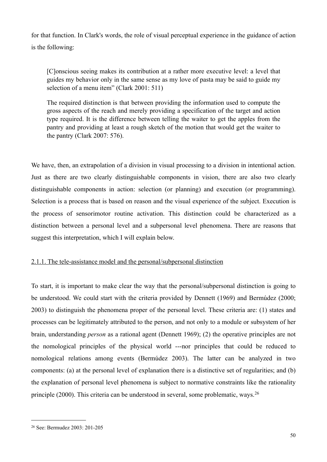for that function. In Clark's words, the role of visual perceptual experience in the guidance of action is the following:

[C]onscious seeing makes its contribution at a rather more executive level: a level that guides my behavior only in the same sense as my love of pasta may be said to guide my selection of a menu item" (Clark 2001: 511)

The required distinction is that between providing the information used to compute the gross aspects of the reach and merely providing a specification of the target and action type required. It is the difference between telling the waiter to get the apples from the pantry and providing at least a rough sketch of the motion that would get the waiter to the pantry (Clark 2007: 576).

We have, then, an extrapolation of a division in visual processing to a division in intentional action. Just as there are two clearly distinguishable components in vision, there are also two clearly distinguishable components in action: selection (or planning) and execution (or programming). Selection is a process that is based on reason and the visual experience of the subject. Execution is the process of sensorimotor routine activation. This distinction could be characterized as a distinction between a personal level and a subpersonal level phenomena. There are reasons that suggest this interpretation, which I will explain below.

# 2.1.1. The tele-assistance model and the personal/subpersonal distinction

To start, it is important to make clear the way that the personal/subpersonal distinction is going to be understood. We could start with the criteria provided by Dennett (1969) and Bermúdez (2000; 2003) to distinguish the phenomena proper of the personal level. These criteria are: (1) states and processes can be legitimately attributed to the person, and not only to a module or subsystem of her brain, understanding *person* as a rational agent (Dennett 1969); (2) the operative principles are not the nomological principles of the physical world ---nor principles that could be reduced to nomological relations among events (Bermúdez 2003). The latter can be analyzed in two components: (a) at the personal level of explanation there is a distinctive set of regularities; and (b) the explanation of personal level phenomena is subject to normative constraints like the rationality principle (2000). This criteria can be understood in several, some problematic, ways.[26](#page-49-0)

<span id="page-49-0"></span><sup>26</sup> See: Bermudez 2003: 201-205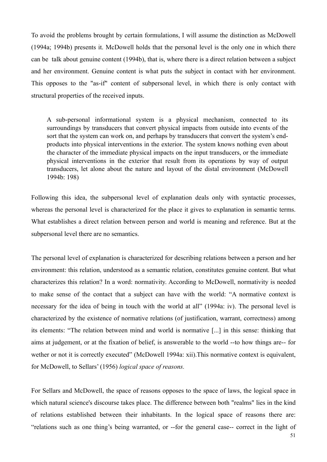To avoid the problems brought by certain formulations, I will assume the distinction as McDowell (1994a; 1994b) presents it. McDowell holds that the personal level is the only one in which there can be talk about genuine content (1994b), that is, where there is a direct relation between a subject and her environment. Genuine content is what puts the subject in contact with her environment. This opposes to the "as-if" content of subpersonal level, in which there is only contact with structural properties of the received inputs.

A sub-personal informational system is a physical mechanism, connected to its surroundings by transducers that convert physical impacts from outside into events of the sort that the system can work on, and perhaps by transducers that convert the system's endproducts into physical interventions in the exterior. The system knows nothing even about the character of the immediate physical impacts on the input transducers, or the immediate physical interventions in the exterior that result from its operations by way of output transducers, let alone about the nature and layout of the distal environment (McDowell 1994b: 198)

Following this idea, the subpersonal level of explanation deals only with syntactic processes, whereas the personal level is characterized for the place it gives to explanation in semantic terms. What establishes a direct relation between person and world is meaning and reference. But at the subpersonal level there are no semantics.

The personal level of explanation is characterized for describing relations between a person and her environment: this relation, understood as a semantic relation, constitutes genuine content. But what characterizes this relation? In a word: normativity. According to McDowell, normativity is needed to make sense of the contact that a subject can have with the world: "A normative context is necessary for the idea of being in touch with the world at all" (1994a: iv). The personal level is characterized by the existence of normative relations (of justification, warrant, correctness) among its elements: "The relation between mind and world is normative [...] in this sense: thinking that aims at judgement, or at the fixation of belief, is answerable to the world --to how things are-- for wether or not it is correctly executed" (McDowell 1994a: xii). This normative context is equivalent, for McDowell, to Sellars' (1956) *logical space of reasons.*

For Sellars and McDowell, the space of reasons opposes to the space of laws, the logical space in which natural science's discourse takes place. The difference between both "realms" lies in the kind of relations established between their inhabitants. In the logical space of reasons there are: "relations such as one thing's being warranted, or --for the general case-- correct in the light of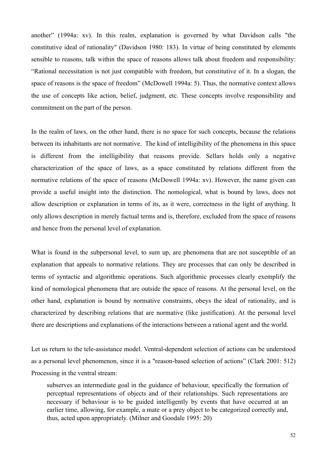another" (1994a: xv). In this realm, explanation is governed by what Davidson calls "the constitutive ideal of rationality" (Davidson 1980: 183). In virtue of being constituted by elements sensible to reasons, talk within the space of reasons allows talk about freedom and responsibility: "Rational necessitation is not just compatible with freedom, but constitutive of it. In a slogan, the space of reasons is the space of freedom" (McDowell 1994a: 5). Thus, the normative context allows the use of concepts like action, belief, judgment, etc. These concepts involve responsibility and commitment on the part of the person.

In the realm of laws, on the other hand, there is no space for such concepts, because the relations between its inhabitants are not normative. The kind of intelligibility of the phenomena in this space is different from the intelligibility that reasons provide. Sellars holds only a negative characterization of the space of laws, as a space constituted by relations different from the normative relations of the space of reasons (McDowell 1994a: xv). However, the name given can provide a useful insight into the distinction. The nomological, what is bound by laws, does not allow description or explanation in terms of its, as it were, correctness in the light of anything. It only allows description in merely factual terms and is, therefore, excluded from the space of reasons and hence from the personal level of explanation.

What is found in the subpersonal level, to sum up, are phenomena that are not susceptible of an explanation that appeals to normative relations. They are processes that can only be described in terms of syntactic and algorithmic operations. Such algorithmic processes clearly exemplify the kind of nomological phenomena that are outside the space of reasons. At the personal level, on the other hand, explanation is bound by normative constraints, obeys the ideal of rationality, and is characterized by describing relations that are normative (like justification). At the personal level there are descriptions and explanations of the interactions between a rational agent and the world.

Let us return to the tele-assistance model. Ventral-dependent selection of actions can be understood as a personal level phenomenon, since it is a "reason-based selection of actions" (Clark 2001: 512) Processing in the ventral stream:

subserves an intermediate goal in the guidance of behaviour, specifically the formation of perceptual representations of objects and of their relationships. Such representations are necessary if behaviour is to be guided intelligently by events that have occurred at an earlier time, allowing, for example, a mate or a prey object to be categorized correctly and, thus, acted upon appropriately. (Milner and Goodale 1995: 20)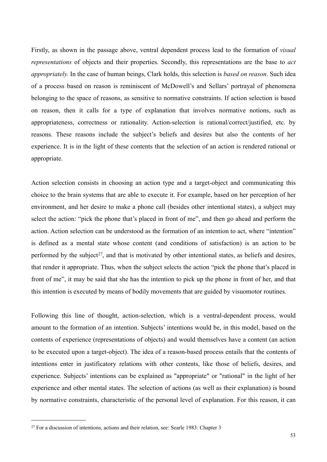Firstly, as shown in the passage above, ventral dependent process lead to the formation of *visual representations* of objects and their properties. Secondly, this representations are the base to *act appropriately.* In the case of human beings, Clark holds, this selection is *based on reason*. Such idea of a process based on reason is reminiscent of McDowell's and Sellars' portrayal of phenomena belonging to the space of reasons, as sensitive to normative constraints. If action selection is based on reason, then it calls for a type of explanation that involves normative notions, such as appropriateness, correctness or rationality. Action-selection is rational/correct/justified, etc. by reasons. These reasons include the subject's beliefs and desires but also the contents of her experience. It is in the light of these contents that the selection of an action is rendered rational or appropriate.

Action selection consists in choosing an action type and a target-object and communicating this choice to the brain systems that are able to execute it. For example, based on her perception of her environment, and her desire to make a phone call (besides other intentional states), a subject may select the action: "pick the phone that's placed in front of me", and then go ahead and perform the action. Action selection can be understood as the formation of an intention to act, where "intention" is defined as a mental state whose content (and conditions of satisfaction) is an action to be performed by the subject<sup>27</sup>, and that is motivated by other intentional states, as beliefs and desires, that render it appropriate. Thus, when the subject selects the action "pick the phone that's placed in front of me", it may be said that she has the intention to pick up the phone in front of her, and that this intention is executed by means of bodily movements that are guided by visuomotor routines.

Following this line of thought, action-selection, which is a ventral-dependent process, would amount to the formation of an intention. Subjects' intentions would be, in this model, based on the contents of experience (representations of objects) and would themselves have a content (an action to be executed upon a target-object). The idea of a reason-based process entails that the contents of intentions enter in justificatory relations with other contents, like those of beliefs, desires, and experience. Subjects' intentions can be explained as "appropriate" or "rational" in the light of her experience and other mental states. The selection of actions (as well as their explanation) is bound by normative constraints, characteristic of the personal level of explanation. For this reason, it can

<span id="page-52-0"></span><sup>&</sup>lt;sup>27</sup> For a discussion of intentions, actions and their relation, see: Searle 1983: Chapter 3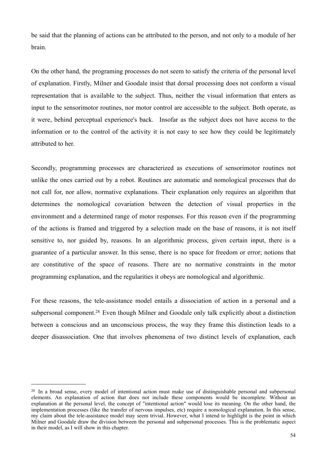be said that the planning of actions can be attributed to the person, and not only to a module of her brain.

On the other hand, the programing processes do not seem to satisfy the criteria of the personal level of explanation. Firstly, Milner and Goodale insist that dorsal processing does not conform a visual representation that is available to the subject. Thus, neither the visual information that enters as input to the sensorimotor routines, nor motor control are accessible to the subject. Both operate, as it were, behind perceptual experience's back. Insofar as the subject does not have access to the information or to the control of the activity it is not easy to see how they could be legitimately attributed to her.

Secondly, programming processes are characterized as executions of sensorimotor routines not unlike the ones carried out by a robot. Routines are automatic and nomological processes that do not call for, nor allow, normative explanations. Their explanation only requires an algorithm that determines the nomological covariation between the detection of visual properties in the environment and a determined range of motor responses. For this reason even if the programming of the actions is framed and triggered by a selection made on the base of reasons, it is not itself sensitive to, nor guided by, reasons. In an algorithmic process, given certain input, there is a guarantee of a particular answer. In this sense, there is no space for freedom or error; notions that are constitutive of the space of reasons. There are no normative constraints in the motor programming explanation, and the regularities it obeys are nomological and algorithmic.

For these reasons, the tele-assistance model entails a dissociation of action in a personal and a subpersonal component[.28](#page-53-0) Even though Milner and Goodale only talk explicitly about a distinction between a conscious and an unconscious process, the way they frame this distinction leads to a deeper disassociation. One that involves phenomena of two distinct levels of explanation, each

<span id="page-53-0"></span><sup>&</sup>lt;sup>28</sup> In a broad sense, every model of intentional action must make use of distinguishable personal and subpersonal elements. An explanation of action that does not include these components would be incomplete. Without an explanation at the personal level, the concept of "intentional action" would lose its meaning. On the other hand, the implementation processes (like the transfer of nervous impulses, etc) require a nomological explanation. In this sense, my claim about the tele-assistance model may seem trivial. However, what I intend to highlight is the point in which Milner and Goodale draw the division between the personal and subpersonal processes. This is the problematic aspect in their model, as I will show in this chapter.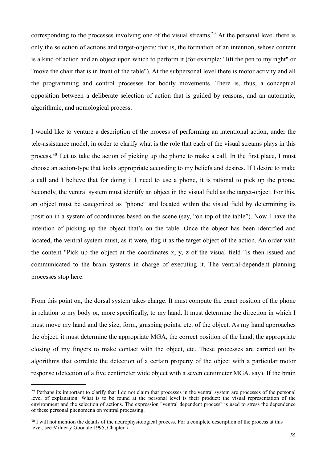corresponding to the processes involving one of the visual streams[.29](#page-54-0) At the personal level there is only the selection of actions and target-objects; that is, the formation of an intention, whose content is a kind of action and an object upon which to perform it (for example: "lift the pen to my right" or "move the chair that is in front of the table"). At the subpersonal level there is motor activity and all the programming and control processes for bodily movements. There is, thus, a conceptual opposition between a deliberate selection of action that is guided by reasons, and an automatic, algorithmic, and nomological process.

I would like to venture a description of the process of performing an intentional action, under the tele-assistance model, in order to clarify what is the role that each of the visual streams plays in this process.[30](#page-54-1) Let us take the action of picking up the phone to make a call. In the first place, I must choose an action-type that looks appropriate according to my beliefs and desires. If I desire to make a call and I believe that for doing it I need to use a phone, it is rational to pick up the phone. Secondly, the ventral system must identify an object in the visual field as the target-object. For this, an object must be categorized as "phone" and located within the visual field by determining its position in a system of coordinates based on the scene (say, "on top of the table"). Now I have the intention of picking up the object that's on the table. Once the object has been identified and located, the ventral system must, as it were, flag it as the target object of the action. An order with the content "Pick up the object at the coordinates x, y, z of the visual field "is then issued and communicated to the brain systems in charge of executing it. The ventral-dependent planning processes stop here.

From this point on, the dorsal system takes charge. It must compute the exact position of the phone in relation to my body or, more specifically, to my hand. It must determine the direction in which I must move my hand and the size, form, grasping points, etc. of the object. As my hand approaches the object, it must determine the appropriate MGA, the correct position of the hand, the appropriate closing of my fingers to make contact with the object, etc. These processes are carried out by algorithms that correlate the detection of a certain property of the object with a particular motor response (detection of a five centimeter wide object with a seven centimeter MGA, say). If the brain

<span id="page-54-0"></span><sup>&</sup>lt;sup>29</sup> Perhaps its important to clarify that I do not claim that processes in the ventral system are processes of the personal level of explanation. What is to be found at the personal level is their product: the visual representation of the environment and the selection of actions. The expression "ventral dependent process" is used to stress the dependence of these personal phenomena on ventral processing.

<span id="page-54-1"></span><sup>&</sup>lt;sup>30</sup> I will not mention the details of the neurophysiological process. For a complete description of the process at this level, see Milner y Goodale 1995, Chapter 7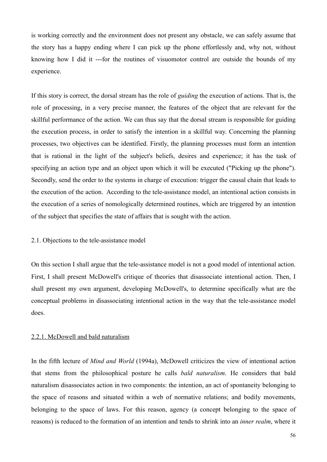is working correctly and the environment does not present any obstacle, we can safely assume that the story has a happy ending where I can pick up the phone effortlessly and, why not, without knowing how I did it ---for the routines of visuomotor control are outside the bounds of my experience.

If this story is correct, the dorsal stream has the role of *guiding* the execution of actions. That is, the role of processing, in a very precise manner, the features of the object that are relevant for the skillful performance of the action. We can thus say that the dorsal stream is responsible for guiding the execution process, in order to satisfy the intention in a skillful way. Concerning the planning processes, two objectives can be identified. Firstly, the planning processes must form an intention that is rational in the light of the subject's beliefs, desires and experience; it has the task of specifying an action type and an object upon which it will be executed ("Picking up the phone"). Secondly, send the order to the systems in charge of execution: trigger the causal chain that leads to the execution of the action. According to the tele-assistance model, an intentional action consists in the execution of a series of nomologically determined routines, which are triggered by an intention of the subject that specifies the state of affairs that is sought with the action.

#### 2.1. Objections to the tele-assistance model

On this section I shall argue that the tele-assistance model is not a good model of intentional action. First, I shall present McDowell's critique of theories that disassociate intentional action. Then, I shall present my own argument, developing McDowell's, to determine specifically what are the conceptual problems in disassociating intentional action in the way that the tele-assistance model does.

## 2.2.1. McDowell and bald naturalism

In the fifth lecture of *Mind and World* (1994a), McDowell criticizes the view of intentional action that stems from the philosophical posture he calls *bald naturalism*. He considers that bald naturalism disassociates action in two components: the intention, an act of spontaneity belonging to the space of reasons and situated within a web of normative relations; and bodily movements, belonging to the space of laws. For this reason, agency (a concept belonging to the space of reasons) is reduced to the formation of an intention and tends to shrink into an *inner realm*, where it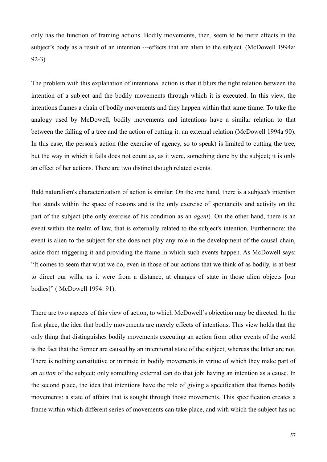only has the function of framing actions. Bodily movements, then, seem to be mere effects in the subject's body as a result of an intention ---effects that are alien to the subject. (McDowell 1994a: 92-3)

The problem with this explanation of intentional action is that it blurs the tight relation between the intention of a subject and the bodily movements through which it is executed. In this view, the intentions frames a chain of bodily movements and they happen within that same frame. To take the analogy used by McDowell, bodily movements and intentions have a similar relation to that between the falling of a tree and the action of cutting it: an external relation (McDowell 1994a 90). In this case, the person's action (the exercise of agency, so to speak) is limited to cutting the tree, but the way in which it falls does not count as, as it were, something done by the subject; it is only an effect of her actions. There are two distinct though related events.

Bald naturalism's characterization of action is similar: On the one hand, there is a subject's intention that stands within the space of reasons and is the only exercise of spontaneity and activity on the part of the subject (the only exercise of his condition as an *agent*). On the other hand, there is an event within the realm of law, that is externally related to the subject's intention. Furthermore: the event is alien to the subject for she does not play any role in the development of the causal chain, aside from triggering it and providing the frame in which such events happen. As McDowell says: "It comes to seem that what we do, even in those of our actions that we think of as bodily, is at best to direct our wills, as it were from a distance, at changes of state in those alien objects [our bodies]" ( McDowell 1994: 91).

There are two aspects of this view of action, to which McDowell's objection may be directed. In the first place, the idea that bodily movements are merely effects of intentions. This view holds that the only thing that distinguishes bodily movements executing an action from other events of the world is the fact that the former are caused by an intentional state of the subject, whereas the latter are not. There is nothing constitutive or intrinsic in bodily movements in virtue of which they make part of an *action* of the subject; only something external can do that job: having an intention as a cause. In the second place, the idea that intentions have the role of giving a specification that frames bodily movements: a state of affairs that is sought through those movements. This specification creates a frame within which different series of movements can take place, and with which the subject has no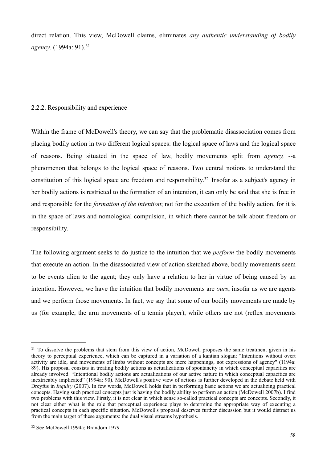direct relation. This view, McDowell claims, eliminates *any authentic understanding of bodily agency*. (1994a: 91).[31](#page-57-0)

# 2.2.2. Responsibility and experience

Within the frame of McDowell's theory, we can say that the problematic disassociation comes from placing bodily action in two different logical spaces: the logical space of laws and the logical space of reasons. Being situated in the space of law, bodily movements split from *agency, --*a phenomenon that belongs to the logical space of reasons. Two central notions to understand the constitution of this logical space are freedom and responsibility.<sup>32</sup> Insofar as a subject's agency in her bodily actions is restricted to the formation of an intention, it can only be said that she is free in and responsible for the *formation of the intention*; not for the execution of the bodily action, for it is in the space of laws and nomological compulsion, in which there cannot be talk about freedom or responsibility.

The following argument seeks to do justice to the intuition that we *perform* the bodily movements that execute an action. In the disassociated view of action sketched above, bodily movements seem to be events alien to the agent; they only have a relation to her in virtue of being caused by an intention. However, we have the intuition that bodily movements are *ours*, insofar as we are agents and we perform those movements. In fact, we say that some of our bodily movements are made by us (for example, the arm movements of a tennis player), while others are not (reflex movements

<span id="page-57-0"></span><sup>&</sup>lt;sup>31</sup> To dissolve the problems that stem from this view of action, McDowell proposes the same treatment given in his theory to perceptual experience, which can be captured in a variation of a kantian slogan: "Intentions without overt activity are idle, and movements of limbs without concepts are mere happenings, not expressions of agency" (1194a: 89). His proposal consists in treating bodily actions as actualizations of spontaneity in which conceptual capacities are already involved: "Intentional bodily actions are actualizations of our active nature in which conceptual capacities are inextricably implicated" (1994a: 90). McDowell's positive view of actions is further developed in the debate held with Dreyfus in *Inquiry* (2007). In few words, McDowell holds that in performing basic actions we are actualizing practical concepts. Having such practical concepts just is having the bodily ability to perform an action (McDowell 2007b). I find two problems with this view. Firstly, it is not clear in which sense so-called practical concepts are concepts. Secondly, it not clear either what is the role that perceptual experience plays to determine the appropriate way of executing a practical concepts in each specific situation. McDowell's proposal deserves further discussion but it would distract us from the main target of these arguments: the dual visual streams hypothesis.

<span id="page-57-1"></span><sup>32</sup> See McDowell 1994a; Brandom 1979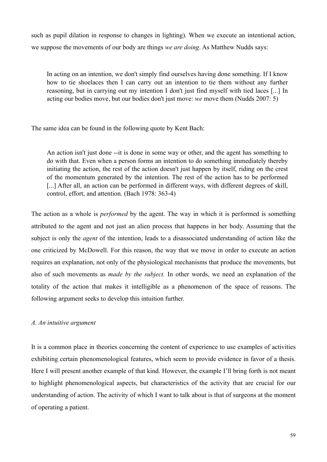such as pupil dilation in response to changes in lighting). When we execute an intentional action, we suppose the movements of our body are things *we are doing*. As Matthew Nudds says:

In acting on an intention, we don't simply find ourselves having done something. If I know how to tie shoelaces then I can carry out an intention to tie them without any further reasoning, but in carrying out my intention I don't just find myself with tied laces [...] In acting our bodies move, but our bodies don't just move: *we* move them (Nudds 2007: 5)

The same idea can be found in the following quote by Kent Bach:

An action isn't just done --it is done in some way or other, and the agent has something to do with that. Even when a person forms an intention to do something immediately thereby initiating the action, the rest of the action doesn't just happen by itself, riding on the crest of the momentum generated by the intention. The rest of the action has to be performed [...] After all, an action can be performed in different ways, with different degrees of skill, control, effort, and attention. (Bach 1978: 363-4)

The action as a whole is *performed* by the agent. The way in which it is performed is something attributed to the agent and not just an alien process that happens in her body. Assuming that the subject is only the *agent* of the intention, leads to a disassociated understanding of action like the one criticized by McDowell. For this reason, the way that we move in order to execute an action requires an explanation, not only of the physiological mechanisms that produce the movements, but also of such movements as *made by the subject.* In other words, we need an explanation of the totality of the action that makes it intelligible as a phenomenon of the space of reasons. The following argument seeks to develop this intuition further.

## *A. An intuitive argument*

It is a common place in theories concerning the content of experience to use examples of activities exhibiting certain phenomenological features, which seem to provide evidence in favor of a thesis. Here I will present another example of that kind. However, the example I'll bring forth is not meant to highlight phenomenological aspects, but characteristics of the activity that are crucial for our understanding of action. The activity of which I want to talk about is that of surgeons at the moment of operating a patient.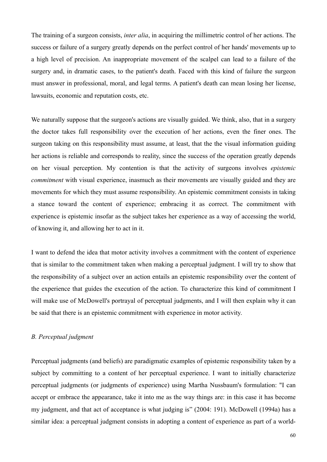The training of a surgeon consists, *inter alia*, in acquiring the millimetric control of her actions. The success or failure of a surgery greatly depends on the perfect control of her hands' movements up to a high level of precision. An inappropriate movement of the scalpel can lead to a failure of the surgery and, in dramatic cases, to the patient's death. Faced with this kind of failure the surgeon must answer in professional, moral, and legal terms. A patient's death can mean losing her license, lawsuits, economic and reputation costs, etc.

We naturally suppose that the surgeon's actions are visually guided. We think, also, that in a surgery the doctor takes full responsibility over the execution of her actions, even the finer ones. The surgeon taking on this responsibility must assume, at least, that the the visual information guiding her actions is reliable and corresponds to reality, since the success of the operation greatly depends on her visual perception. My contention is that the activity of surgeons involves *epistemic commitment* with visual experience, inasmuch as their movements are visually guided and they are movements for which they must assume responsibility. An epistemic commitment consists in taking a stance toward the content of experience; embracing it as correct. The commitment with experience is epistemic insofar as the subject takes her experience as a way of accessing the world, of knowing it, and allowing her to act in it.

I want to defend the idea that motor activity involves a commitment with the content of experience that is similar to the commitment taken when making a perceptual judgment. I will try to show that the responsibility of a subject over an action entails an epistemic responsibility over the content of the experience that guides the execution of the action. To characterize this kind of commitment I will make use of McDowell's portrayal of perceptual judgments, and I will then explain why it can be said that there is an epistemic commitment with experience in motor activity.

#### *B. Perceptual judgment*

Perceptual judgments (and beliefs) are paradigmatic examples of epistemic responsibility taken by a subject by committing to a content of her perceptual experience. I want to initially characterize perceptual judgments (or judgments of experience) using Martha Nussbaum's formulation: "I can accept or embrace the appearance, take it into me as the way things are: in this case it has become my judgment, and that act of acceptance is what judging is" (2004: 191). McDowell (1994a) has a similar idea: a perceptual judgment consists in adopting a content of experience as part of a world-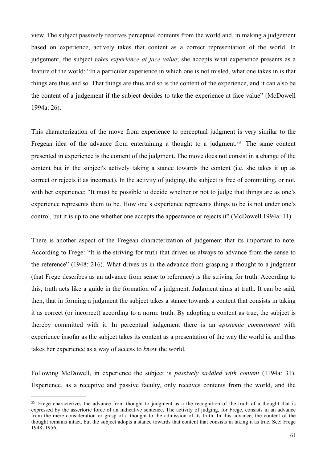view. The subject passively receives perceptual contents from the world and, in making a judgement based on experience, actively takes that content as a correct representation of the world. In judgement, the subject *takes experience at face value*; she accepts what experience presents as a feature of the world: "In a particular experience in which one is not misled, what one takes in is that things are thus and so. That things are thus and so is the content of the experience, and it can also be the content of a judgement if the subject decides to take the experience at face value" (McDowell 1994a: 26).

This characterization of the move from experience to perceptual judgment is very similar to the Fregean idea of the advance from entertaining a thought to a judgment.<sup>33</sup> The same content presented in experience is the content of the judgment. The move does not consist in a change of the content but in the subject's actively taking a stance towards the content (i.e. she takes it up as correct or rejects it as incorrect). In the activity of judging, the subject is free of committing, or not, with her experience: "It must be possible to decide whether or not to judge that things are as one's experience represents them to be. How one's experience represents things to be is not under one's control, but it is up to one whether one accepts the appearance or rejects it" (McDowell 1994a: 11).

There is another aspect of the Fregean characterization of judgement that its important to note. According to Frege: "It is the striving for truth that drives us always to advance from the sense to the reference" (1948: 216). What drives us in the advance from grasping a thought to a judgment (that Frege describes as an advance from sense to reference) is the striving for truth. According to this, truth acts like a guide in the formation of a judgment. Judgment aims at truth. It can be said, then, that in forming a judgment the subject takes a stance towards a content that consists in taking it as correct (or incorrect) according to a norm: truth. By adopting a content as true, the subject is thereby committed with it. In perceptual judgement there is an *epistemic commitment* with experience insofar as the subject takes its content as a presentation of the way the world is, and thus takes her experience as a way of access to *know* the world.

Following McDowell, in experience the subject is *passively saddled with content* (1194a: 31). Experience, as a receptive and passive faculty, only receives contents from the world, and the

<span id="page-60-0"></span><sup>&</sup>lt;sup>33</sup> Frege characterizes the advance from thought to judgment as a the recognition of the truth of a thought that is expressed by the assertoric force of an indicative sentence. The activity of judging, for Frege, consists in an advance from the mere consideration or grasp of a thought to the admission of its truth. In this advance, the content of the thought remains intact, but the subject adopts a stance towards that content that consists in taking it as true. See: Frege 1948; 1956.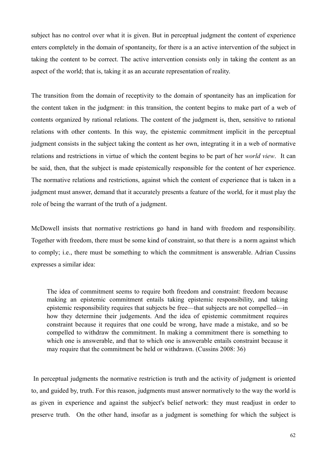subject has no control over what it is given. But in perceptual judgment the content of experience enters completely in the domain of spontaneity, for there is a an active intervention of the subject in taking the content to be correct. The active intervention consists only in taking the content as an aspect of the world; that is, taking it as an accurate representation of reality.

The transition from the domain of receptivity to the domain of spontaneity has an implication for the content taken in the judgment: in this transition, the content begins to make part of a web of contents organized by rational relations. The content of the judgment is, then, sensitive to rational relations with other contents. In this way, the epistemic commitment implicit in the perceptual judgment consists in the subject taking the content as her own, integrating it in a web of normative relations and restrictions in virtue of which the content begins to be part of her *world view*. It can be said, then, that the subject is made epistemically responsible for the content of her experience. The normative relations and restrictions, against which the content of experience that is taken in a judgment must answer, demand that it accurately presents a feature of the world, for it must play the role of being the warrant of the truth of a judgment.

McDowell insists that normative restrictions go hand in hand with freedom and responsibility. Together with freedom, there must be some kind of constraint, so that there is a norm against which to comply; i.e., there must be something to which the commitment is answerable. Adrian Cussins expresses a similar idea:

The idea of commitment seems to require both freedom and constraint: freedom because making an epistemic commitment entails taking epistemic responsibility, and taking epistemic responsibility requires that subjects be free—that subjects are not compelled—in how they determine their judgements. And the idea of epistemic commitment requires constraint because it requires that one could be wrong, have made a mistake, and so be compelled to withdraw the commitment. In making a commitment there is something to which one is answerable, and that to which one is answerable entails constraint because it may require that the commitment be held or withdrawn. (Cussins 2008: 36)

 In perceptual judgments the normative restriction is truth and the activity of judgment is oriented to, and guided by, truth. For this reason, judgments must answer normatively to the way the world is as given in experience and against the subject's belief network: they must readjust in order to preserve truth. On the other hand, insofar as a judgment is something for which the subject is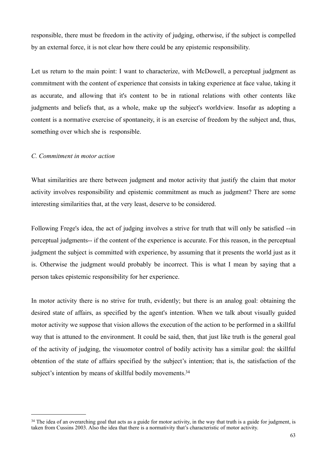responsible, there must be freedom in the activity of judging, otherwise, if the subject is compelled by an external force, it is not clear how there could be any epistemic responsibility.

Let us return to the main point: I want to characterize, with McDowell, a perceptual judgment as commitment with the content of experience that consists in taking experience at face value, taking it as accurate, and allowing that it's content to be in rational relations with other contents like judgments and beliefs that, as a whole, make up the subject's worldview. Insofar as adopting a content is a normative exercise of spontaneity, it is an exercise of freedom by the subject and, thus, something over which she is responsible.

## *C. Commitment in motor action*

What similarities are there between judgment and motor activity that justify the claim that motor activity involves responsibility and epistemic commitment as much as judgment? There are some interesting similarities that, at the very least, deserve to be considered.

Following Frege's idea, the act of judging involves a strive for truth that will only be satisfied --in perceptual judgments-- if the content of the experience is accurate. For this reason, in the perceptual judgment the subject is committed with experience, by assuming that it presents the world just as it is. Otherwise the judgment would probably be incorrect. This is what I mean by saying that a person takes epistemic responsibility for her experience.

In motor activity there is no strive for truth, evidently; but there is an analog goal: obtaining the desired state of affairs, as specified by the agent's intention. When we talk about visually guided motor activity we suppose that vision allows the execution of the action to be performed in a skillful way that is attuned to the environment. It could be said, then, that just like truth is the general goal of the activity of judging, the visuomotor control of bodily activity has a similar goal: the skillful obtention of the state of affairs specified by the subject's intention; that is, the satisfaction of the subject's intention by means of skillful bodily movements.<sup>34</sup>

<span id="page-62-0"></span><sup>&</sup>lt;sup>34</sup> The idea of an overarching goal that acts as a guide for motor activity, in the way that truth is a guide for judgment, is taken from Cussins 2003. Also the idea that there is a normativity that's characteristic of motor activity.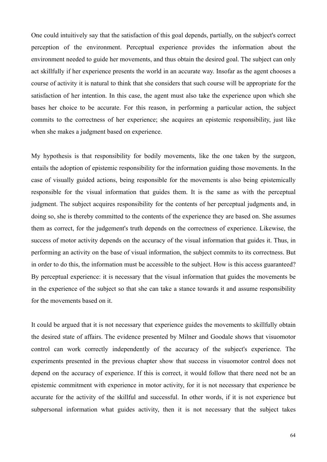One could intuitively say that the satisfaction of this goal depends, partially, on the subject's correct perception of the environment. Perceptual experience provides the information about the environment needed to guide her movements, and thus obtain the desired goal. The subject can only act skillfully if her experience presents the world in an accurate way. Insofar as the agent chooses a course of activity it is natural to think that she considers that such course will be appropriate for the satisfaction of her intention. In this case, the agent must also take the experience upon which she bases her choice to be accurate. For this reason, in performing a particular action, the subject commits to the correctness of her experience; she acquires an epistemic responsibility, just like when she makes a judgment based on experience.

My hypothesis is that responsibility for bodily movements, like the one taken by the surgeon, entails the adoption of epistemic responsibility for the information guiding those movements. In the case of visually guided actions, being responsible for the movements is also being epistemically responsible for the visual information that guides them. It is the same as with the perceptual judgment. The subject acquires responsibility for the contents of her perceptual judgments and, in doing so, she is thereby committed to the contents of the experience they are based on. She assumes them as correct, for the judgement's truth depends on the correctness of experience. Likewise, the success of motor activity depends on the accuracy of the visual information that guides it. Thus, in performing an activity on the base of visual information, the subject commits to its correctness. But in order to do this, the information must be accessible to the subject. How is this access guaranteed? By perceptual experience: it is necessary that the visual information that guides the movements be in the experience of the subject so that she can take a stance towards it and assume responsibility for the movements based on it.

It could be argued that it is not necessary that experience guides the movements to skillfully obtain the desired state of affairs. The evidence presented by Milner and Goodale shows that visuomotor control can work correctly independently of the accuracy of the subject's experience. The experiments presented in the previous chapter show that success in visuomotor control does not depend on the accuracy of experience. If this is correct, it would follow that there need not be an epistemic commitment with experience in motor activity, for it is not necessary that experience be accurate for the activity of the skillful and successful. In other words, if it is not experience but subpersonal information what guides activity, then it is not necessary that the subject takes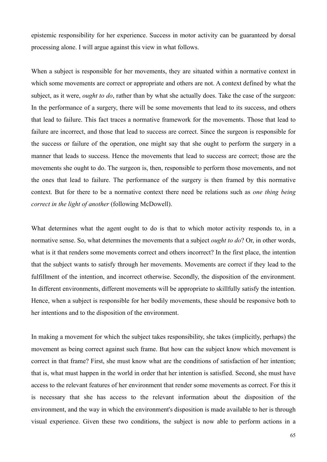epistemic responsibility for her experience. Success in motor activity can be guaranteed by dorsal processing alone. I will argue against this view in what follows.

When a subject is responsible for her movements, they are situated within a normative context in which some movements are correct or appropriate and others are not. A context defined by what the subject, as it were, *ought to do*, rather than by what she actually does. Take the case of the surgeon: In the performance of a surgery, there will be some movements that lead to its success, and others that lead to failure. This fact traces a normative framework for the movements. Those that lead to failure are incorrect, and those that lead to success are correct. Since the surgeon is responsible for the success or failure of the operation, one might say that she ought to perform the surgery in a manner that leads to success. Hence the movements that lead to success are correct; those are the movements she ought to do. The surgeon is, then, responsible to perform those movements, and not the ones that lead to failure. The performance of the surgery is then framed by this normative context. But for there to be a normative context there need be relations such as *one thing being correct in the light of another* (following McDowell).

What determines what the agent ought to do is that to which motor activity responds to, in a normative sense. So, what determines the movements that a subject *ought to do*? Or, in other words, what is it that renders some movements correct and others incorrect? In the first place, the intention that the subject wants to satisfy through her movements. Movements are correct if they lead to the fulfillment of the intention, and incorrect otherwise. Secondly, the disposition of the environment. In different environments, different movements will be appropriate to skillfully satisfy the intention. Hence, when a subject is responsible for her bodily movements, these should be responsive both to her intentions and to the disposition of the environment.

In making a movement for which the subject takes responsibility, she takes (implicitly, perhaps) the movement as being correct against such frame. But how can the subject know which movement is correct in that frame? First, she must know what are the conditions of satisfaction of her intention; that is, what must happen in the world in order that her intention is satisfied. Second, she must have access to the relevant features of her environment that render some movements as correct. For this it is necessary that she has access to the relevant information about the disposition of the environment, and the way in which the environment's disposition is made available to her is through visual experience. Given these two conditions, the subject is now able to perform actions in a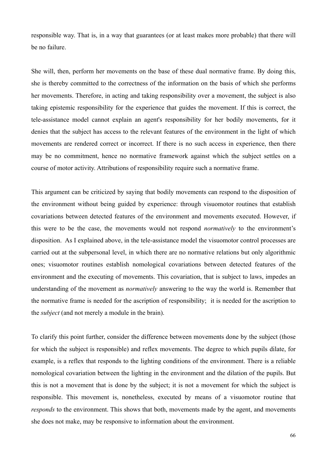responsible way. That is, in a way that guarantees (or at least makes more probable) that there will be no failure.

She will, then, perform her movements on the base of these dual normative frame. By doing this, she is thereby committed to the correctness of the information on the basis of which she performs her movements. Therefore, in acting and taking responsibility over a movement, the subject is also taking epistemic responsibility for the experience that guides the movement. If this is correct, the tele-assistance model cannot explain an agent's responsibility for her bodily movements, for it denies that the subject has access to the relevant features of the environment in the light of which movements are rendered correct or incorrect. If there is no such access in experience, then there may be no commitment, hence no normative framework against which the subject settles on a course of motor activity. Attributions of responsibility require such a normative frame.

This argument can be criticized by saying that bodily movements can respond to the disposition of the environment without being guided by experience: through visuomotor routines that establish covariations between detected features of the environment and movements executed. However, if this were to be the case, the movements would not respond *normatively* to the environment's disposition. As I explained above, in the tele-assistance model the visuomotor control processes are carried out at the subpersonal level, in which there are no normative relations but only algorithmic ones; visuomotor routines establish nomological covariations between detected features of the environment and the executing of movements. This covariation, that is subject to laws, impedes an understanding of the movement as *normatively* answering to the way the world is. Remember that the normative frame is needed for the ascription of responsibility; it is needed for the ascription to the *subject* (and not merely a module in the brain).

To clarify this point further, consider the difference between movements done by the subject (those for which the subject is responsible) and reflex movements. The degree to which pupils dilate, for example, is a reflex that responds to the lighting conditions of the environment. There is a reliable nomological covariation between the lighting in the environment and the dilation of the pupils. But this is not a movement that is done by the subject; it is not a movement for which the subject is responsible. This movement is, nonetheless, executed by means of a visuomotor routine that *responds* to the environment. This shows that both, movements made by the agent, and movements she does not make, may be responsive to information about the environment.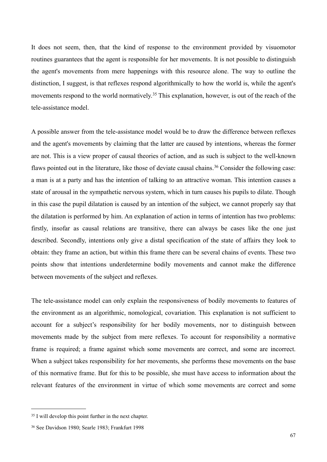It does not seem, then, that the kind of response to the environment provided by visuomotor routines guarantees that the agent is responsible for her movements. It is not possible to distinguish the agent's movements from mere happenings with this resource alone. The way to outline the distinction, I suggest, is that reflexes respond algorithmically to how the world is, while the agent's movements respond to the world normatively.<sup>35</sup> This explanation, however, is out of the reach of the tele-assistance model.

A possible answer from the tele-assistance model would be to draw the difference between reflexes and the agent's movements by claiming that the latter are caused by intentions, whereas the former are not. This is a view proper of causal theories of action, and as such is subject to the well-known flaws pointed out in the literature, like those of deviate causal chains.<sup>36</sup> Consider the following case: a man is at a party and has the intention of talking to an attractive woman. This intention causes a state of arousal in the sympathetic nervous system, which in turn causes his pupils to dilate. Though in this case the pupil dilatation is caused by an intention of the subject, we cannot properly say that the dilatation is performed by him. An explanation of action in terms of intention has two problems: firstly, insofar as causal relations are transitive, there can always be cases like the one just described. Secondly, intentions only give a distal specification of the state of affairs they look to obtain: they frame an action, but within this frame there can be several chains of events. These two points show that intentions underdetermine bodily movements and cannot make the difference between movements of the subject and reflexes.

The tele-assistance model can only explain the responsiveness of bodily movements to features of the environment as an algorithmic, nomological, covariation. This explanation is not sufficient to account for a subject's responsibility for her bodily movements, nor to distinguish between movements made by the subject from mere reflexes. To account for responsibility a normative frame is required; a frame against which some movements are correct, and some are incorrect. When a subject takes responsibility for her movements, she performs these movements on the base of this normative frame. But for this to be possible, she must have access to information about the relevant features of the environment in virtue of which some movements are correct and some

<span id="page-66-0"></span><sup>35</sup> I will develop this point further in the next chapter.

<span id="page-66-1"></span><sup>36</sup> See Davidson 1980; Searle 1983; Frankfurt 1998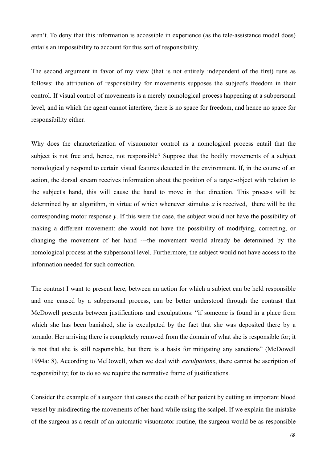aren't. To deny that this information is accessible in experience (as the tele-assistance model does) entails an impossibility to account for this sort of responsibility.

The second argument in favor of my view (that is not entirely independent of the first) runs as follows: the attribution of responsibility for movements supposes the subject's freedom in their control. If visual control of movements is a merely nomological process happening at a subpersonal level, and in which the agent cannot interfere, there is no space for freedom, and hence no space for responsibility either.

Why does the characterization of visuomotor control as a nomological process entail that the subject is not free and, hence, not responsible? Suppose that the bodily movements of a subject nomologically respond to certain visual features detected in the environment. If, in the course of an action, the dorsal stream receives information about the position of a target-object with relation to the subject's hand, this will cause the hand to move in that direction. This process will be determined by an algorithm, in virtue of which whenever stimulus *x* is received, there will be the corresponding motor response *y*. If this were the case, the subject would not have the possibility of making a different movement: she would not have the possibility of modifying, correcting, or changing the movement of her hand ---the movement would already be determined by the nomological process at the subpersonal level. Furthermore, the subject would not have access to the information needed for such correction.

The contrast I want to present here, between an action for which a subject can be held responsible and one caused by a subpersonal process, can be better understood through the contrast that McDowell presents between justifications and exculpations: "if someone is found in a place from which she has been banished, she is exculpated by the fact that she was deposited there by a tornado. Her arriving there is completely removed from the domain of what she is responsible for; it is not that she is still responsible, but there is a basis for mitigating any sanctions" (McDowell 1994a: 8). According to McDowell, when we deal with *exculpations*, there cannot be ascription of responsibility; for to do so we require the normative frame of justifications.

Consider the example of a surgeon that causes the death of her patient by cutting an important blood vessel by misdirecting the movements of her hand while using the scalpel. If we explain the mistake of the surgeon as a result of an automatic visuomotor routine, the surgeon would be as responsible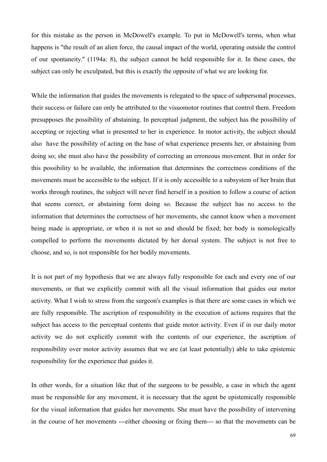for this mistake as the person in McDowell's example. To put in McDowell's terms, when what happens is "the result of an alien force, the causal impact of the world, operating outside the control of our spontaneity." (1194a: 8), the subject cannot be held responsible for it. In these cases, the subject can only be exculpated, but this is exactly the opposite of what we are looking for.

While the information that guides the movements is relegated to the space of subpersonal processes, their success or failure can only be attributed to the visuomotor routines that control them. Freedom presupposes the possibility of abstaining. In perceptual judgment, the subject has the possibility of accepting or rejecting what is presented to her in experience. In motor activity, the subject should also have the possibility of acting on the base of what experience presents her, or abstaining from doing so; she must also have the possibility of correcting an erroneous movement. But in order for this possibility to be available, the information that determines the correctness conditions of the movements must be accessible to the subject. If it is only accessible to a subsystem of her brain that works through routines, the subject will never find herself in a position to follow a course of action that seems correct, or abstaining form doing so. Because the subject has no access to the information that determines the correctness of her movements, she cannot know when a movement being made is appropriate, or when it is not so and should be fixed; her body is nomologically compelled to perform the movements dictated by her dorsal system. The subject is not free to choose, and so, is not responsible for her bodily movements.

It is not part of my hypothesis that we are always fully responsible for each and every one of our movements, or that we explicitly commit with all the visual information that guides our motor activity. What I wish to stress from the surgeon's examples is that there are some cases in which we are fully responsible. The ascription of responsibility in the execution of actions requires that the subject has access to the perceptual contents that guide motor activity. Even if in our daily motor activity we do not explicitly commit with the contents of our experience, the ascription of responsibility over motor activity assumes that we are (at least potentially) able to take epistemic responsibility for the experience that guides it.

In other words, for a situation like that of the surgeons to be possible, a case in which the agent must be responsible for any movement, it is necessary that the agent be epistemically responsible for the visual information that guides her movements. She must have the possibility of intervening in the course of her movements ---either choosing or fixing them--- so that the movements can be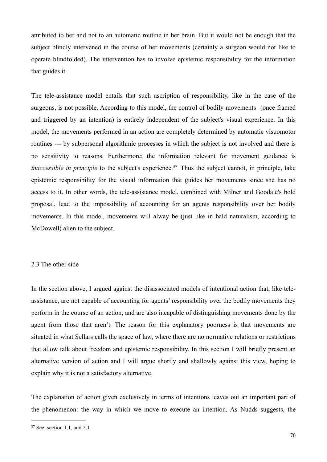attributed to her and not to an automatic routine in her brain. But it would not be enough that the subject blindly intervened in the course of her movements (certainly a surgeon would not like to operate blindfolded). The intervention has to involve epistemic responsibility for the information that guides it.

The tele-assistance model entails that such ascription of responsibility, like in the case of the surgeons, is not possible. According to this model, the control of bodily movements (once framed and triggered by an intention) is entirely independent of the subject's visual experience. In this model, the movements performed in an action are completely determined by automatic visuomotor routines --- by subpersonal algorithmic processes in which the subject is not involved and there is no sensitivity to reasons. Furthermore: the information relevant for movement guidance is *inaccessible in principle* to the subject's experience.<sup>37</sup> Thus the subject cannot, in principle, take epistemic responsibility for the visual information that guides her movements since she has no access to it. In other words, the tele-assistance model, combined with Milner and Goodale's bold proposal, lead to the impossibility of accounting for an agents responsibility over her bodily movements. In this model, movements will alway be (just like in bald naturalism, according to McDowell) alien to the subject.

#### 2.3 The other side

In the section above, I argued against the disassociated models of intentional action that, like teleassistance, are not capable of accounting for agents' responsibility over the bodily movements they perform in the course of an action, and are also incapable of distinguishing movements done by the agent from those that aren't. The reason for this explanatory poorness is that movements are situated in what Sellars calls the space of law, where there are no normative relations or restrictions that allow talk about freedom and epistemic responsibility. In this section I will briefly present an alternative version of action and I will argue shortly and shallowly against this view, hoping to explain why it is not a satisfactory alternative.

The explanation of action given exclusively in terms of intentions leaves out an important part of the phenomenon: the way in which we move to execute an intention. As Nudds suggests, the

<span id="page-69-0"></span><sup>37</sup> See: section 1.1. and 2.1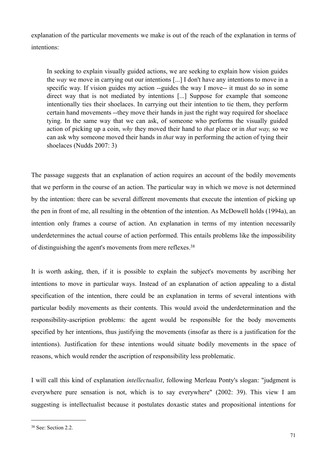explanation of the particular movements we make is out of the reach of the explanation in terms of intentions:

In seeking to explain visually guided actions, we are seeking to explain how vision guides the *way* we move in carrying out our intentions [...] I don't have any intentions to move in a specific way. If vision guides my action --guides the way I move-- it must do so in some direct way that is not mediated by intentions [...] Suppose for example that someone intentionally ties their shoelaces. In carrying out their intention to tie them, they perform certain hand movements --they move their hands in just the right way required for shoelace tying. In the same way that we can ask, of someone who performs the visually guided action of picking up a coin, *why* they moved their hand to *that* place or in *that way,* so we can ask why someone moved their hands in *that* way in performing the action of tying their shoelaces (Nudds 2007: 3)

The passage suggests that an explanation of action requires an account of the bodily movements that we perform in the course of an action. The particular way in which we move is not determined by the intention: there can be several different movements that execute the intention of picking up the pen in front of me, all resulting in the obtention of the intention. As McDowell holds (1994a), an intention only frames a course of action. An explanation in terms of my intention necessarily underdetermines the actual course of action performed. This entails problems like the impossibility of distinguishing the agent's movements from mere reflexes.[38](#page-70-0)

It is worth asking, then, if it is possible to explain the subject's movements by ascribing her intentions to move in particular ways. Instead of an explanation of action appealing to a distal specification of the intention, there could be an explanation in terms of several intentions with particular bodily movements as their contents. This would avoid the underdetermination and the responsibility-ascription problems: the agent would be responsible for the body movements specified by her intentions, thus justifying the movements (insofar as there is a justification for the intentions). Justification for these intentions would situate bodily movements in the space of reasons, which would render the ascription of responsibility less problematic.

I will call this kind of explanation *intellectualist*, following Merleau Ponty's slogan: "judgment is everywhere pure sensation is not, which is to say everywhere" (2002: 39). This view I am suggesting is intellectualist because it postulates doxastic states and propositional intentions for

<span id="page-70-0"></span><sup>38</sup> See: Section 2.2.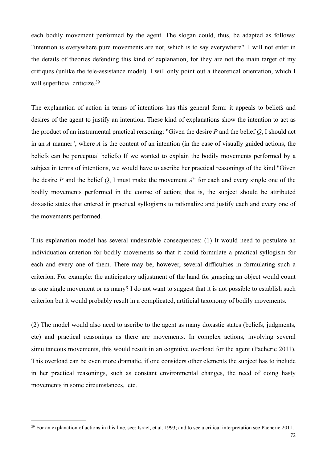each bodily movement performed by the agent. The slogan could, thus, be adapted as follows: "intention is everywhere pure movements are not, which is to say everywhere". I will not enter in the details of theories defending this kind of explanation, for they are not the main target of my critiques (unlike the tele-assistance model). I will only point out a theoretical orientation, which I will superficial criticize.<sup>39</sup>

The explanation of action in terms of intentions has this general form: it appeals to beliefs and desires of the agent to justify an intention. These kind of explanations show the intention to act as the product of an instrumental practical reasoning: "Given the desire *P* and the belief *Q*, I should act in an *A* manner", where *A* is the content of an intention (in the case of visually guided actions, the beliefs can be perceptual beliefs) If we wanted to explain the bodily movements performed by a subject in terms of intentions, we would have to ascribe her practical reasonings of the kind "Given the desire *P* and the belief *Q*, I must make the movement *A*" for each and every single one of the bodily movements performed in the course of action; that is, the subject should be attributed doxastic states that entered in practical syllogisms to rationalize and justify each and every one of the movements performed.

This explanation model has several undesirable consequences: (1) It would need to postulate an individuation criterion for bodily movements so that it could formulate a practical syllogism for each and every one of them. There may be, however, several difficulties in formulating such a criterion. For example: the anticipatory adjustment of the hand for grasping an object would count as one single movement or as many? I do not want to suggest that it is not possible to establish such criterion but it would probably result in a complicated, artificial taxonomy of bodily movements.

(2) The model would also need to ascribe to the agent as many doxastic states (beliefs, judgments, etc) and practical reasonings as there are movements. In complex actions, involving several simultaneous movements, this would result in an cognitive overload for the agent (Pacherie 2011). This overload can be even more dramatic, if one considers other elements the subject has to include in her practical reasonings, such as constant environmental changes, the need of doing hasty movements in some circumstances, etc.

<span id="page-71-0"></span><sup>&</sup>lt;sup>39</sup> For an explanation of actions in this line, see: Israel, et al. 1993; and to see a critical interpretation see Pacherie 2011.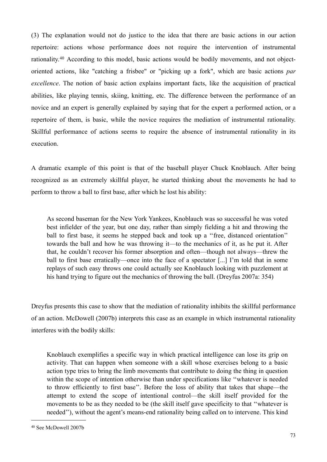(3) The explanation would not do justice to the idea that there are basic actions in our action repertoire: actions whose performance does not require the intervention of instrumental rationality.[40](#page-72-0) According to this model, basic actions would be bodily movements, and not objectoriented actions, like "catching a frisbee" or "picking up a fork", which are basic actions *par excellence*. The notion of basic action explains important facts, like the acquisition of practical abilities, like playing tennis, skiing, knitting, etc. The difference between the performance of an novice and an expert is generally explained by saying that for the expert a performed action, or a repertoire of them, is basic, while the novice requires the mediation of instrumental rationality. Skillful performance of actions seems to require the absence of instrumental rationality in its execution.

A dramatic example of this point is that of the baseball player Chuck Knoblauch. After being recognized as an extremely skillful player, he started thinking about the movements he had to perform to throw a ball to first base, after which he lost his ability:

As second baseman for the New York Yankees, Knoblauch was so successful he was voted best infielder of the year, but one day, rather than simply fielding a hit and throwing the ball to first base, it seems he stepped back and took up a "free, distanced orientation" towards the ball and how he was throwing it—to the mechanics of it, as he put it. After that, he couldn't recover his former absorption and often—though not always—threw the ball to first base erratically—once into the face of a spectator [...] I'm told that in some replays of such easy throws one could actually see Knoblauch looking with puzzlement at his hand trying to figure out the mechanics of throwing the ball. (Dreyfus 2007a: 354)

Dreyfus presents this case to show that the mediation of rationality inhibits the skillful performance of an action. McDowell (2007b) interprets this case as an example in which instrumental rationality interferes with the bodily skills:

Knoblauch exemplifies a specific way in which practical intelligence can lose its grip on activity. That can happen when someone with a skill whose exercises belong to a basic action type tries to bring the limb movements that contribute to doing the thing in question within the scope of intention otherwise than under specifications like ''whatever is needed to throw efficiently to first base''. Before the loss of ability that takes that shape—the attempt to extend the scope of intentional control—the skill itself provided for the movements to be as they needed to be (the skill itself gave specificity to that ''whatever is needed''), without the agent's means-end rationality being called on to intervene. This kind

<span id="page-72-0"></span><sup>40</sup> See McDowell 2007b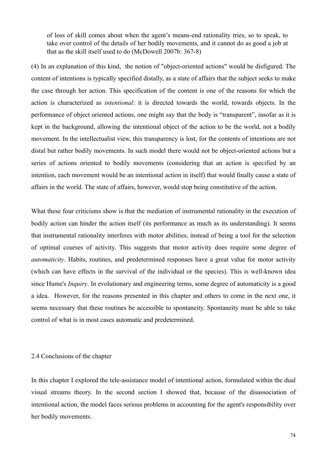of loss of skill comes about when the agent's means-end rationality tries, so to speak, to take over control of the details of her bodily movements, and it cannot do as good a job at that as the skill itself used to do (McDowell 2007b: 367-8)

(4) In an explanation of this kind, the notion of "object-oriented actions" would be disfigured. The content of intentions is typically specified distally, as a state of affairs that the subject seeks to make the case through her action. This specification of the content is one of the reasons for which the action is characterized as *intentional*: it is directed towards the world, towards objects. In the performance of object oriented actions, one might say that the body is "transparent", insofar as it is kept in the background, allowing the intentional object of the action to be the world, not a bodily movement. In the intellectualist view, this transparency is lost, for the contents of intentions are not distal but rather bodily movements. In such model there would not be object-oriented actions but a series of actions oriented to bodily movements (considering that an action is specified by an intention, each movement would be an intentional action in itself) that would finally cause a state of affairs in the world. The state of affairs, however, would stop being constitutive of the action.

What these four criticisms show is that the mediation of instrumental rationality in the execution of bodily action can hinder the action itself (its performance as much as its understanding). It seems that instrumental rationality interferes with motor abilities, instead of being a tool for the selection of optimal courses of activity. This suggests that motor activity does require some degree of *automaticity*. Habits, routines, and predetermined responses have a great value for motor activity (which can have effects in the survival of the individual or the species). This is well-known idea since Hume's *Inquiry*. In evolutionary and engineering terms, some degree of automaticity is a good a idea. However, for the reasons presented in this chapter and others to come in the next one, it seems necessary that these routines be accessible to spontaneity. Spontaneity must be able to take control of what is in most cases automatic and predetermined.

#### 2.4 Conclusions of the chapter

In this chapter I explored the tele-assistance model of intentional action, formulated within the dual visual streams theory. In the second section I showed that, because of the disassociation of intentional action, the model faces serious problems in accounting for the agent's responsibility over her bodily movements.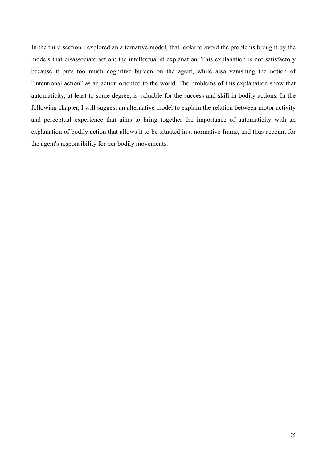In the third section I explored an alternative model, that looks to avoid the problems brought by the models that disassociate action: the intellectualist explanation. This explanation is not satisfactory because it puts too much cognitive burden on the agent, while also vanishing the notion of "intentional action" as an action oriented to the world. The problems of this explanation show that automaticity, at least to some degree, is valuable for the success and skill in bodily actions. In the following chapter, I will suggest an alternative model to explain the relation between motor activity and perceptual experience that aims to bring together the importance of automaticity with an explanation of bodily action that allows it to be situated in a normative frame, and thus account for the agent's responsibility for her bodily movements.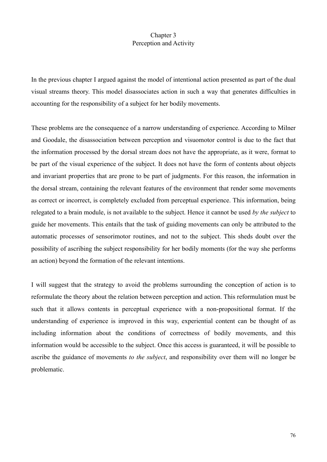# Chapter 3 Perception and Activity

In the previous chapter I argued against the model of intentional action presented as part of the dual visual streams theory. This model disassociates action in such a way that generates difficulties in accounting for the responsibility of a subject for her bodily movements.

These problems are the consequence of a narrow understanding of experience. According to Milner and Goodale, the disassociation between perception and visuomotor control is due to the fact that the information processed by the dorsal stream does not have the appropriate, as it were, format to be part of the visual experience of the subject. It does not have the form of contents about objects and invariant properties that are prone to be part of judgments. For this reason, the information in the dorsal stream, containing the relevant features of the environment that render some movements as correct or incorrect, is completely excluded from perceptual experience. This information, being relegated to a brain module, is not available to the subject. Hence it cannot be used *by the subject* to guide her movements. This entails that the task of guiding movements can only be attributed to the automatic processes of sensorimotor routines, and not to the subject. This sheds doubt over the possibility of ascribing the subject responsibility for her bodily moments (for the way she performs an action) beyond the formation of the relevant intentions.

I will suggest that the strategy to avoid the problems surrounding the conception of action is to reformulate the theory about the relation between perception and action. This reformulation must be such that it allows contents in perceptual experience with a non-propositional format. If the understanding of experience is improved in this way, experiential content can be thought of as including information about the conditions of correctness of bodily movements, and this information would be accessible to the subject. Once this access is guaranteed, it will be possible to ascribe the guidance of movements *to the subject*, and responsibility over them will no longer be problematic.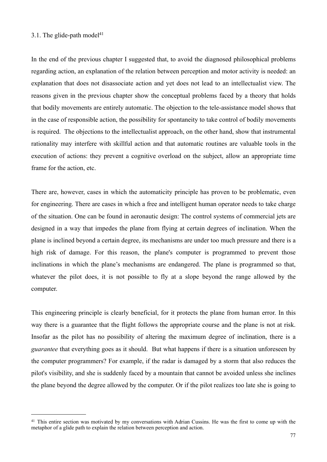### 3.1. The glide-path model $41$

In the end of the previous chapter I suggested that, to avoid the diagnosed philosophical problems regarding action, an explanation of the relation between perception and motor activity is needed: an explanation that does not disassociate action and yet does not lead to an intellectualist view. The reasons given in the previous chapter show the conceptual problems faced by a theory that holds that bodily movements are entirely automatic. The objection to the tele-assistance model shows that in the case of responsible action, the possibility for spontaneity to take control of bodily movements is required. The objections to the intellectualist approach, on the other hand, show that instrumental rationality may interfere with skillful action and that automatic routines are valuable tools in the execution of actions: they prevent a cognitive overload on the subject, allow an appropriate time frame for the action, etc.

There are, however, cases in which the automaticity principle has proven to be problematic, even for engineering. There are cases in which a free and intelligent human operator needs to take charge of the situation. One can be found in aeronautic design: The control systems of commercial jets are designed in a way that impedes the plane from flying at certain degrees of inclination. When the plane is inclined beyond a certain degree, its mechanisms are under too much pressure and there is a high risk of damage. For this reason, the plane's computer is programmed to prevent those inclinations in which the plane's mechanisms are endangered. The plane is programmed so that, whatever the pilot does, it is not possible to fly at a slope beyond the range allowed by the computer.

This engineering principle is clearly beneficial, for it protects the plane from human error. In this way there is a guarantee that the flight follows the appropriate course and the plane is not at risk. Insofar as the pilot has no possibility of altering the maximum degree of inclination, there is a *guarantee* that everything goes as it should. But what happens if there is a situation unforeseen by the computer programmers? For example, if the radar is damaged by a storm that also reduces the pilot's visibility, and she is suddenly faced by a mountain that cannot be avoided unless she inclines the plane beyond the degree allowed by the computer. Or if the pilot realizes too late she is going to

<span id="page-76-0"></span><sup>&</sup>lt;sup>41</sup> This entire section was motivated by my conversations with Adrian Cussins. He was the first to come up with the metaphor of a glide path to explain the relation between perception and action.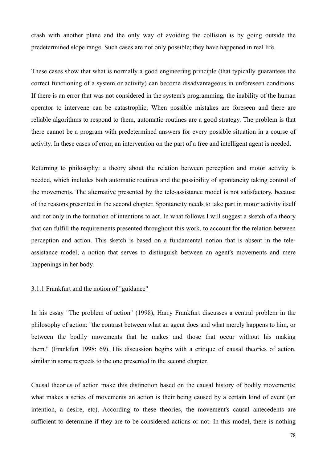crash with another plane and the only way of avoiding the collision is by going outside the predetermined slope range. Such cases are not only possible; they have happened in real life.

These cases show that what is normally a good engineering principle (that typically guarantees the correct functioning of a system or activity) can become disadvantageous in unforeseen conditions. If there is an error that was not considered in the system's programming, the inability of the human operator to intervene can be catastrophic. When possible mistakes are foreseen and there are reliable algorithms to respond to them, automatic routines are a good strategy. The problem is that there cannot be a program with predetermined answers for every possible situation in a course of activity. In these cases of error, an intervention on the part of a free and intelligent agent is needed.

Returning to philosophy: a theory about the relation between perception and motor activity is needed, which includes both automatic routines and the possibility of spontaneity taking control of the movements. The alternative presented by the tele-assistance model is not satisfactory, because of the reasons presented in the second chapter. Spontaneity needs to take part in motor activity itself and not only in the formation of intentions to act. In what follows I will suggest a sketch of a theory that can fulfill the requirements presented throughout this work, to account for the relation between perception and action. This sketch is based on a fundamental notion that is absent in the teleassistance model; a notion that serves to distinguish between an agent's movements and mere happenings in her body.

#### 3.1.1 Frankfurt and the notion of "guidance"

In his essay "The problem of action" (1998), Harry Frankfurt discusses a central problem in the philosophy of action: "the contrast between what an agent does and what merely happens to him, or between the bodily movements that he makes and those that occur without his making them." (Frankfurt 1998: 69). His discussion begins with a critique of causal theories of action, similar in some respects to the one presented in the second chapter.

Causal theories of action make this distinction based on the causal history of bodily movements: what makes a series of movements an action is their being caused by a certain kind of event (an intention, a desire, etc). According to these theories, the movement's causal antecedents are sufficient to determine if they are to be considered actions or not. In this model, there is nothing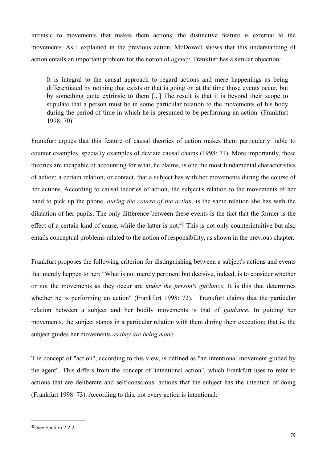intrinsic to movements that makes them actions; the distinctive feature is external to the movements. As I explained in the previous action, McDowell shows that this understanding of action entails an important problem for the notion of *agency*. Frankfurt has a similar objection:

It is integral to the causal approach to regard actions and mere happenings as being differentiated by nothing that exists or that is going on at the time those events occur, but by something quite extrinsic to them [...] The result is that it is beyond their scope to stipulate that a person must be in some particular relation to the movements of his body during the period of time in which he is presumed to be performing an action. (Frankfurt 1998: 70)

Frankfurt argues that this feature of causal theories of action makes them particularly liable to counter examples, specially examples of deviate causal chains (1998: 71). More importantly, these theories are incapable of accounting for what, he claims, is one the most fundamental characteristics of action: a certain relation, or contact, that a subject has with her movements during the course of her actions. According to causal theories of action, the subject's relation to the movements of her hand to pick up the phone, *during the course of the action*, is the same relation she has with the dilatation of her pupils. The only difference between these events is the fact that the former is the effect of a certain kind of cause, while the latter is not.<sup>42</sup> This is not only counterintuitive but also entails conceptual problems related to the notion of responsibility, as shown in the previous chapter.

Frankfurt proposes the following criterion for distinguishing between a subject's actions and events that merely happen to her: "What is not merely pertinent but decisive, indeed, is to consider whether or not the movements as they occur are *under the person's guidance.* It is this that determines whether he is performing an action" (Frankfurt 1998: 72). Frankfurt claims that the particular relation between a subject and her bodily movements is that of *guidance*. In guiding her movements, the subject stands in a particular relation with them during their execution; that is, the subject guides her movements *as they are being made*.

The concept of "action", according to this view, is defined as "an intentional movement guided by the agent". This differs from the concept of 'intentional action", which Frankfurt uses to refer to actions that are deliberate and self-conscious: actions that the subject has the intention of doing (Frankfurt 1998: 73). According to this, not every action is intentional:

<span id="page-78-0"></span><sup>42</sup> See Section 2.2.2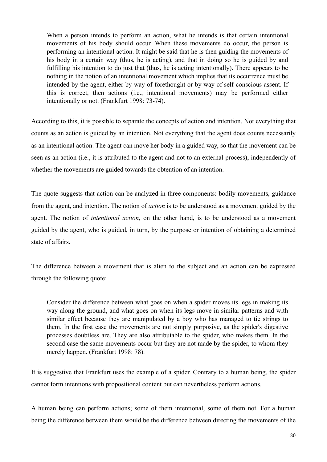When a person intends to perform an action, what he intends is that certain intentional movements of his body should occur. When these movements do occur, the person is performing an intentional action. It might be said that he is then guiding the movements of his body in a certain way (thus, he is acting), and that in doing so he is guided by and fulfilling his intention to do just that (thus, he is acting intentionally). There appears to be nothing in the notion of an intentional movement which implies that its occurrence must be intended by the agent, either by way of forethought or by way of self-conscious assent. If this is correct, then actions (i.e., intentional movements) may be performed either intentionally or not. (Frankfurt 1998: 73-74).

According to this, it is possible to separate the concepts of action and intention. Not everything that counts as an action is guided by an intention. Not everything that the agent does counts necessarily as an intentional action. The agent can move her body in a guided way, so that the movement can be seen as an action (i.e., it is attributed to the agent and not to an external process), independently of whether the movements are guided towards the obtention of an intention.

The quote suggests that action can be analyzed in three components: bodily movements, guidance from the agent, and intention. The notion of *action* is to be understood as a movement guided by the agent. The notion of *intentional action*, on the other hand, is to be understood as a movement guided by the agent, who is guided, in turn, by the purpose or intention of obtaining a determined state of affairs.

The difference between a movement that is alien to the subject and an action can be expressed through the following quote:

Consider the difference between what goes on when a spider moves its legs in making its way along the ground, and what goes on when its legs move in similar patterns and with similar effect because they are manipulated by a boy who has managed to tie strings to them. In the first case the movements are not simply purposive, as the spider's digestive processes doubtless are. They are also attributable to the spider, who makes them. In the second case the same movements occur but they are not made by the spider, to whom they merely happen. (Frankfurt 1998: 78).

It is suggestive that Frankfurt uses the example of a spider. Contrary to a human being, the spider cannot form intentions with propositional content but can nevertheless perform actions.

A human being can perform actions; some of them intentional, some of them not. For a human being the difference between them would be the difference between directing the movements of the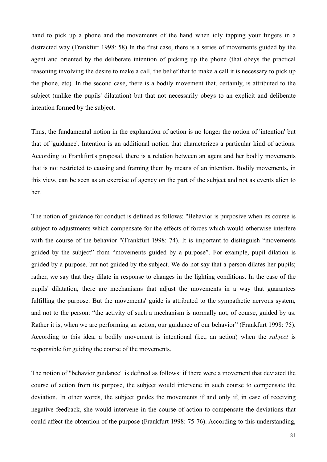hand to pick up a phone and the movements of the hand when idly tapping your fingers in a distracted way (Frankfurt 1998: 58) In the first case, there is a series of movements guided by the agent and oriented by the deliberate intention of picking up the phone (that obeys the practical reasoning involving the desire to make a call, the belief that to make a call it is necessary to pick up the phone, etc). In the second case, there is a bodily movement that, certainly, is attributed to the subject (unlike the pupils' dilatation) but that not necessarily obeys to an explicit and deliberate intention formed by the subject.

Thus, the fundamental notion in the explanation of action is no longer the notion of 'intention' but that of 'guidance'. Intention is an additional notion that characterizes a particular kind of actions. According to Frankfurt's proposal, there is a relation between an agent and her bodily movements that is not restricted to causing and framing them by means of an intention. Bodily movements, in this view, can be seen as an exercise of agency on the part of the subject and not as events alien to her.

The notion of guidance for conduct is defined as follows: "Behavior is purposive when its course is subject to adjustments which compensate for the effects of forces which would otherwise interfere with the course of the behavior "(Frankfurt 1998: 74). It is important to distinguish "movements" guided by the subject" from "movements guided by a purpose". For example, pupil dilation is guided by a purpose, but not guided by the subject. We do not say that a person dilates her pupils; rather, we say that they dilate in response to changes in the lighting conditions. In the case of the pupils' dilatation, there are mechanisms that adjust the movements in a way that guarantees fulfilling the purpose. But the movements' guide is attributed to the sympathetic nervous system, and not to the person: "the activity of such a mechanism is normally not, of course, guided by us. Rather it is, when we are performing an action, our guidance of our behavior" (Frankfurt 1998: 75). According to this idea, a bodily movement is intentional (i.e., an action) when the *subject* is responsible for guiding the course of the movements.

The notion of "behavior guidance" is defined as follows: if there were a movement that deviated the course of action from its purpose, the subject would intervene in such course to compensate the deviation. In other words, the subject guides the movements if and only if, in case of receiving negative feedback, she would intervene in the course of action to compensate the deviations that could affect the obtention of the purpose (Frankfurt 1998: 75-76). According to this understanding,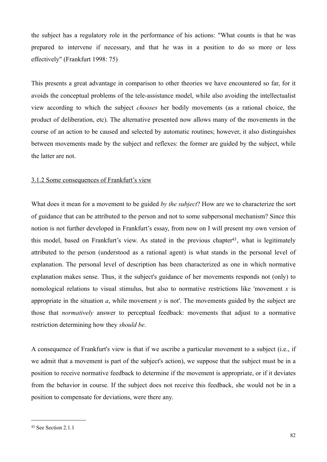the subject has a regulatory role in the performance of his actions: "What counts is that he was prepared to intervene if necessary, and that he was in a position to do so more or less effectively" (Frankfurt 1998: 75)

This presents a great advantage in comparison to other theories we have encountered so far, for it avoids the conceptual problems of the tele-assistance model, while also avoiding the intellectualist view according to which the subject *chooses* her bodily movements (as a rational choice, the product of deliberation, etc). The alternative presented now allows many of the movements in the course of an action to be caused and selected by automatic routines; however, it also distinguishes between movements made by the subject and reflexes: the former are guided by the subject, while the latter are not.

### 3.1.2 Some consequences of Frankfurt's view

What does it mean for a movement to be guided *by the subject*? How are we to characterize the sort of guidance that can be attributed to the person and not to some subpersonal mechanism? Since this notion is not further developed in Frankfurt's essay, from now on I will present my own version of this model, based on Frankfurt's view. As stated in the previous chapte[r43](#page-81-0), what is legitimately attributed to the person (understood as a rational agent) is what stands in the personal level of explanation. The personal level of description has been characterized as one in which normative explanation makes sense. Thus, it the subject's guidance of her movements responds not (only) to nomological relations to visual stimulus, but also to normative restrictions like 'movement *x* is appropriate in the situation *a*, while movement *y* is not'. The movements guided by the subject are those that *normatively* answer to perceptual feedback: movements that adjust to a normative restriction determining how they *should be*.

A consequence of Frankfurt's view is that if we ascribe a particular movement to a subject (i.e., if we admit that a movement is part of the subject's action), we suppose that the subject must be in a position to receive normative feedback to determine if the movement is appropriate, or if it deviates from the behavior in course. If the subject does not receive this feedback, she would not be in a position to compensate for deviations, were there any.

<span id="page-81-0"></span><sup>43</sup> See Section 2.1.1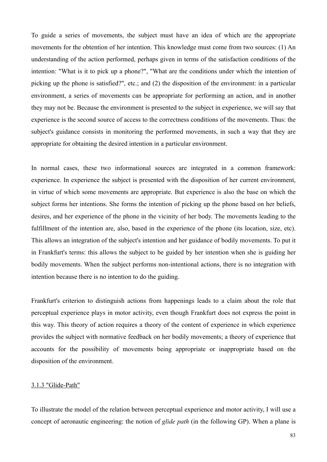To guide a series of movements, the subject must have an idea of which are the appropriate movements for the obtention of her intention. This knowledge must come from two sources: (1) An understanding of the action performed, perhaps given in terms of the satisfaction conditions of the intention: "What is it to pick up a phone?", "What are the conditions under which the intention of picking up the phone is satisfied?", etc.; and (2) the disposition of the environment: in a particular environment, a series of movements can be appropriate for performing an action, and in another they may not be. Because the environment is presented to the subject in experience, we will say that experience is the second source of access to the correctness conditions of the movements. Thus: the subject's guidance consists in monitoring the performed movements, in such a way that they are appropriate for obtaining the desired intention in a particular environment.

In normal cases, these two informational sources are integrated in a common framework: experience. In experience the subject is presented with the disposition of her current environment, in virtue of which some movements are appropriate. But experience is also the base on which the subject forms her intentions. She forms the intention of picking up the phone based on her beliefs, desires, and her experience of the phone in the vicinity of her body. The movements leading to the fulfillment of the intention are, also, based in the experience of the phone (its location, size, etc). This allows an integration of the subject's intention and her guidance of bodily movements. To put it in Frankfurt's terms: this allows the subject to be guided by her intention when she is guiding her bodily movements. When the subject performs non-intentional actions, there is no integration with intention because there is no intention to do the guiding.

Frankfurt's criterion to distinguish actions from happenings leads to a claim about the role that perceptual experience plays in motor activity, even though Frankfurt does not express the point in this way. This theory of action requires a theory of the content of experience in which experience provides the subject with normative feedback on her bodily movements; a theory of experience that accounts for the possibility of movements being appropriate or inappropriate based on the disposition of the environment.

#### 3.1.3 "Glide-Path"

To illustrate the model of the relation between perceptual experience and motor activity, I will use a concept of aeronautic engineering: the notion of *glide path* (in the following GP). When a plane is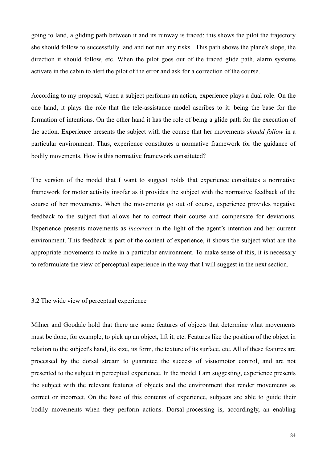going to land, a gliding path between it and its runway is traced: this shows the pilot the trajectory she should follow to successfully land and not run any risks. This path shows the plane's slope, the direction it should follow, etc. When the pilot goes out of the traced glide path, alarm systems activate in the cabin to alert the pilot of the error and ask for a correction of the course.

According to my proposal, when a subject performs an action, experience plays a dual role. On the one hand, it plays the role that the tele-assistance model ascribes to it: being the base for the formation of intentions. On the other hand it has the role of being a glide path for the execution of the action. Experience presents the subject with the course that her movements *should follow* in a particular environment. Thus, experience constitutes a normative framework for the guidance of bodily movements. How is this normative framework constituted?

The version of the model that I want to suggest holds that experience constitutes a normative framework for motor activity insofar as it provides the subject with the normative feedback of the course of her movements. When the movements go out of course, experience provides negative feedback to the subject that allows her to correct their course and compensate for deviations. Experience presents movements as *incorrect* in the light of the agent's intention and her current environment. This feedback is part of the content of experience, it shows the subject what are the appropriate movements to make in a particular environment. To make sense of this, it is necessary to reformulate the view of perceptual experience in the way that I will suggest in the next section.

#### 3.2 The wide view of perceptual experience

Milner and Goodale hold that there are some features of objects that determine what movements must be done, for example, to pick up an object, lift it, etc. Features like the position of the object in relation to the subject's hand, its size, its form, the texture of its surface, etc. All of these features are processed by the dorsal stream to guarantee the success of visuomotor control, and are not presented to the subject in perceptual experience. In the model I am suggesting, experience presents the subject with the relevant features of objects and the environment that render movements as correct or incorrect. On the base of this contents of experience, subjects are able to guide their bodily movements when they perform actions. Dorsal-processing is, accordingly, an enabling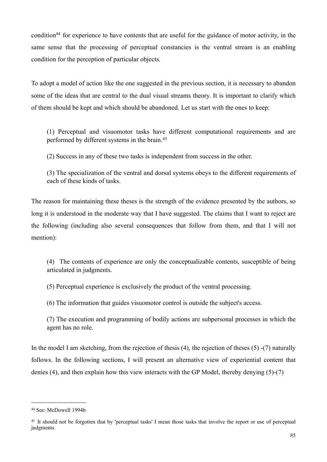conditio[n44](#page-84-0) for experience to have contents that are useful for the guidance of motor activity, in the same sense that the processing of perceptual constancies is the ventral stream is an enabling condition for the perception of particular objects.

To adopt a model of action like the one suggested in the previous section, it is necessary to abandon some of the ideas that are central to the dual visual streams theory. It is important to clarify which of them should be kept and which should be abandoned. Let us start with the ones to keep:

(1) Perceptual and visuomotor tasks have different computational requirements and are performed by different systems in the brain.[45](#page-84-1)

(2) Success in any of these two tasks is independent from success in the other.

(3) The specialization of the ventral and dorsal systems obeys to the different requirements of each of these kinds of tasks.

The reason for maintaining these theses is the strength of the evidence presented by the authors, so long it is understood in the moderate way that I have suggested. The claims that I want to reject are the following (including also several consequences that follow from them, and that I will not mention):

(4) The contents of experience are only the conceptualizable contents, susceptible of being articulated in judgments.

(5) Perceptual experience is exclusively the product of the ventral processing.

(6) The information that guides visuomotor control is outside the subject's access.

(7) The execution and programming of bodily actions are subpersonal processes in which the agent has no role.

In the model I am sketching, from the rejection of thesis  $(4)$ , the rejection of theses  $(5)$  - $(7)$  naturally follows. In the following sections, I will present an alternative view of experiential content that denies (4), and then explain how this view interacts with the GP Model, thereby denying (5)-(7)

<span id="page-84-0"></span><sup>44</sup> See: McDowell 1994b

<span id="page-84-1"></span><sup>&</sup>lt;sup>45</sup> It should not be forgotten that by 'perceptual tasks' I mean those tasks that involve the report or use of perceptual judgments.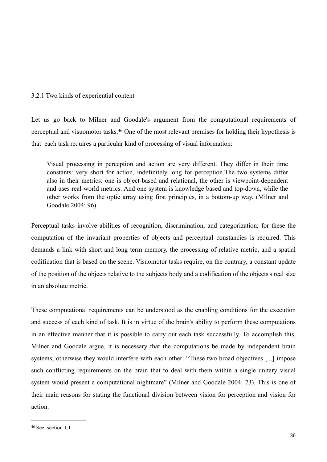## 3.2.1 Two kinds of experiential content

Let us go back to Milner and Goodale's argument from the computational requirements of perceptual and visuomotor tasks[.46](#page-85-0) One of the most relevant premises for holding their hypothesis is that each task requires a particular kind of processing of visual information:

Visual processing in perception and action are very different. They differ in their time constants: very short for action, indefinitely long for perception.The two systems differ also in their metrics: one is object-based and relational, the other is viewpoint-dependent and uses real-world metrics. And one system is knowledge based and top-down, while the other works from the optic array using first principles, in a bottom-up way. (Milner and Goodale 2004: 96)

Perceptual tasks involve abilities of recognition, discrimination, and categorization; for these the computation of the invariant properties of objects and perceptual constancies is required. This demands a link with short and long term memory, the processing of relative metric, and a spatial codification that is based on the scene. Visuomotor tasks require, on the contrary, a constant update of the position of the objects relative to the subjects body and a codification of the objects's real size in an absolute metric.

These computational requirements can be understood as the enabling conditions for the execution and success of each kind of task. It is in virtue of the brain's ability to perform these computations in an effective manner that it is possible to carry out each task successfully. To accomplish this, Milner and Goodale argue, it is necessary that the computations be made by independent brain systems; otherwise they would interfere with each other: "These two broad objectives [...] impose such conflicting requirements on the brain that to deal with them within a single unitary visual system would present a computational nightmare" (Milner and Goodale 2004: 73). This is one of their main reasons for stating the functional division between vision for perception and vision for action.

<span id="page-85-0"></span><sup>46</sup> See: section 1.1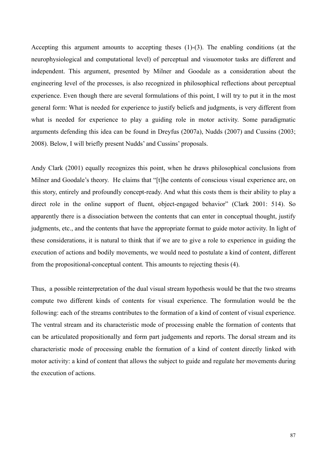Accepting this argument amounts to accepting theses (1)-(3). The enabling conditions (at the neurophysiological and computational level) of perceptual and visuomotor tasks are different and independent. This argument, presented by Milner and Goodale as a consideration about the engineering level of the processes, is also recognized in philosophical reflections about perceptual experience. Even though there are several formulations of this point, I will try to put it in the most general form: What is needed for experience to justify beliefs and judgments, is very different from what is needed for experience to play a guiding role in motor activity. Some paradigmatic arguments defending this idea can be found in Dreyfus (2007a), Nudds (2007) and Cussins (2003; 2008). Below, I will briefly present Nudds' and Cussins' proposals.

Andy Clark (2001) equally recognizes this point, when he draws philosophical conclusions from Milner and Goodale's theory. He claims that "[t]he contents of conscious visual experience are, on this story, entirely and profoundly concept-ready. And what this costs them is their ability to play a direct role in the online support of fluent, object-engaged behavior" (Clark 2001: 514). So apparently there is a dissociation between the contents that can enter in conceptual thought, justify judgments, etc., and the contents that have the appropriate format to guide motor activity. In light of these considerations, it is natural to think that if we are to give a role to experience in guiding the execution of actions and bodily movements, we would need to postulate a kind of content, different from the propositional-conceptual content. This amounts to rejecting thesis (4).

Thus, a possible reinterpretation of the dual visual stream hypothesis would be that the two streams compute two different kinds of contents for visual experience. The formulation would be the following: each of the streams contributes to the formation of a kind of content of visual experience. The ventral stream and its characteristic mode of processing enable the formation of contents that can be articulated propositionally and form part judgements and reports. The dorsal stream and its characteristic mode of processing enable the formation of a kind of content directly linked with motor activity: a kind of content that allows the subject to guide and regulate her movements during the execution of actions.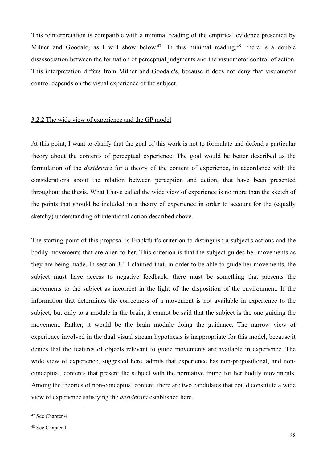This reinterpretation is compatible with a minimal reading of the empirical evidence presented by Milner and Goodale, as I will show below.<sup>47</sup> In this minimal reading,  $48$  there is a double disassociation between the formation of perceptual judgments and the visuomotor control of action. This interpretation differs from Milner and Goodale's, because it does not deny that visuomotor control depends on the visual experience of the subject.

### 3.2.2 The wide view of experience and the GP model

At this point, I want to clarify that the goal of this work is not to formulate and defend a particular theory about the contents of perceptual experience. The goal would be better described as the formulation of the *desiderata* for a theory of the content of experience, in accordance with the considerations about the relation between perception and action, that have been presented throughout the thesis. What I have called the wide view of experience is no more than the sketch of the points that should be included in a theory of experience in order to account for the (equally sketchy) understanding of intentional action described above.

The starting point of this proposal is Frankfurt's criterion to distinguish a subject's actions and the bodily movements that are alien to her. This criterion is that the subject guides her movements as they are being made. In section 3.1 I claimed that, in order to be able to guide her movements, the subject must have access to negative feedback: there must be something that presents the movements to the subject as incorrect in the light of the disposition of the environment. If the information that determines the correctness of a movement is not available in experience to the subject, but only to a module in the brain, it cannot be said that the subject is the one guiding the movement. Rather, it would be the brain module doing the guidance. The narrow view of experience involved in the dual visual stream hypothesis is inappropriate for this model, because it denies that the features of objects relevant to guide movements are available in experience. The wide view of experience, suggested here, admits that experience has non-propositional, and nonconceptual, contents that present the subject with the normative frame for her bodily movements. Among the theories of non-conceptual content, there are two candidates that could constitute a wide view of experience satisfying the *desiderata* established here.

<span id="page-87-0"></span><sup>47</sup> See Chapter 4

<span id="page-87-1"></span><sup>48</sup> See Chapter 1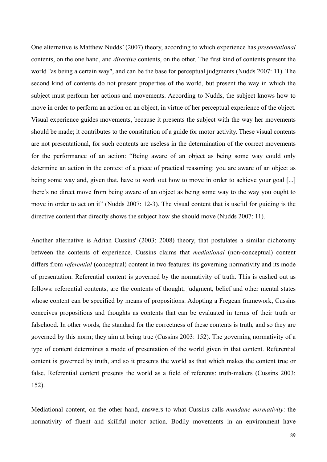One alternative is Matthew Nudds' (2007) theory, according to which experience has *presentational* contents, on the one hand, and *directive* contents, on the other. The first kind of contents present the world "as being a certain way", and can be the base for perceptual judgments (Nudds 2007: 11). The second kind of contents do not present properties of the world, but present the way in which the subject must perform her actions and movements. According to Nudds, the subject knows how to move in order to perform an action on an object, in virtue of her perceptual experience of the object. Visual experience guides movements, because it presents the subject with the way her movements should be made; it contributes to the constitution of a guide for motor activity. These visual contents are not presentational, for such contents are useless in the determination of the correct movements for the performance of an action: "Being aware of an object as being some way could only determine an action in the context of a piece of practical reasoning: you are aware of an object as being some way and, given that, have to work out how to move in order to achieve your goal [...] there's no direct move from being aware of an object as being some way to the way you ought to move in order to act on it" (Nudds 2007: 12-3). The visual content that is useful for guiding is the directive content that directly shows the subject how she should move (Nudds 2007: 11).

Another alternative is Adrian Cussins' (2003; 2008) theory, that postulates a similar dichotomy between the contents of experience. Cussins claims that *mediational* (non-conceptual) content differs from *referential* (conceptual) content in two features: its governing normativity and its mode of presentation. Referential content is governed by the normativity of truth. This is cashed out as follows: referential contents, are the contents of thought, judgment, belief and other mental states whose content can be specified by means of propositions. Adopting a Fregean framework, Cussins conceives propositions and thoughts as contents that can be evaluated in terms of their truth or falsehood. In other words, the standard for the correctness of these contents is truth, and so they are governed by this norm; they aim at being true (Cussins 2003: 152). The governing normativity of a type of content determines a mode of presentation of the world given in that content. Referential content is governed by truth, and so it presents the world as that which makes the content true or false. Referential content presents the world as a field of referents: truth-makers (Cussins 2003: 152).

Mediational content, on the other hand, answers to what Cussins calls *mundane normativity*: the normativity of fluent and skillful motor action. Bodily movements in an environment have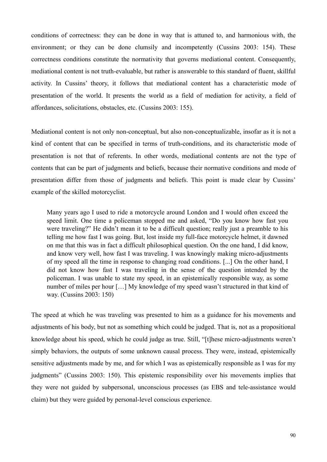conditions of correctness: they can be done in way that is attuned to, and harmonious with, the environment; or they can be done clumsily and incompetently (Cussins 2003: 154). These correctness conditions constitute the normativity that governs mediational content. Consequently, mediational content is not truth-evaluable, but rather is answerable to this standard of fluent, skillful activity. In Cussins' theory, it follows that mediational content has a characteristic mode of presentation of the world. It presents the world as a field of mediation for activity, a field of affordances, solicitations, obstacles, etc. (Cussins 2003: 155).

Mediational content is not only non-conceptual, but also non-conceptualizable, insofar as it is not a kind of content that can be specified in terms of truth-conditions, and its characteristic mode of presentation is not that of referents. In other words, mediational contents are not the type of contents that can be part of judgments and beliefs, because their normative conditions and mode of presentation differ from those of judgments and beliefs. This point is made clear by Cussins' example of the skilled motorcyclist.

Many years ago I used to ride a motorcycle around London and I would often exceed the speed limit. One time a policeman stopped me and asked, "Do you know how fast you were traveling?" He didn't mean it to be a difficult question; really just a preamble to his telling me how fast I was going. But, lost inside my full-face motorcycle helmet, it dawned on me that this was in fact a difficult philosophical question. On the one hand, I did know, and know very well, how fast I was traveling. I was knowingly making micro-adjustments of my speed all the time in response to changing road conditions. [...] On the other hand, I did not know how fast I was traveling in the sense of the question intended by the policeman. I was unable to state my speed, in an epistemically responsible way, as some number of miles per hour […] My knowledge of my speed wasn't structured in that kind of way. (Cussins 2003: 150)

The speed at which he was traveling was presented to him as a guidance for his movements and adjustments of his body, but not as something which could be judged. That is, not as a propositional knowledge about his speed, which he could judge as true. Still, "[t]hese micro-adjustments weren't simply behaviors, the outputs of some unknown causal process. They were, instead, epistemically sensitive adjustments made by me, and for which I was as epistemically responsible as I was for my judgments" (Cussins 2003: 150). This epistemic responsibility over his movements implies that they were not guided by subpersonal, unconscious processes (as EBS and tele-assistance would claim) but they were guided by personal-level conscious experience.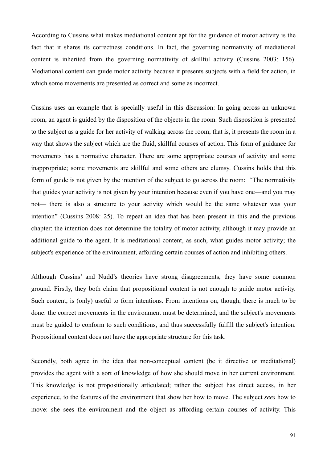According to Cussins what makes mediational content apt for the guidance of motor activity is the fact that it shares its correctness conditions. In fact, the governing normativity of mediational content is inherited from the governing normativity of skillful activity (Cussins 2003: 156). Mediational content can guide motor activity because it presents subjects with a field for action, in which some movements are presented as correct and some as incorrect.

Cussins uses an example that is specially useful in this discussion: In going across an unknown room, an agent is guided by the disposition of the objects in the room. Such disposition is presented to the subject as a guide for her activity of walking across the room; that is, it presents the room in a way that shows the subject which are the fluid, skillful courses of action. This form of guidance for movements has a normative character. There are some appropriate courses of activity and some inappropriate; some movements are skillful and some others are clumsy. Cussins holds that this form of guide is not given by the intention of the subject to go across the room: "The normativity that guides your activity is not given by your intention because even if you have one—and you may not— there is also a structure to your activity which would be the same whatever was your intention" (Cussins 2008: 25). To repeat an idea that has been present in this and the previous chapter: the intention does not determine the totality of motor activity, although it may provide an additional guide to the agent. It is meditational content, as such, what guides motor activity; the subject's experience of the environment, affording certain courses of action and inhibiting others.

Although Cussins' and Nudd's theories have strong disagreements, they have some common ground. Firstly, they both claim that propositional content is not enough to guide motor activity. Such content, is (only) useful to form intentions. From intentions on, though, there is much to be done: the correct movements in the environment must be determined, and the subject's movements must be guided to conform to such conditions, and thus successfully fulfill the subject's intention. Propositional content does not have the appropriate structure for this task.

Secondly, both agree in the idea that non-conceptual content (be it directive or meditational) provides the agent with a sort of knowledge of how she should move in her current environment. This knowledge is not propositionally articulated; rather the subject has direct access, in her experience, to the features of the environment that show her how to move. The subject *sees* how to move: she sees the environment and the object as affording certain courses of activity. This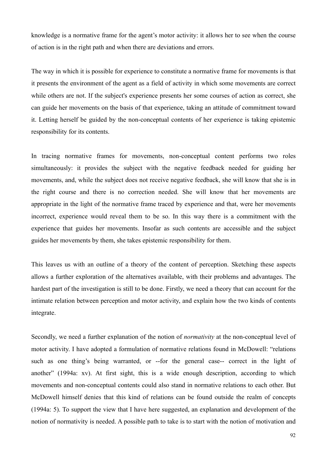knowledge is a normative frame for the agent's motor activity: it allows her to see when the course of action is in the right path and when there are deviations and errors.

The way in which it is possible for experience to constitute a normative frame for movements is that it presents the environment of the agent as a field of activity in which some movements are correct while others are not. If the subject's experience presents her some courses of action as correct, she can guide her movements on the basis of that experience, taking an attitude of commitment toward it. Letting herself be guided by the non-conceptual contents of her experience is taking epistemic responsibility for its contents.

In tracing normative frames for movements, non-conceptual content performs two roles simultaneously: it provides the subject with the negative feedback needed for guiding her movements, and, while the subject does not receive negative feedback, she will know that she is in the right course and there is no correction needed. She will know that her movements are appropriate in the light of the normative frame traced by experience and that, were her movements incorrect, experience would reveal them to be so. In this way there is a commitment with the experience that guides her movements. Insofar as such contents are accessible and the subject guides her movements by them, she takes epistemic responsibility for them.

This leaves us with an outline of a theory of the content of perception. Sketching these aspects allows a further exploration of the alternatives available, with their problems and advantages. The hardest part of the investigation is still to be done. Firstly, we need a theory that can account for the intimate relation between perception and motor activity, and explain how the two kinds of contents integrate.

Secondly, we need a further explanation of the notion of *normativity* at the non-conceptual level of motor activity. I have adopted a formulation of normative relations found in McDowell: "relations such as one thing's being warranted, or --for the general case-- correct in the light of another" (1994a: xv). At first sight, this is a wide enough description, according to which movements and non-conceptual contents could also stand in normative relations to each other. But McDowell himself denies that this kind of relations can be found outside the realm of concepts (1994a: 5). To support the view that I have here suggested, an explanation and development of the notion of normativity is needed. A possible path to take is to start with the notion of motivation and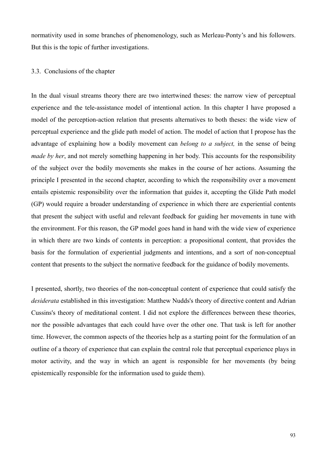normativity used in some branches of phenomenology, such as Merleau-Ponty's and his followers. But this is the topic of further investigations.

### 3.3. Conclusions of the chapter

In the dual visual streams theory there are two intertwined theses: the narrow view of perceptual experience and the tele-assistance model of intentional action. In this chapter I have proposed a model of the perception-action relation that presents alternatives to both theses: the wide view of perceptual experience and the glide path model of action. The model of action that I propose has the advantage of explaining how a bodily movement can *belong to a subject,* in the sense of being *made by her*, and not merely something happening in her body. This accounts for the responsibility of the subject over the bodily movements she makes in the course of her actions. Assuming the principle I presented in the second chapter, according to which the responsibility over a movement entails epistemic responsibility over the information that guides it, accepting the Glide Path model (GP) would require a broader understanding of experience in which there are experiential contents that present the subject with useful and relevant feedback for guiding her movements in tune with the environment. For this reason, the GP model goes hand in hand with the wide view of experience in which there are two kinds of contents in perception: a propositional content, that provides the basis for the formulation of experiential judgments and intentions, and a sort of non-conceptual content that presents to the subject the normative feedback for the guidance of bodily movements.

I presented, shortly, two theories of the non-conceptual content of experience that could satisfy the *desiderata* established in this investigation: Matthew Nudds's theory of directive content and Adrian Cussins's theory of meditational content. I did not explore the differences between these theories, nor the possible advantages that each could have over the other one. That task is left for another time. However, the common aspects of the theories help as a starting point for the formulation of an outline of a theory of experience that can explain the central role that perceptual experience plays in motor activity, and the way in which an agent is responsible for her movements (by being epistemically responsible for the information used to guide them).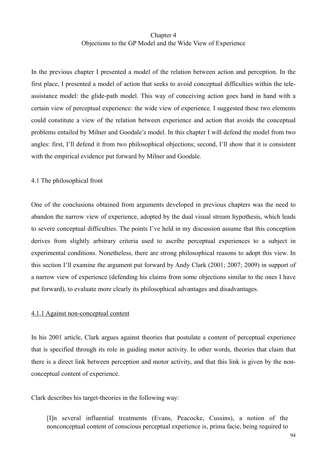# Chapter 4 Objections to the GP Model and the Wide View of Experience

In the previous chapter I presented a model of the relation between action and perception. In the first place, I presented a model of action that seeks to avoid conceptual difficulties within the teleassistance model: the glide-path model. This way of conceiving action goes hand in hand with a certain view of perceptual experience: the wide view of experience. I suggested these two elements could constitute a view of the relation between experience and action that avoids the conceptual problems entailed by Milner and Goodale's model. In this chapter I will defend the model from two angles: first, I'll defend it from two philosophical objections; second, I'll show that it is consistent with the empirical evidence put forward by Milner and Goodale.

### 4.1 The philosophical front

One of the conclusions obtained from arguments developed in previous chapters was the need to abandon the narrow view of experience, adopted by the dual visual stream hypothesis, which leads to severe conceptual difficulties. The points I've held in my discussion assume that this conception derives from slightly arbitrary criteria used to ascribe perceptual experiences to a subject in experimental conditions. Nonetheless, there are strong philosophical reasons to adopt this view. In this section I'll examine the argument put forward by Andy Clark (2001; 2007; 2009) in support of a narrow view of experience (defending his claims from some objections similar to the ones I have put forward), to evaluate more clearly its philosophical advantages and disadvantages.

### 4.1.1 Against non-conceptual content

In his 2001 article, Clark argues against theories that postulate a content of perceptual experience that is specified through its role in guiding motor activity. In other words, theories that claim that there is a direct link between perception and motor activity, and that this link is given by the nonconceptual content of experience.

Clark describes his target-theories in the following way:

[I]n several influential treatments (Evans, Peacocke, Cussins), a notion of the nonconceptual content of conscious perceptual experience is, prima facie, being required to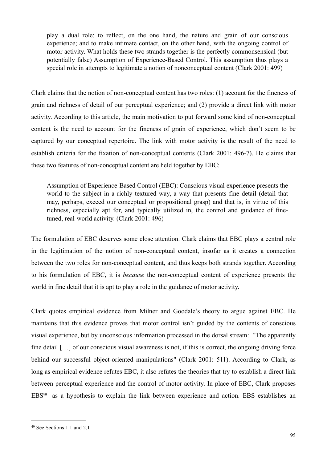play a dual role: to reflect, on the one hand, the nature and grain of our conscious experience; and to make intimate contact, on the other hand, with the ongoing control of motor activity. What holds these two strands together is the perfectly commonsensical (but potentially false) Assumption of Experience-Based Control. This assumption thus plays a special role in attempts to legitimate a notion of nonconceptual content (Clark 2001: 499)

Clark claims that the notion of non-conceptual content has two roles: (1) account for the fineness of grain and richness of detail of our perceptual experience; and (2) provide a direct link with motor activity. According to this article, the main motivation to put forward some kind of non-conceptual content is the need to account for the fineness of grain of experience, which don't seem to be captured by our conceptual repertoire. The link with motor activity is the result of the need to establish criteria for the fixation of non-conceptual contents (Clark 2001: 496-7). He claims that these two features of non-conceptual content are held together by EBC:

Assumption of Experience-Based Control (EBC): Conscious visual experience presents the world to the subject in a richly textured way, a way that presents fine detail (detail that may, perhaps, exceed our conceptual or propositional grasp) and that is, in virtue of this richness, especially apt for, and typically utilized in, the control and guidance of finetuned, real-world activity. (Clark 2001: 496)

The formulation of EBC deserves some close attention. Clark claims that EBC plays a central role in the legitimation of the notion of non-conceptual content, insofar as it creates a connection between the two roles for non-conceptual content, and thus keeps both strands together. According to his formulation of EBC, it is *because* the non-conceptual content of experience presents the world in fine detail that it is apt to play a role in the guidance of motor activity.

Clark quotes empirical evidence from Milner and Goodale's theory to argue against EBC. He maintains that this evidence proves that motor control isn't guided by the contents of conscious visual experience, but by unconscious information processed in the dorsal stream: "The apparently fine detail [...] of our conscious visual awareness is not, if this is correct, the ongoing driving force behind our successful object-oriented manipulations" (Clark 2001: 511). According to Clark, as long as empirical evidence refutes EBC, it also refutes the theories that try to establish a direct link between perceptual experience and the control of motor activity. In place of EBC, Clark proposes EB[S49](#page-94-0) as a hypothesis to explain the link between experience and action. EBS establishes an

<span id="page-94-0"></span><sup>49</sup> See Sections 1.1 and 2.1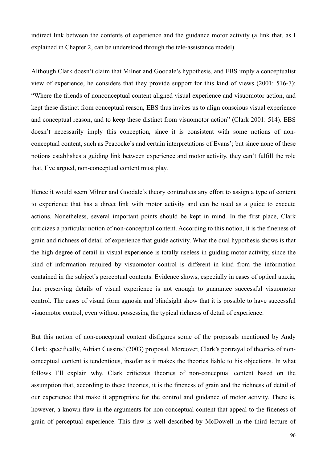indirect link between the contents of experience and the guidance motor activity (a link that, as I explained in Chapter 2, can be understood through the tele-assistance model).

Although Clark doesn't claim that Milner and Goodale's hypothesis, and EBS imply a conceptualist view of experience, he considers that they provide support for this kind of views (2001: 516-7): "Where the friends of nonconceptual content aligned visual experience and visuomotor action, and kept these distinct from conceptual reason, EBS thus invites us to align conscious visual experience and conceptual reason, and to keep these distinct from visuomotor action" (Clark 2001: 514). EBS doesn't necessarily imply this conception, since it is consistent with some notions of nonconceptual content, such as Peacocke's and certain interpretations of Evans'; but since none of these notions establishes a guiding link between experience and motor activity, they can't fulfill the role that, I've argued, non-conceptual content must play.

Hence it would seem Milner and Goodale's theory contradicts any effort to assign a type of content to experience that has a direct link with motor activity and can be used as a guide to execute actions. Nonetheless, several important points should be kept in mind. In the first place, Clark criticizes a particular notion of non-conceptual content. According to this notion, it is the fineness of grain and richness of detail of experience that guide activity. What the dual hypothesis shows is that the high degree of detail in visual experience is totally useless in guiding motor activity, since the kind of information required by visuomotor control is different in kind from the information contained in the subject's perceptual contents. Evidence shows, especially in cases of optical ataxia, that preserving details of visual experience is not enough to guarantee successful visuomotor control. The cases of visual form agnosia and blindsight show that it is possible to have successful visuomotor control, even without possessing the typical richness of detail of experience.

But this notion of non-conceptual content disfigures some of the proposals mentioned by Andy Clark; specifically, Adrian Cussins' (2003) proposal. Moreover, Clark's portrayal of theories of nonconceptual content is tendentious, insofar as it makes the theories liable to his objections. In what follows I'll explain why. Clark criticizes theories of non-conceptual content based on the assumption that, according to these theories, it is the fineness of grain and the richness of detail of our experience that make it appropriate for the control and guidance of motor activity. There is, however, a known flaw in the arguments for non-conceptual content that appeal to the fineness of grain of perceptual experience. This flaw is well described by McDowell in the third lecture of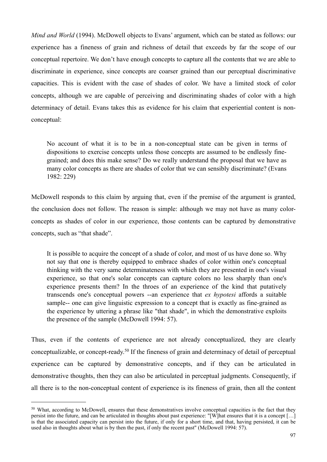*Mind and World* (1994). McDowell objects to Evans' argument, which can be stated as follows: our experience has a fineness of grain and richness of detail that exceeds by far the scope of our conceptual repertoire. We don't have enough concepts to capture all the contents that we are able to discriminate in experience, since concepts are coarser grained than our perceptual discriminative capacities. This is evident with the case of shades of color. We have a limited stock of color concepts, although we are capable of perceiving and discriminating shades of color with a high determinacy of detail. Evans takes this as evidence for his claim that experiential content is nonconceptual:

No account of what it is to be in a non-conceptual state can be given in terms of dispositions to exercise concepts unless those concepts are assumed to be endlessly finegrained; and does this make sense? Do we really understand the proposal that we have as many color concepts as there are shades of color that we can sensibly discriminate? (Evans 1982: 229)

McDowell responds to this claim by arguing that, even if the premise of the argument is granted, the conclusion does not follow. The reason is simple: although we may not have as many colorconcepts as shades of color in our experience, those contents can be captured by demonstrative concepts, such as "that shade".

It is possible to acquire the concept of a shade of color, and most of us have done so. Why not say that one is thereby equipped to embrace shades of color within one's conceptual thinking with the very same determinateness with which they are presented in one's visual experience, so that one's solar concepts can capture colors no less sharply than one's experience presents them? In the throes of an experience of the kind that putatively transcends one's conceptual powers --an experience that *ex hypotesi* affords a suitable sample-- one can give linguistic expression to a concept that is exactly as fine-grained as the experience by uttering a phrase like "that shade", in which the demonstrative exploits the presence of the sample (McDowell 1994: 57).

Thus, even if the contents of experience are not already conceptualized, they are clearly conceptualizable, or concept-ready.[50](#page-96-0) If the fineness of grain and determinacy of detail of perceptual experience can be captured by demonstrative concepts, and if they can be articulated in demonstrative thoughts, then they can also be articulated in perceptual judgments. Consequently, if all there is to the non-conceptual content of experience is its fineness of grain, then all the content

<span id="page-96-0"></span><sup>&</sup>lt;sup>50</sup> What, according to McDowell, ensures that these demonstratives involve conceptual capacities is the fact that they persist into the future, and can be articulated in thoughts about past experience: "[W]hat ensures that it is a concept […] is that the associated capacity can persist into the future, if only for a short time, and that, having persisted, it can be used also in thoughts about what is by then the past, if only the recent past" (McDowell 1994: 57).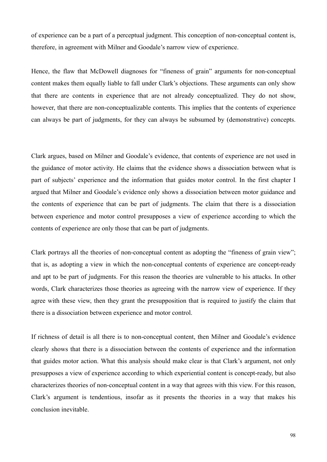of experience can be a part of a perceptual judgment. This conception of non-conceptual content is, therefore, in agreement with Milner and Goodale's narrow view of experience.

Hence, the flaw that McDowell diagnoses for "fineness of grain" arguments for non-conceptual content makes them equally liable to fall under Clark's objections. These arguments can only show that there are contents in experience that are not already conceptualized. They do not show, however, that there are non-conceptualizable contents. This implies that the contents of experience can always be part of judgments, for they can always be subsumed by (demonstrative) concepts.

Clark argues, based on Milner and Goodale's evidence, that contents of experience are not used in the guidance of motor activity. He claims that the evidence shows a dissociation between what is part of subjects' experience and the information that guides motor control. In the first chapter I argued that Milner and Goodale's evidence only shows a dissociation between motor guidance and the contents of experience that can be part of judgments. The claim that there is a dissociation between experience and motor control presupposes a view of experience according to which the contents of experience are only those that can be part of judgments.

Clark portrays all the theories of non-conceptual content as adopting the "fineness of grain view"; that is, as adopting a view in which the non-conceptual contents of experience are concept-ready and apt to be part of judgments. For this reason the theories are vulnerable to his attacks. In other words, Clark characterizes those theories as agreeing with the narrow view of experience. If they agree with these view, then they grant the presupposition that is required to justify the claim that there is a dissociation between experience and motor control.

If richness of detail is all there is to non-conceptual content, then Milner and Goodale's evidence clearly shows that there is a dissociation between the contents of experience and the information that guides motor action. What this analysis should make clear is that Clark's argument, not only presupposes a view of experience according to which experiential content is concept-ready, but also characterizes theories of non-conceptual content in a way that agrees with this view. For this reason, Clark's argument is tendentious, insofar as it presents the theories in a way that makes his conclusion inevitable.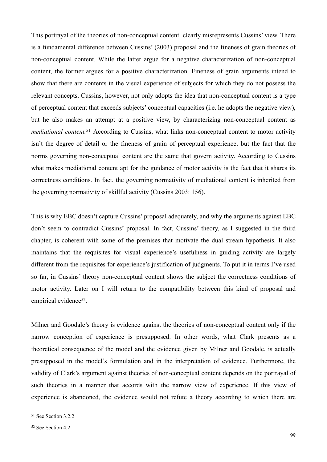This portrayal of the theories of non-conceptual content clearly misrepresents Cussins' view. There is a fundamental difference between Cussins' (2003) proposal and the fineness of grain theories of non-conceptual content. While the latter argue for a negative characterization of non-conceptual content, the former argues for a positive characterization. Fineness of grain arguments intend to show that there are contents in the visual experience of subjects for which they do not possess the relevant concepts. Cussins, however, not only adopts the idea that non-conceptual content is a type of perceptual content that exceeds subjects' conceptual capacities (i.e. he adopts the negative view), but he also makes an attempt at a positive view, by characterizing non-conceptual content as *mediational content.*[51](#page-98-0) According to Cussins, what links non-conceptual content to motor activity isn't the degree of detail or the fineness of grain of perceptual experience, but the fact that the norms governing non-conceptual content are the same that govern activity. According to Cussins what makes mediational content apt for the guidance of motor activity is the fact that it shares its correctness conditions. In fact, the governing normativity of mediational content is inherited from the governing normativity of skillful activity (Cussins 2003: 156).

This is why EBC doesn't capture Cussins' proposal adequately, and why the arguments against EBC don't seem to contradict Cussins' proposal. In fact, Cussins' theory, as I suggested in the third chapter, is coherent with some of the premises that motivate the dual stream hypothesis. It also maintains that the requisites for visual experience's usefulness in guiding activity are largely different from the requisites for experience's justification of judgments. To put it in terms I've used so far, in Cussins' theory non-conceptual content shows the subject the correctness conditions of motor activity. Later on I will return to the compatibility between this kind of proposal and empirical evidence<sup>52</sup>.

Milner and Goodale's theory is evidence against the theories of non-conceptual content only if the narrow conception of experience is presupposed. In other words, what Clark presents as a theoretical consequence of the model and the evidence given by Milner and Goodale, is actually presupposed in the model's formulation and in the interpretation of evidence. Furthermore, the validity of Clark's argument against theories of non-conceptual content depends on the portrayal of such theories in a manner that accords with the narrow view of experience. If this view of experience is abandoned, the evidence would not refute a theory according to which there are

<span id="page-98-0"></span><sup>51</sup> See Section 3.2.2

<span id="page-98-1"></span><sup>52</sup> See Section 4.2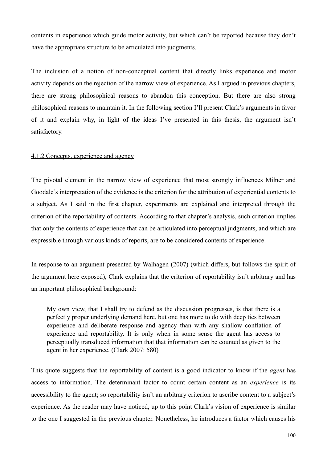contents in experience which guide motor activity, but which can't be reported because they don't have the appropriate structure to be articulated into judgments.

The inclusion of a notion of non-conceptual content that directly links experience and motor activity depends on the rejection of the narrow view of experience. As I argued in previous chapters, there are strong philosophical reasons to abandon this conception. But there are also strong philosophical reasons to maintain it. In the following section I'll present Clark's arguments in favor of it and explain why, in light of the ideas I've presented in this thesis, the argument isn't satisfactory.

#### 4.1.2 Concepts, experience and agency

The pivotal element in the narrow view of experience that most strongly influences Milner and Goodale's interpretation of the evidence is the criterion for the attribution of experiential contents to a subject. As I said in the first chapter, experiments are explained and interpreted through the criterion of the reportability of contents. According to that chapter's analysis, such criterion implies that only the contents of experience that can be articulated into perceptual judgments, and which are expressible through various kinds of reports, are to be considered contents of experience.

In response to an argument presented by Walhagen (2007) (which differs, but follows the spirit of the argument here exposed), Clark explains that the criterion of reportability isn't arbitrary and has an important philosophical background:

My own view, that I shall try to defend as the discussion progresses, is that there is a perfectly proper underlying demand here, but one has more to do with deep ties between experience and deliberate response and agency than with any shallow conflation of experience and reportability. It is only when in some sense the agent has access to perceptually transduced information that that information can be counted as given to the agent in her experience. (Clark 2007: 580)

This quote suggests that the reportability of content is a good indicator to know if the *agent* has access to information. The determinant factor to count certain content as an *experience* is its accessibility to the agent; so reportability isn't an arbitrary criterion to ascribe content to a subject's experience. As the reader may have noticed, up to this point Clark's vision of experience is similar to the one I suggested in the previous chapter. Nonetheless, he introduces a factor which causes his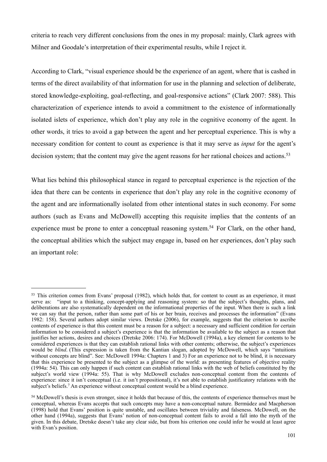criteria to reach very different conclusions from the ones in my proposal: mainly, Clark agrees with Milner and Goodale's interpretation of their experimental results, while I reject it.

According to Clark, "visual experience should be the experience of an agent, where that is cashed in terms of the direct availability of that information for use in the planning and selection of deliberate, stored knowledge-exploiting, goal-reflecting, and goal-responsive actions" (Clark 2007: 588). This characterization of experience intends to avoid a commitment to the existence of informationally isolated islets of experience, which don't play any role in the cognitive economy of the agent. In other words, it tries to avoid a gap between the agent and her perceptual experience. This is why a necessary condition for content to count as experience is that it may serve as *input* for the agent's decision system; that the content may give the agent reasons for her rational choices and actions.<sup>[53](#page-100-0)</sup>

What lies behind this philosophical stance in regard to perceptual experience is the rejection of the idea that there can be contents in experience that don't play any role in the cognitive economy of the agent and are informationally isolated from other intentional states in such economy. For some authors (such as Evans and McDowell) accepting this requisite implies that the contents of an experience must be prone to enter a conceptual reasoning system.<sup>54</sup> For Clark, on the other hand, the conceptual abilities which the subject may engage in, based on her experiences, don't play such an important role:

<span id="page-100-0"></span><sup>&</sup>lt;sup>53</sup> This criterion comes from Evans' proposal (1982), which holds that, for content to count as an experience, it must serve as: "input to a thinking, concept-applying and reasoning system: so that the subject's thoughts, plans, and deliberations are also systematically dependent on the informational properties of the input. When there is such a link we can say that the person, rather than some part of his or her brain, receives and processes the information" (Evans 1982: 158). Several authors adopt similar views. Dretske (2006), for example, suggests that the criterion to ascribe contents of experience is that this content must be a reason for a subject: a necessary and sufficient condition for certain information to be considered a subject's experience is that the information be available to the subject as a reason that justifies her actions, desires and choices (Dretske 2006: 174). For McDowell (1994a), a key element for contents to be considered experiences is that they can establish rational links with other contents; otherwise, the subject's experiences would be *blind*. (This expression is taken from the Kantian slogan, adopted by McDowell, which says "intuitions without concepts are blind". See: McDowell 1994a: Chapters 1 and 3) For an experience not to be blind, it is necessary that this experience be presented to the subject as a glimpse of the world: as presenting features of objective reality (1994a: 54). This can only happen if such content can establish rational links with the web of beliefs constituted by the subject's world view (1994a: 55). That is why McDowell excludes non-conceptual content from the contents of experience: since it isn't conceptual (i.e. it isn't propositional), it's not able to establish justificatory relations with the subject's beliefs.7 An experience without conceptual content would be a blind experience.

<span id="page-100-1"></span><sup>54</sup> McDowell's thesis is even stronger, since it holds that because of this, the contents of experience themselves must be conceptual, whereas Evans accepts that such concepts may have a non-conceptual nature. Bermúdez and Macpherson (1998) hold that Evans' position is quite unstable, and oscillates between triviality and falseness. McDowell, on the other hand (1994a), suggests that Evans' notion of non-conceptual content fails to avoid a fall into the myth of the given. In this debate, Dretske doesn't take any clear side, but from his criterion one could infer he would at least agree with Evan's position.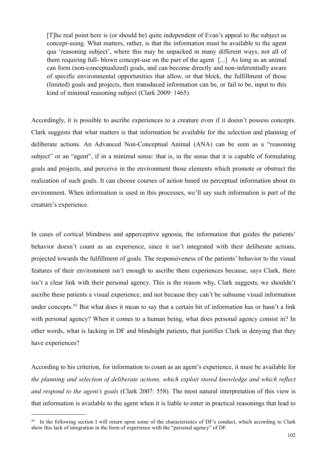[T]he real point here is (or should be) quite independent of Evan's appeal to the subject as concept-using. What matters, rather, is that the information must be available to the agent qua 'reasoning subject', where this may be unpacked in many different ways, not all of them requiring full- blown concept-use on the part of the agent [...] As long as an animal can form (non-conceptualized) goals, and can become directly and non-inferentially aware of specific environmental opportunities that allow, or that block, the fulfillment of those (limited) goals and projects, then transduced information can be, or fail to be, input to this kind of minimal reasoning subject (Clark 2009: 1465)

Accordingly, it is possible to ascribe experiences to a creature even if it doesn't possess concepts. Clark suggests that what matters is that information be available for the selection and planning of deliberate actions. An Advanced Non-Conceptual Animal (ANA) can be seen as a "reasoning subject" or an "agent", if in a minimal sense: that is, in the sense that it is capable of formulating goals and projects, and perceive in the environment those elements which promote or obstruct the realization of such goals. It can choose courses of action based on perceptual information about its environment. When information is used in this processes, we'll say such information is part of the creature's experience.

In cases of cortical blindness and apperceptive agnosia, the information that guides the patients' behavior doesn't count as an experience, since it isn't integrated with their deliberate actions, projected towards the fulfillment of goals. The responsiveness of the patients' behavior to the visual features of their environment isn't enough to ascribe them experiences because, says Clark, there isn't a clear link with their personal agency. This is the reason why, Clark suggests, we shouldn't ascribe these patients a visual experience, and not because they can't be subsume visual information under concepts.<sup>55</sup> But what does it mean to say that a certain bit of information has or hasn't a link with personal agency? When it comes to a human being, what does personal agency consist in? In other words, what is lacking in DF and blindsight patients, that justifies Clark in denying that they have experiences?

According to his criterion, for information to count as an agent's experience, it must be available for *the planning and selection of deliberate actions, which exploit stored knowledge and which reflect and respond to the agent's goals* (Clark 2007: 558). The most natural interpretation of this view is that information is available to the agent when it is liable to enter in practical reasonings that lead to

<span id="page-101-0"></span><sup>55</sup> In the following section I will return upon some of the characteristics of DF's conduct, which according to Clark show this lack of integration in the form of experience with the "personal agency" of DF.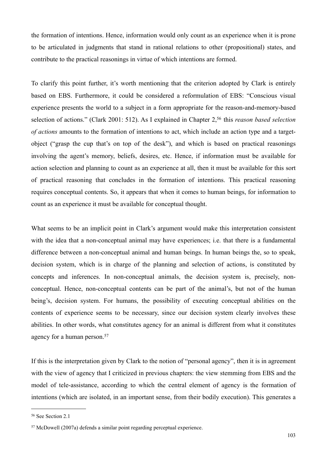the formation of intentions. Hence, information would only count as an experience when it is prone to be articulated in judgments that stand in rational relations to other (propositional) states, and contribute to the practical reasonings in virtue of which intentions are formed.

To clarify this point further, it's worth mentioning that the criterion adopted by Clark is entirely based on EBS. Furthermore, it could be considered a reformulation of EBS: "Conscious visual experience presents the world to a subject in a form appropriate for the reason-and-memory-based selection of actions." (Clark 2001: 512). As I explained in Chapter 2,[56](#page-102-0) this *reason based selection of actions* amounts to the formation of intentions to act, which include an action type and a targetobject ("grasp the cup that's on top of the desk"), and which is based on practical reasonings involving the agent's memory, beliefs, desires, etc. Hence, if information must be available for action selection and planning to count as an experience at all, then it must be available for this sort of practical reasoning that concludes in the formation of intentions. This practical reasoning requires conceptual contents. So, it appears that when it comes to human beings, for information to count as an experience it must be available for conceptual thought.

What seems to be an implicit point in Clark's argument would make this interpretation consistent with the idea that a non-conceptual animal may have experiences; i.e. that there is a fundamental difference between a non-conceptual animal and human beings. In human beings the, so to speak, decision system, which is in charge of the planning and selection of actions, is constituted by concepts and inferences. In non-conceptual animals, the decision system is, precisely, nonconceptual. Hence, non-conceptual contents can be part of the animal's, but not of the human being's, decision system. For humans, the possibility of executing conceptual abilities on the contents of experience seems to be necessary, since our decision system clearly involves these abilities. In other words, what constitutes agency for an animal is different from what it constitutes agency for a human person.[57](#page-102-1)

If this is the interpretation given by Clark to the notion of "personal agency", then it is in agreement with the view of agency that I criticized in previous chapters: the view stemming from EBS and the model of tele-assistance, according to which the central element of agency is the formation of intentions (which are isolated, in an important sense, from their bodily execution). This generates a

<span id="page-102-0"></span><sup>56</sup> See Section 2.1

<span id="page-102-1"></span><sup>57</sup> McDowell (2007a) defends a similar point regarding perceptual experience.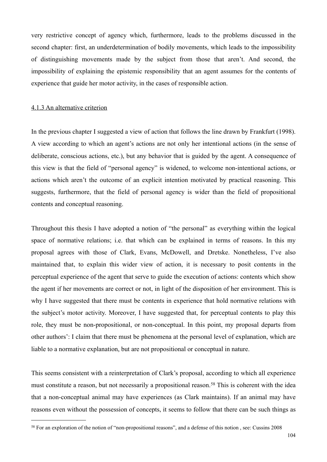very restrictive concept of agency which, furthermore, leads to the problems discussed in the second chapter: first, an underdetermination of bodily movements, which leads to the impossibility of distinguishing movements made by the subject from those that aren't. And second, the impossibility of explaining the epistemic responsibility that an agent assumes for the contents of experience that guide her motor activity, in the cases of responsible action.

# 4.1.3 An alternative criterion

In the previous chapter I suggested a view of action that follows the line drawn by Frankfurt (1998). A view according to which an agent's actions are not only her intentional actions (in the sense of deliberate, conscious actions, etc.), but any behavior that is guided by the agent. A consequence of this view is that the field of "personal agency" is widened, to welcome non-intentional actions, or actions which aren't the outcome of an explicit intention motivated by practical reasoning. This suggests, furthermore, that the field of personal agency is wider than the field of propositional contents and conceptual reasoning.

Throughout this thesis I have adopted a notion of "the personal" as everything within the logical space of normative relations; i.e. that which can be explained in terms of reasons. In this my proposal agrees with those of Clark, Evans, McDowell, and Dretske. Nonetheless, I've also maintained that, to explain this wider view of action, it is necessary to posit contents in the perceptual experience of the agent that serve to guide the execution of actions: contents which show the agent if her movements are correct or not, in light of the disposition of her environment. This is why I have suggested that there must be contents in experience that hold normative relations with the subject's motor activity. Moreover, I have suggested that, for perceptual contents to play this role, they must be non-propositional, or non-conceptual. In this point, my proposal departs from other authors': I claim that there must be phenomena at the personal level of explanation, which are liable to a normative explanation, but are not propositional or conceptual in nature.

This seems consistent with a reinterpretation of Clark's proposal, according to which all experience must constitute a reason, but not necessarily a propositional reason.<sup>58</sup> This is coherent with the idea that a non-conceptual animal may have experiences (as Clark maintains). If an animal may have reasons even without the possession of concepts, it seems to follow that there can be such things as

<span id="page-103-0"></span><sup>58</sup> For an exploration of the notion of "non-propositional reasons", and a defense of this notion , see: Cussins 2008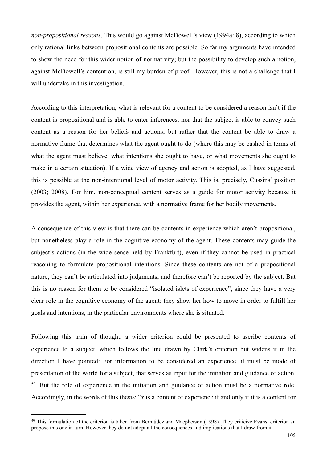*non-propositional reasons*. This would go against McDowell's view (1994a: 8), according to which only rational links between propositional contents are possible. So far my arguments have intended to show the need for this wider notion of normativity; but the possibility to develop such a notion, against McDowell's contention, is still my burden of proof. However, this is not a challenge that I will undertake in this investigation.

According to this interpretation, what is relevant for a content to be considered a reason isn't if the content is propositional and is able to enter inferences, nor that the subject is able to convey such content as a reason for her beliefs and actions; but rather that the content be able to draw a normative frame that determines what the agent ought to do (where this may be cashed in terms of what the agent must believe, what intentions she ought to have, or what movements she ought to make in a certain situation). If a wide view of agency and action is adopted, as I have suggested, this is possible at the non-intentional level of motor activity. This is, precisely, Cussins' position (2003; 2008). For him, non-conceptual content serves as a guide for motor activity because it provides the agent, within her experience, with a normative frame for her bodily movements.

A consequence of this view is that there can be contents in experience which aren't propositional, but nonetheless play a role in the cognitive economy of the agent. These contents may guide the subject's actions (in the wide sense held by Frankfurt), even if they cannot be used in practical reasoning to formulate propositional intentions. Since these contents are not of a propositional nature, they can't be articulated into judgments, and therefore can't be reported by the subject. But this is no reason for them to be considered "isolated islets of experience", since they have a very clear role in the cognitive economy of the agent: they show her how to move in order to fulfill her goals and intentions, in the particular environments where she is situated.

Following this train of thought, a wider criterion could be presented to ascribe contents of experience to a subject, which follows the line drawn by Clark's criterion but widens it in the direction I have pointed: For information to be considered an experience, it must be mode of presentation of the world for a subject, that serves as input for the initiation and guidance of action. [59](#page-104-0) But the role of experience in the initiation and guidance of action must be a normative role. Accordingly, in the words of this thesis: "*x* is a content of experience if and only if it is a content for

<span id="page-104-0"></span><sup>59</sup> This formulation of the criterion is taken from Bermúdez and Macpherson (1998). They criticize Evans' criterion an propose this one in turn. However they do not adopt all the consequences and implications that I draw from it.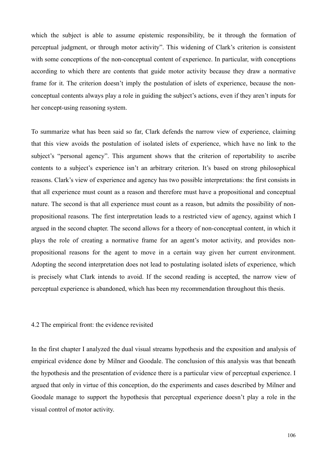which the subject is able to assume epistemic responsibility, be it through the formation of perceptual judgment, or through motor activity". This widening of Clark's criterion is consistent with some conceptions of the non-conceptual content of experience. In particular, with conceptions according to which there are contents that guide motor activity because they draw a normative frame for it. The criterion doesn't imply the postulation of islets of experience, because the nonconceptual contents always play a role in guiding the subject's actions, even if they aren't inputs for her concept-using reasoning system.

To summarize what has been said so far, Clark defends the narrow view of experience, claiming that this view avoids the postulation of isolated islets of experience, which have no link to the subject's "personal agency". This argument shows that the criterion of reportability to ascribe contents to a subject's experience isn't an arbitrary criterion. It's based on strong philosophical reasons. Clark's view of experience and agency has two possible interpretations: the first consists in that all experience must count as a reason and therefore must have a propositional and conceptual nature. The second is that all experience must count as a reason, but admits the possibility of nonpropositional reasons. The first interpretation leads to a restricted view of agency, against which I argued in the second chapter. The second allows for a theory of non-conceptual content, in which it plays the role of creating a normative frame for an agent's motor activity, and provides nonpropositional reasons for the agent to move in a certain way given her current environment. Adopting the second interpretation does not lead to postulating isolated islets of experience, which is precisely what Clark intends to avoid. If the second reading is accepted, the narrow view of perceptual experience is abandoned, which has been my recommendation throughout this thesis.

#### 4.2 The empirical front: the evidence revisited

In the first chapter I analyzed the dual visual streams hypothesis and the exposition and analysis of empirical evidence done by Milner and Goodale. The conclusion of this analysis was that beneath the hypothesis and the presentation of evidence there is a particular view of perceptual experience. I argued that only in virtue of this conception, do the experiments and cases described by Milner and Goodale manage to support the hypothesis that perceptual experience doesn't play a role in the visual control of motor activity.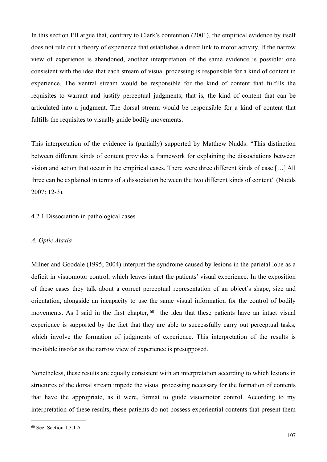In this section I'll argue that, contrary to Clark's contention (2001), the empirical evidence by itself does not rule out a theory of experience that establishes a direct link to motor activity. If the narrow view of experience is abandoned, another interpretation of the same evidence is possible: one consistent with the idea that each stream of visual processing is responsible for a kind of content in experience. The ventral stream would be responsible for the kind of content that fulfills the requisites to warrant and justify perceptual judgments; that is, the kind of content that can be articulated into a judgment. The dorsal stream would be responsible for a kind of content that fulfills the requisites to visually guide bodily movements.

This interpretation of the evidence is (partially) supported by Matthew Nudds: "This distinction between different kinds of content provides a framework for explaining the dissociations between vision and action that occur in the empirical cases. There were three different kinds of case […] All three can be explained in terms of a dissociation between the two different kinds of content" (Nudds 2007: 12-3).

### 4.2.1 Dissociation in pathological cases

#### *A. Optic Ataxia*

Milner and Goodale (1995; 2004) interpret the syndrome caused by lesions in the parietal lobe as a deficit in visuomotor control, which leaves intact the patients' visual experience. In the exposition of these cases they talk about a correct perceptual representation of an object's shape, size and orientation, alongside an incapacity to use the same visual information for the control of bodily movements. As I said in the first chapter, <sup>60</sup> the idea that these patients have an intact visual experience is supported by the fact that they are able to successfully carry out perceptual tasks, which involve the formation of judgments of experience. This interpretation of the results is inevitable insofar as the narrow view of experience is presupposed.

Nonetheless, these results are equally consistent with an interpretation according to which lesions in structures of the dorsal stream impede the visual processing necessary for the formation of contents that have the appropriate, as it were, format to guide visuomotor control. According to my interpretation of these results, these patients do not possess experiential contents that present them

<span id="page-106-0"></span><sup>60</sup> See: Section 1.3.1 A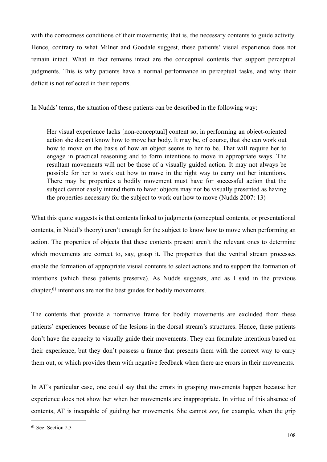with the correctness conditions of their movements; that is, the necessary contents to guide activity. Hence, contrary to what Milner and Goodale suggest, these patients' visual experience does not remain intact. What in fact remains intact are the conceptual contents that support perceptual judgments. This is why patients have a normal performance in perceptual tasks, and why their deficit is not reflected in their reports.

In Nudds' terms, the situation of these patients can be described in the following way:

Her visual experience lacks [non-conceptual] content so, in performing an object-oriented action she doesn't know how to move her body. It may be, of course, that she can work out how to move on the basis of how an object seems to her to be. That will require her to engage in practical reasoning and to form intentions to move in appropriate ways. The resultant movements will not be those of a visually guided action. It may not always be possible for her to work out how to move in the right way to carry out her intentions. There may be properties a bodily movement must have for successful action that the subject cannot easily intend them to have: objects may not be visually presented as having the properties necessary for the subject to work out how to move (Nudds 2007: 13)

What this quote suggests is that contents linked to judgments (conceptual contents, or presentational contents, in Nudd's theory) aren't enough for the subject to know how to move when performing an action. The properties of objects that these contents present aren't the relevant ones to determine which movements are correct to, say, grasp it. The properties that the ventral stream processes enable the formation of appropriate visual contents to select actions and to support the formation of intentions (which these patients preserve). As Nudds suggests, and as I said in the previous chapter,[61](#page-107-0) intentions are not the best guides for bodily movements.

The contents that provide a normative frame for bodily movements are excluded from these patients' experiences because of the lesions in the dorsal stream's structures. Hence, these patients don't have the capacity to visually guide their movements. They can formulate intentions based on their experience, but they don't possess a frame that presents them with the correct way to carry them out, or which provides them with negative feedback when there are errors in their movements.

In AT's particular case, one could say that the errors in grasping movements happen because her experience does not show her when her movements are inappropriate. In virtue of this absence of contents, AT is incapable of guiding her movements. She cannot *see*, for example, when the grip

<span id="page-107-0"></span><sup>61</sup> See: Section 2.3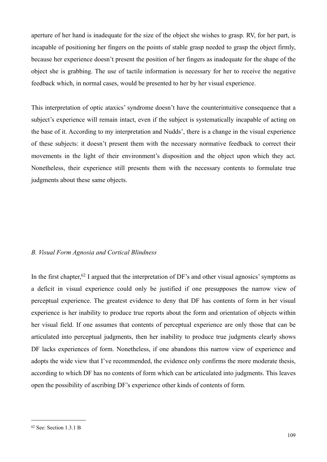aperture of her hand is inadequate for the size of the object she wishes to grasp. RV, for her part, is incapable of positioning her fingers on the points of stable grasp needed to grasp the object firmly, because her experience doesn't present the position of her fingers as inadequate for the shape of the object she is grabbing. The use of tactile information is necessary for her to receive the negative feedback which, in normal cases, would be presented to her by her visual experience.

This interpretation of optic ataxics' syndrome doesn't have the counterintuitive consequence that a subject's experience will remain intact, even if the subject is systematically incapable of acting on the base of it. According to my interpretation and Nudds', there is a change in the visual experience of these subjects: it doesn't present them with the necessary normative feedback to correct their movements in the light of their environment's disposition and the object upon which they act. Nonetheless, their experience still presents them with the necessary contents to formulate true judgments about these same objects.

## *B. Visual Form Agnosia and Cortical Blindness*

In the first chapter,<sup>62</sup> I argued that the interpretation of DF's and other visual agnosics' symptoms as a deficit in visual experience could only be justified if one presupposes the narrow view of perceptual experience. The greatest evidence to deny that DF has contents of form in her visual experience is her inability to produce true reports about the form and orientation of objects within her visual field. If one assumes that contents of perceptual experience are only those that can be articulated into perceptual judgments, then her inability to produce true judgments clearly shows DF lacks experiences of form. Nonetheless, if one abandons this narrow view of experience and adopts the wide view that I've recommended, the evidence only confirms the more moderate thesis, according to which DF has no contents of form which can be articulated into judgments. This leaves open the possibility of ascribing DF's experience other kinds of contents of form.

<span id="page-108-0"></span><sup>62</sup> See: Section 1.3.1 B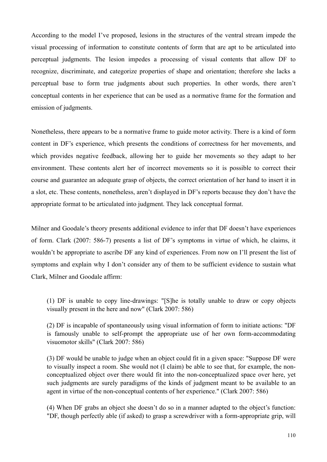According to the model I've proposed, lesions in the structures of the ventral stream impede the visual processing of information to constitute contents of form that are apt to be articulated into perceptual judgments. The lesion impedes a processing of visual contents that allow DF to recognize, discriminate, and categorize properties of shape and orientation; therefore she lacks a perceptual base to form true judgments about such properties. In other words, there aren't conceptual contents in her experience that can be used as a normative frame for the formation and emission of judgments.

Nonetheless, there appears to be a normative frame to guide motor activity. There is a kind of form content in DF's experience, which presents the conditions of correctness for her movements, and which provides negative feedback, allowing her to guide her movements so they adapt to her environment. These contents alert her of incorrect movements so it is possible to correct their course and guarantee an adequate grasp of objects, the correct orientation of her hand to insert it in a slot, etc. These contents, nonetheless, aren't displayed in DF's reports because they don't have the appropriate format to be articulated into judgment. They lack conceptual format.

Milner and Goodale's theory presents additional evidence to infer that DF doesn't have experiences of form. Clark (2007: 586-7) presents a list of DF's symptoms in virtue of which, he claims, it wouldn't be appropriate to ascribe DF any kind of experiences. From now on I'll present the list of symptoms and explain why I don't consider any of them to be sufficient evidence to sustain what Clark, Milner and Goodale affirm:

(1) DF is unable to copy line-drawings: "[S]he is totally unable to draw or copy objects visually present in the here and now" (Clark 2007: 586)

(2) DF is incapable of spontaneously using visual information of form to initiate actions: "DF is famously unable to self-prompt the appropriate use of her own form-accommodating visuomotor skills" (Clark 2007: 586)

(3) DF would be unable to judge when an object could fit in a given space: "Suppose DF were to visually inspect a room. She would not (I claim) be able to see that, for example, the nonconceptualized object over there would fit into the non-conceptualized space over here, yet such judgments are surely paradigms of the kinds of judgment meant to be available to an agent in virtue of the non-conceptual contents of her experience." (Clark 2007: 586)

(4) When DF grabs an object she doesn't do so in a manner adapted to the object's function: "DF, though perfectly able (if asked) to grasp a screwdriver with a form-appropriate grip, will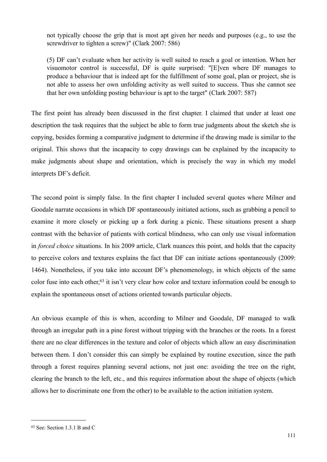not typically choose the grip that is most apt given her needs and purposes (e.g., to use the screwdriver to tighten a screw)" (Clark 2007: 586)

(5) DF can't evaluate when her activity is well suited to reach a goal or intention. When her visuomotor control is successful, DF is quite surprised: "[E]ven where DF manages to produce a behaviour that is indeed apt for the fulfillment of some goal, plan or project, she is not able to assess her own unfolding activity as well suited to success. Thus she cannot see that her own unfolding posting behaviour is apt to the target" (Clark 2007: 587)

The first point has already been discussed in the first chapter. I claimed that under at least one description the task requires that the subject be able to form true judgments about the sketch she is copying, besides forming a comparative judgment to determine if the drawing made is similar to the original. This shows that the incapacity to copy drawings can be explained by the incapacity to make judgments about shape and orientation, which is precisely the way in which my model interprets DF's deficit.

The second point is simply false. In the first chapter I included several quotes where Milner and Goodale narrate occasions in which DF spontaneously initiated actions, such as grabbing a pencil to examine it more closely or picking up a fork during a picnic. These situations present a sharp contrast with the behavior of patients with cortical blindness, who can only use visual information in *forced choice* situations. In his 2009 article, Clark nuances this point, and holds that the capacity to perceive colors and textures explains the fact that DF can initiate actions spontaneously (2009: 1464). Nonetheless, if you take into account DF's phenomenology, in which objects of the same color fuse into each other,<sup>63</sup> it isn't very clear how color and texture information could be enough to explain the spontaneous onset of actions oriented towards particular objects.

An obvious example of this is when, according to Milner and Goodale, DF managed to walk through an irregular path in a pine forest without tripping with the branches or the roots. In a forest there are no clear differences in the texture and color of objects which allow an easy discrimination between them. I don't consider this can simply be explained by routine execution, since the path through a forest requires planning several actions, not just one: avoiding the tree on the right, clearing the branch to the left, etc., and this requires information about the shape of objects (which allows her to discriminate one from the other) to be available to the action initiation system.

<span id="page-110-0"></span><sup>63</sup> See: Section 1.3.1 B and C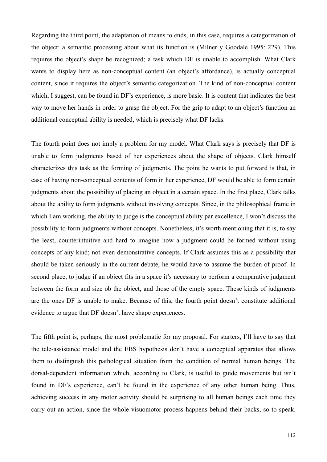Regarding the third point, the adaptation of means to ends, in this case, requires a categorization of the object: a semantic processing about what its function is (Milner y Goodale 1995: 229). This requires the object's shape be recognized; a task which DF is unable to accomplish. What Clark wants to display here as non-conceptual content (an object's affordance), is actually conceptual content, since it requires the object's semantic categorization. The kind of non-conceptual content which. I suggest, can be found in DF's experience, is more basic. It is content that indicates the best way to move her hands in order to grasp the object. For the grip to adapt to an object's function an additional conceptual ability is needed, which is precisely what DF lacks.

The fourth point does not imply a problem for my model. What Clark says is precisely that DF is unable to form judgments based of her experiences about the shape of objects. Clark himself characterizes this task as the forming of judgments. The point he wants to put forward is that, in case of having non-conceptual contents of form in her experience, DF would be able to form certain judgments about the possibility of placing an object in a certain space. In the first place, Clark talks about the ability to form judgments without involving concepts. Since, in the philosophical frame in which I am working, the ability to judge is the conceptual ability par excellence, I won't discuss the possibility to form judgments without concepts. Nonetheless, it's worth mentioning that it is, to say the least, counterintuitive and hard to imagine how a judgment could be formed without using concepts of any kind; not even demonstrative concepts. If Clark assumes this as a possibility that should be taken seriously in the current debate, he would have to assume the burden of proof. In second place, to judge if an object fits in a space it's necessary to perform a comparative judgment between the form and size ob the object, and those of the empty space. These kinds of judgments are the ones DF is unable to make. Because of this, the fourth point doesn't constitute additional evidence to argue that DF doesn't have shape experiences.

The fifth point is, perhaps, the most problematic for my proposal. For starters, I'll have to say that the tele-assistance model and the EBS hypothesis don't have a conceptual apparatus that allows them to distinguish this pathological situation from the condition of normal human beings. The dorsal-dependent information which, according to Clark, is useful to guide movements but isn't found in DF's experience, can't be found in the experience of any other human being. Thus, achieving success in any motor activity should be surprising to all human beings each time they carry out an action, since the whole visuomotor process happens behind their backs, so to speak.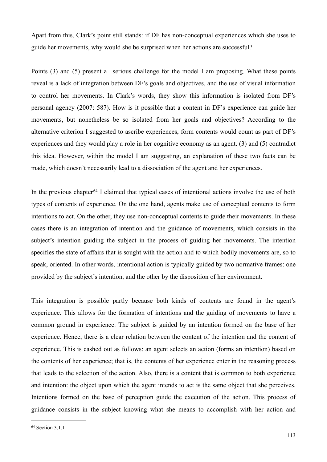Apart from this, Clark's point still stands: if DF has non-conceptual experiences which she uses to guide her movements, why would she be surprised when her actions are successful?

Points (3) and (5) present a serious challenge for the model I am proposing. What these points reveal is a lack of integration between DF's goals and objectives, and the use of visual information to control her movements. In Clark's words, they show this information is isolated from DF's personal agency (2007: 587). How is it possible that a content in DF's experience can guide her movements, but nonetheless be so isolated from her goals and objectives? According to the alternative criterion I suggested to ascribe experiences, form contents would count as part of DF's experiences and they would play a role in her cognitive economy as an agent. (3) and (5) contradict this idea. However, within the model I am suggesting, an explanation of these two facts can be made, which doesn't necessarily lead to a dissociation of the agent and her experiences.

In the previous chapter<sup>64</sup> I claimed that typical cases of intentional actions involve the use of both types of contents of experience. On the one hand, agents make use of conceptual contents to form intentions to act. On the other, they use non-conceptual contents to guide their movements. In these cases there is an integration of intention and the guidance of movements, which consists in the subject's intention guiding the subject in the process of guiding her movements. The intention specifies the state of affairs that is sought with the action and to which bodily movements are, so to speak, oriented. In other words, intentional action is typically guided by two normative frames: one provided by the subject's intention, and the other by the disposition of her environment.

This integration is possible partly because both kinds of contents are found in the agent's experience. This allows for the formation of intentions and the guiding of movements to have a common ground in experience. The subject is guided by an intention formed on the base of her experience. Hence, there is a clear relation between the content of the intention and the content of experience. This is cashed out as follows: an agent selects an action (forms an intention) based on the contents of her experience; that is, the contents of her experience enter in the reasoning process that leads to the selection of the action. Also, there is a content that is common to both experience and intention: the object upon which the agent intends to act is the same object that she perceives. Intentions formed on the base of perception guide the execution of the action. This process of guidance consists in the subject knowing what she means to accomplish with her action and

<span id="page-112-0"></span><sup>64</sup> Section 3.1.1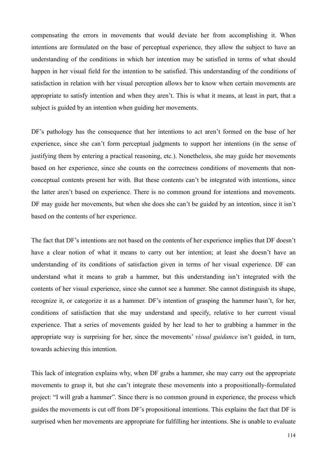compensating the errors in movements that would deviate her from accomplishing it. When intentions are formulated on the base of perceptual experience, they allow the subject to have an understanding of the conditions in which her intention may be satisfied in terms of what should happen in her visual field for the intention to be satisfied. This understanding of the conditions of satisfaction in relation with her visual perception allows her to know when certain movements are appropriate to satisfy intention and when they aren't. This is what it means, at least in part, that a subject is guided by an intention when guiding her movements.

DF's pathology has the consequence that her intentions to act aren't formed on the base of her experience, since she can't form perceptual judgments to support her intentions (in the sense of justifying them by entering a practical reasoning, etc.). Nonetheless, she may guide her movements based on her experience, since she counts on the correctness conditions of movements that nonconceptual contents present her with. But these contents can't be integrated with intentions, since the latter aren't based on experience. There is no common ground for intentions and movements. DF may guide her movements, but when she does she can't be guided by an intention, since it isn't based on the contents of her experience.

The fact that DF's intentions are not based on the contents of her experience implies that DF doesn't have a clear notion of what it means to carry out her intention; at least she doesn't have an understanding of its conditions of satisfaction given in terms of her visual experience. DF can understand what it means to grab a hammer, but this understanding isn't integrated with the contents of her visual experience, since she cannot see a hammer. She cannot distinguish its shape, recognize it, or categorize it as a hammer. DF's intention of grasping the hammer hasn't, for her, conditions of satisfaction that she may understand and specify, relative to her current visual experience. That a series of movements guided by her lead to her to grabbing a hammer in the appropriate way is surprising for her, since the movements' *visual guidance* isn't guided, in turn, towards achieving this intention.

This lack of integration explains why, when DF grabs a hammer, she may carry out the appropriate movements to grasp it, but she can't integrate these movements into a propositionally-formulated project: "I will grab a hammer". Since there is no common ground in experience, the process which guides the movements is cut off from DF's propositional intentions. This explains the fact that DF is surprised when her movements are appropriate for fulfilling her intentions. She is unable to evaluate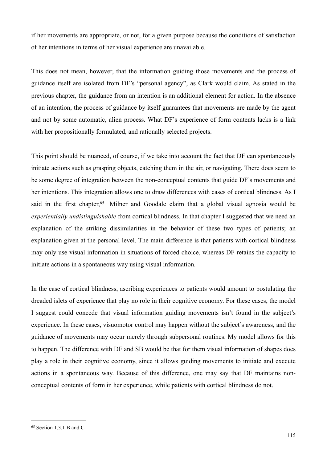if her movements are appropriate, or not, for a given purpose because the conditions of satisfaction of her intentions in terms of her visual experience are unavailable.

This does not mean, however, that the information guiding those movements and the process of guidance itself are isolated from DF's "personal agency", as Clark would claim. As stated in the previous chapter, the guidance from an intention is an additional element for action. In the absence of an intention, the process of guidance by itself guarantees that movements are made by the agent and not by some automatic, alien process. What DF's experience of form contents lacks is a link with her propositionally formulated, and rationally selected projects.

This point should be nuanced, of course, if we take into account the fact that DF can spontaneously initiate actions such as grasping objects, catching them in the air, or navigating. There does seem to be some degree of integration between the non-conceptual contents that guide DF's movements and her intentions. This integration allows one to draw differences with cases of cortical blindness. As I said in the first chapter,<sup>65</sup> Milner and Goodale claim that a global visual agnosia would be *experientially undistinguishable* from cortical blindness. In that chapter I suggested that we need an explanation of the striking dissimilarities in the behavior of these two types of patients; an explanation given at the personal level. The main difference is that patients with cortical blindness may only use visual information in situations of forced choice, whereas DF retains the capacity to initiate actions in a spontaneous way using visual information.

In the case of cortical blindness, ascribing experiences to patients would amount to postulating the dreaded islets of experience that play no role in their cognitive economy. For these cases, the model I suggest could concede that visual information guiding movements isn't found in the subject's experience. In these cases, visuomotor control may happen without the subject's awareness, and the guidance of movements may occur merely through subpersonal routines. My model allows for this to happen. The difference with DF and SB would be that for them visual information of shapes does play a role in their cognitive economy, since it allows guiding movements to initiate and execute actions in a spontaneous way. Because of this difference, one may say that DF maintains nonconceptual contents of form in her experience, while patients with cortical blindness do not.

<span id="page-114-0"></span><sup>65</sup> Section 1.3.1 B and C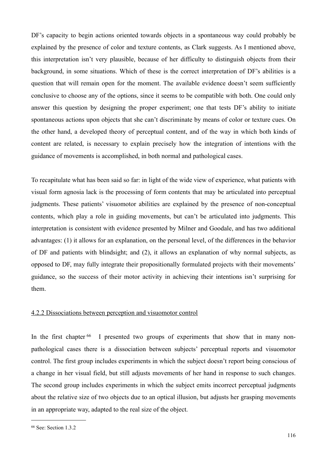DF's capacity to begin actions oriented towards objects in a spontaneous way could probably be explained by the presence of color and texture contents, as Clark suggests. As I mentioned above, this interpretation isn't very plausible, because of her difficulty to distinguish objects from their background, in some situations. Which of these is the correct interpretation of DF's abilities is a question that will remain open for the moment. The available evidence doesn't seem sufficiently conclusive to choose any of the options, since it seems to be compatible with both. One could only answer this question by designing the proper experiment; one that tests DF's ability to initiate spontaneous actions upon objects that she can't discriminate by means of color or texture cues. On the other hand, a developed theory of perceptual content, and of the way in which both kinds of content are related, is necessary to explain precisely how the integration of intentions with the guidance of movements is accomplished, in both normal and pathological cases.

To recapitulate what has been said so far: in light of the wide view of experience, what patients with visual form agnosia lack is the processing of form contents that may be articulated into perceptual judgments. These patients' visuomotor abilities are explained by the presence of non-conceptual contents, which play a role in guiding movements, but can't be articulated into judgments. This interpretation is consistent with evidence presented by Milner and Goodale, and has two additional advantages: (1) it allows for an explanation, on the personal level, of the differences in the behavior of DF and patients with blindsight; and (2), it allows an explanation of why normal subjects, as opposed to DF, may fully integrate their propositionally formulated projects with their movements' guidance, so the success of their motor activity in achieving their intentions isn't surprising for them.

## 4.2.2 Dissociations between perception and visuomotor control

In the first chapter <sup>66</sup> I presented two groups of experiments that show that in many nonpathological cases there is a dissociation between subjects' perceptual reports and visuomotor control. The first group includes experiments in which the subject doesn't report being conscious of a change in her visual field, but still adjusts movements of her hand in response to such changes. The second group includes experiments in which the subject emits incorrect perceptual judgments about the relative size of two objects due to an optical illusion, but adjusts her grasping movements in an appropriate way, adapted to the real size of the object.

<span id="page-115-0"></span><sup>66</sup> See: Section 1.3.2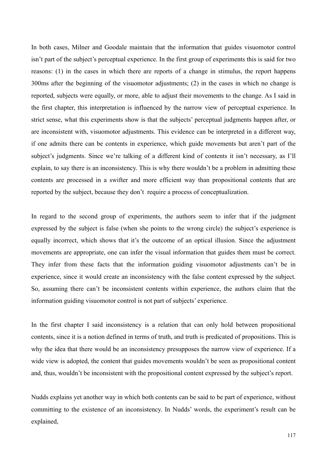In both cases, Milner and Goodale maintain that the information that guides visuomotor control isn't part of the subject's perceptual experience. In the first group of experiments this is said for two reasons: (1) in the cases in which there are reports of a change in stimulus, the report happens 300ms after the beginning of the visuomotor adjustments; (2) in the cases in which no change is reported, subjects were equally, or more, able to adjust their movements to the change. As I said in the first chapter, this interpretation is influenced by the narrow view of perceptual experience. In strict sense, what this experiments show is that the subjects' perceptual judgments happen after, or are inconsistent with, visuomotor adjustments. This evidence can be interpreted in a different way, if one admits there can be contents in experience, which guide movements but aren't part of the subject's judgments. Since we're talking of a different kind of contents it isn't necessary, as I'll explain, to say there is an inconsistency. This is why there wouldn't be a problem in admitting these contents are processed in a swifter and more efficient way than propositional contents that are reported by the subject, because they don't require a process of conceptualization.

In regard to the second group of experiments, the authors seem to infer that if the judgment expressed by the subject is false (when she points to the wrong circle) the subject's experience is equally incorrect, which shows that it's the outcome of an optical illusion. Since the adjustment movements are appropriate, one can infer the visual information that guides them must be correct. They infer from these facts that the information guiding visuomotor adjustments can't be in experience, since it would create an inconsistency with the false content expressed by the subject. So, assuming there can't be inconsistent contents within experience, the authors claim that the information guiding visuomotor control is not part of subjects' experience.

In the first chapter I said inconsistency is a relation that can only hold between propositional contents, since it is a notion defined in terms of truth, and truth is predicated of propositions. This is why the idea that there would be an inconsistency presupposes the narrow view of experience. If a wide view is adopted, the content that guides movements wouldn't be seen as propositional content and, thus, wouldn't be inconsistent with the propositional content expressed by the subject's report.

Nudds explains yet another way in which both contents can be said to be part of experience, without committing to the existence of an inconsistency. In Nudds' words, the experiment's result can be explained,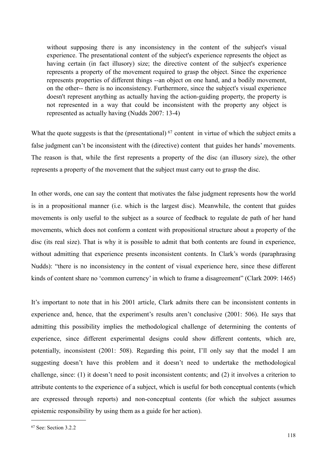without supposing there is any inconsistency in the content of the subject's visual experience. The presentational content of the subject's experience represents the object as having certain (in fact illusory) size; the directive content of the subject's experience represents a property of the movement required to grasp the object. Since the experience represents properties of different things --an object on one hand, and a bodily movement, on the other-- there is no inconsistency. Furthermore, since the subject's visual experience doesn't represent anything as actually having the action-guiding property, the property is not represented in a way that could be inconsistent with the property any object is represented as actually having (Nudds 2007: 13-4)

What the quote suggests is that the (presentational)  $^{67}$  content in virtue of which the subject emits a false judgment can't be inconsistent with the (directive) content that guides her hands' movements. The reason is that, while the first represents a property of the disc (an illusory size), the other represents a property of the movement that the subject must carry out to grasp the disc.

In other words, one can say the content that motivates the false judgment represents how the world is in a propositional manner (i.e. which is the largest disc). Meanwhile, the content that guides movements is only useful to the subject as a source of feedback to regulate de path of her hand movements, which does not conform a content with propositional structure about a property of the disc (its real size). That is why it is possible to admit that both contents are found in experience, without admitting that experience presents inconsistent contents. In Clark's words (paraphrasing Nudds): "there is no inconsistency in the content of visual experience here, since these different kinds of content share no 'common currency' in which to frame a disagreement" (Clark 2009: 1465)

It's important to note that in his 2001 article, Clark admits there can be inconsistent contents in experience and, hence, that the experiment's results aren't conclusive (2001: 506). He says that admitting this possibility implies the methodological challenge of determining the contents of experience, since different experimental designs could show different contents, which are, potentially, inconsistent (2001: 508). Regarding this point, I'll only say that the model I am suggesting doesn't have this problem and it doesn't need to undertake the methodological challenge, since: (1) it doesn't need to posit inconsistent contents; and (2) it involves a criterion to attribute contents to the experience of a subject, which is useful for both conceptual contents (which are expressed through reports) and non-conceptual contents (for which the subject assumes epistemic responsibility by using them as a guide for her action).

<span id="page-117-0"></span><sup>67</sup> See: Section 3.2.2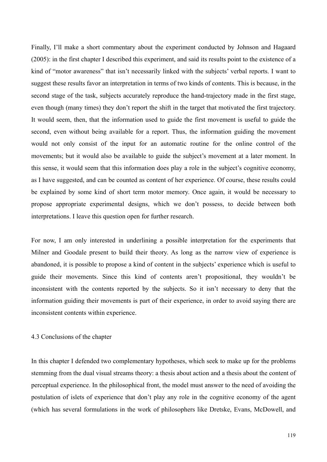Finally, I'll make a short commentary about the experiment conducted by Johnson and Hagaard (2005): in the first chapter I described this experiment, and said its results point to the existence of a kind of "motor awareness" that isn't necessarily linked with the subjects' verbal reports. I want to suggest these results favor an interpretation in terms of two kinds of contents. This is because, in the second stage of the task, subjects accurately reproduce the hand-trajectory made in the first stage, even though (many times) they don't report the shift in the target that motivated the first trajectory. It would seem, then, that the information used to guide the first movement is useful to guide the second, even without being available for a report. Thus, the information guiding the movement would not only consist of the input for an automatic routine for the online control of the movements; but it would also be available to guide the subject's movement at a later moment. In this sense, it would seem that this information does play a role in the subject's cognitive economy, as I have suggested, and can be counted as content of her experience. Of course, these results could be explained by some kind of short term motor memory. Once again, it would be necessary to propose appropriate experimental designs, which we don't possess, to decide between both interpretations. I leave this question open for further research.

For now, I am only interested in underlining a possible interpretation for the experiments that Milner and Goodale present to build their theory. As long as the narrow view of experience is abandoned, it is possible to propose a kind of content in the subjects' experience which is useful to guide their movements. Since this kind of contents aren't propositional, they wouldn't be inconsistent with the contents reported by the subjects. So it isn't necessary to deny that the information guiding their movements is part of their experience, in order to avoid saying there are inconsistent contents within experience.

#### 4.3 Conclusions of the chapter

In this chapter I defended two complementary hypotheses, which seek to make up for the problems stemming from the dual visual streams theory: a thesis about action and a thesis about the content of perceptual experience. In the philosophical front, the model must answer to the need of avoiding the postulation of islets of experience that don't play any role in the cognitive economy of the agent (which has several formulations in the work of philosophers like Dretske, Evans, McDowell, and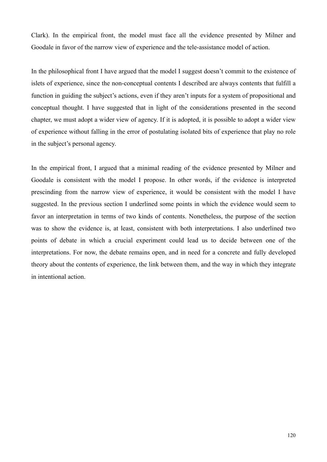Clark). In the empirical front, the model must face all the evidence presented by Milner and Goodale in favor of the narrow view of experience and the tele-assistance model of action.

In the philosophical front I have argued that the model I suggest doesn't commit to the existence of islets of experience, since the non-conceptual contents I described are always contents that fulfill a function in guiding the subject's actions, even if they aren't inputs for a system of propositional and conceptual thought. I have suggested that in light of the considerations presented in the second chapter, we must adopt a wider view of agency. If it is adopted, it is possible to adopt a wider view of experience without falling in the error of postulating isolated bits of experience that play no role in the subject's personal agency.

In the empirical front, I argued that a minimal reading of the evidence presented by Milner and Goodale is consistent with the model I propose. In other words, if the evidence is interpreted prescinding from the narrow view of experience, it would be consistent with the model I have suggested. In the previous section I underlined some points in which the evidence would seem to favor an interpretation in terms of two kinds of contents. Nonetheless, the purpose of the section was to show the evidence is, at least, consistent with both interpretations. I also underlined two points of debate in which a crucial experiment could lead us to decide between one of the interpretations. For now, the debate remains open, and in need for a concrete and fully developed theory about the contents of experience, the link between them, and the way in which they integrate in intentional action.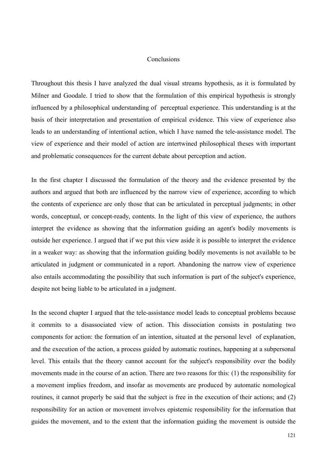# Conclusions

Throughout this thesis I have analyzed the dual visual streams hypothesis, as it is formulated by Milner and Goodale. I tried to show that the formulation of this empirical hypothesis is strongly influenced by a philosophical understanding of perceptual experience. This understanding is at the basis of their interpretation and presentation of empirical evidence. This view of experience also leads to an understanding of intentional action, which I have named the tele-assistance model. The view of experience and their model of action are intertwined philosophical theses with important and problematic consequences for the current debate about perception and action.

In the first chapter I discussed the formulation of the theory and the evidence presented by the authors and argued that both are influenced by the narrow view of experience, according to which the contents of experience are only those that can be articulated in perceptual judgments; in other words, conceptual, or concept-ready, contents. In the light of this view of experience, the authors interpret the evidence as showing that the information guiding an agent's bodily movements is outside her experience. I argued that if we put this view aside it is possible to interpret the evidence in a weaker way: as showing that the information guiding bodily movements is not available to be articulated in judgment or communicated in a report. Abandoning the narrow view of experience also entails accommodating the possibility that such information is part of the subject's experience, despite not being liable to be articulated in a judgment.

In the second chapter I argued that the tele-assistance model leads to conceptual problems because it commits to a disassociated view of action. This dissociation consists in postulating two components for action: the formation of an intention, situated at the personal level of explanation, and the execution of the action, a process guided by automatic routines, happening at a subpersonal level. This entails that the theory cannot account for the subject's responsibility over the bodily movements made in the course of an action. There are two reasons for this: (1) the responsibility for a movement implies freedom, and insofar as movements are produced by automatic nomological routines, it cannot properly be said that the subject is free in the execution of their actions; and (2) responsibility for an action or movement involves epistemic responsibility for the information that guides the movement, and to the extent that the information guiding the movement is outside the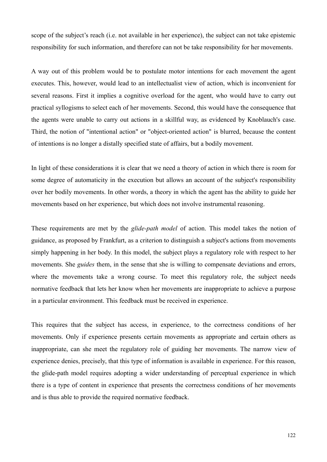scope of the subject's reach (i.e. not available in her experience), the subject can not take epistemic responsibility for such information, and therefore can not be take responsibility for her movements.

A way out of this problem would be to postulate motor intentions for each movement the agent executes. This, however, would lead to an intellectualist view of action, which is inconvenient for several reasons. First it implies a cognitive overload for the agent, who would have to carry out practical syllogisms to select each of her movements. Second, this would have the consequence that the agents were unable to carry out actions in a skillful way, as evidenced by Knoblauch's case. Third, the notion of "intentional action" or "object-oriented action" is blurred, because the content of intentions is no longer a distally specified state of affairs, but a bodily movement.

In light of these considerations it is clear that we need a theory of action in which there is room for some degree of automaticity in the execution but allows an account of the subject's responsibility over her bodily movements. In other words, a theory in which the agent has the ability to guide her movements based on her experience, but which does not involve instrumental reasoning.

These requirements are met by the *glide-path model* of action. This model takes the notion of guidance, as proposed by Frankfurt, as a criterion to distinguish a subject's actions from movements simply happening in her body. In this model, the subject plays a regulatory role with respect to her movements. She *guides* them, in the sense that she is willing to compensate deviations and errors, where the movements take a wrong course. To meet this regulatory role, the subject needs normative feedback that lets her know when her movements are inappropriate to achieve a purpose in a particular environment. This feedback must be received in experience.

This requires that the subject has access, in experience, to the correctness conditions of her movements. Only if experience presents certain movements as appropriate and certain others as inappropriate, can she meet the regulatory role of guiding her movements. The narrow view of experience denies, precisely, that this type of information is available in experience. For this reason, the glide-path model requires adopting a wider understanding of perceptual experience in which there is a type of content in experience that presents the correctness conditions of her movements and is thus able to provide the required normative feedback.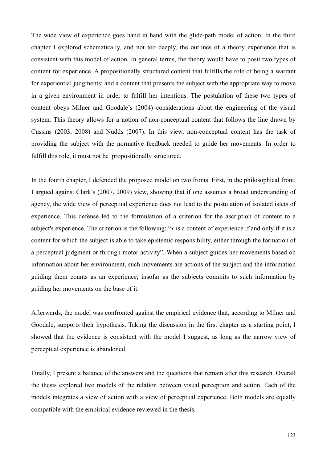The wide view of experience goes hand in hand with the glide-path model of action. In the third chapter I explored schematically, and not too deeply, the outlines of a theory experience that is consistent with this model of action. In general terms, the theory would have to posit two types of content for experience. A propositionally structured content that fulfills the role of being a warrant for experiential judgments; and a content that presents the subject with the appropriate way to move in a given environment in order to fulfill her intentions. The postulation of these two types of content obeys Milner and Goodale's (2004) considerations about the engineering of the visual system. This theory allows for a notion of non-conceptual content that follows the line drawn by Cussins (2003, 2008) and Nudds (2007). In this view, non-conceptual content has the task of providing the subject with the normative feedback needed to guide her movements. In order to fulfill this role, it must not be propositionally structured.

In the fourth chapter, I defended the proposed model on two fronts. First, in the philosophical front, I argued against Clark's (2007, 2009) view, showing that if one assumes a broad understanding of agency, the wide view of perceptual experience does not lead to the postulation of isolated islets of experience. This defense led to the formulation of a criterion for the ascription of content to a subject's experience. The criterion is the following: "*x* is a content of experience if and only if it is a content for which the subject is able to take epistemic responsibility, either through the formation of a perceptual judgment or through motor activity". When a subject guides her movements based on information about her environment, such movements are actions of the subject and the information guiding them counts as an experience, insofar as the subjects commits to such information by guiding her movements on the base of it.

Afterwards, the model was confronted against the empirical evidence that, according to Milner and Goodale, supports their hypothesis. Taking the discussion in the first chapter as a starting point, I showed that the evidence is consistent with the model I suggest, as long as the narrow view of perceptual experience is abandoned.

Finally, I present a balance of the answers and the questions that remain after this research. Overall the thesis explored two models of the relation between visual perception and action. Each of the models integrates a view of action with a view of perceptual experience. Both models are equally compatible with the empirical evidence reviewed in the thesis.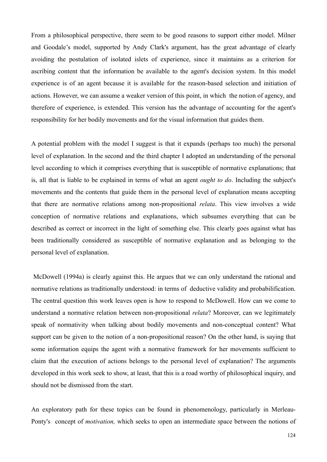From a philosophical perspective, there seem to be good reasons to support either model. Milner and Goodale's model, supported by Andy Clark's argument, has the great advantage of clearly avoiding the postulation of isolated islets of experience, since it maintains as a criterion for ascribing content that the information be available to the agent's decision system. In this model experience is of an agent because it is available for the reason-based selection and initiation of actions. However, we can assume a weaker version of this point, in which the notion of agency, and therefore of experience, is extended. This version has the advantage of accounting for the agent's responsibility for her bodily movements and for the visual information that guides them.

A potential problem with the model I suggest is that it expands (perhaps too much) the personal level of explanation. In the second and the third chapter I adopted an understanding of the personal level according to which it comprises everything that is susceptible of normative explanations; that is, all that is liable to be explained in terms of what an agent *ought to do*. Including the subject's movements and the contents that guide them in the personal level of explanation means accepting that there are normative relations among non-propositional *relata*. This view involves a wide conception of normative relations and explanations, which subsumes everything that can be described as correct or incorrect in the light of something else. This clearly goes against what has been traditionally considered as susceptible of normative explanation and as belonging to the personal level of explanation.

 McDowell (1994a) is clearly against this. He argues that we can only understand the rational and normative relations as traditionally understood: in terms of deductive validity and probabilification. The central question this work leaves open is how to respond to McDowell. How can we come to understand a normative relation between non-propositional *relata*? Moreover, can we legitimately speak of normativity when talking about bodily movements and non-conceptual content? What support can be given to the notion of a non-propositional reason? On the other hand, is saying that some information equips the agent with a normative framework for her movements sufficient to claim that the execution of actions belongs to the personal level of explanation? The arguments developed in this work seek to show, at least, that this is a road worthy of philosophical inquiry, and should not be dismissed from the start.

An exploratory path for these topics can be found in phenomenology, particularly in Merleau-Ponty's concept of *motivation,* which seeks to open an intermediate space between the notions of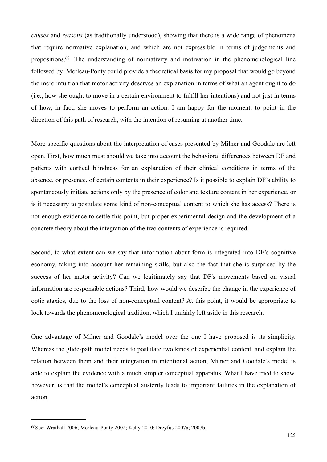*causes* and *reasons* (as traditionally understood), showing that there is a wide range of phenomena that require normative explanation, and which are not expressible in terms of judgements and propositions[.68](#page-124-0) The understanding of normativity and motivation in the phenomenological line followed by Merleau-Ponty could provide a theoretical basis for my proposal that would go beyond the mere intuition that motor activity deserves an explanation in terms of what an agent ought to do (i.e., how she ought to move in a certain environment to fulfill her intentions) and not just in terms of how, in fact, she moves to perform an action. I am happy for the moment, to point in the direction of this path of research, with the intention of resuming at another time.

More specific questions about the interpretation of cases presented by Milner and Goodale are left open. First, how much must should we take into account the behavioral differences between DF and patients with cortical blindness for an explanation of their clinical conditions in terms of the absence, or presence, of certain contents in their experience? Is it possible to explain DF's ability to spontaneously initiate actions only by the presence of color and texture content in her experience, or is it necessary to postulate some kind of non-conceptual content to which she has access? There is not enough evidence to settle this point, but proper experimental design and the development of a concrete theory about the integration of the two contents of experience is required.

Second, to what extent can we say that information about form is integrated into DF's cognitive economy, taking into account her remaining skills, but also the fact that she is surprised by the success of her motor activity? Can we legitimately say that DF's movements based on visual information are responsible actions? Third, how would we describe the change in the experience of optic ataxics, due to the loss of non-conceptual content? At this point, it would be appropriate to look towards the phenomenological tradition, which I unfairly left aside in this research.

One advantage of Milner and Goodale's model over the one I have proposed is its simplicity. Whereas the glide-path model needs to postulate two kinds of experiential content, and explain the relation between them and their integration in intentional action, Milner and Goodale's model is able to explain the evidence with a much simpler conceptual apparatus. What I have tried to show, however, is that the model's conceptual austerity leads to important failures in the explanation of action.

<span id="page-124-0"></span><sup>68</sup>See: Wrathall 2006; Merleau-Ponty 2002; Kelly 2010; Dreyfus 2007a; 2007b.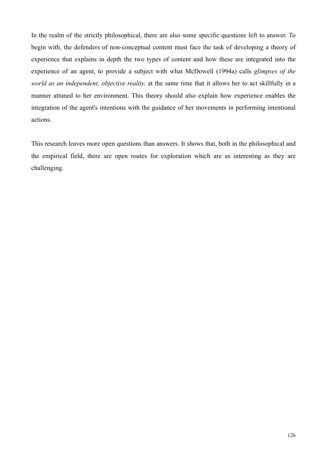In the realm of the strictly philosophical, there are also some specific questions left to answer. To begin with, the defenders of non-conceptual content must face the task of developing a theory of experience that explains in depth the two types of content and how these are integrated into the experience of an agent, to provide a subject with what McDowell (1994a) calls *glimpses of the world as an independent, objective reality,* at the same time that it allows her to act skillfully in a manner attuned to her environment. This theory should also explain how experience enables the integration of the agent's intentions with the guidance of her movements in performing intentional actions.

This research leaves more open questions than answers. It shows that, both in the philosophical and the empirical field, there are open routes for exploration which are as interesting as they are challenging.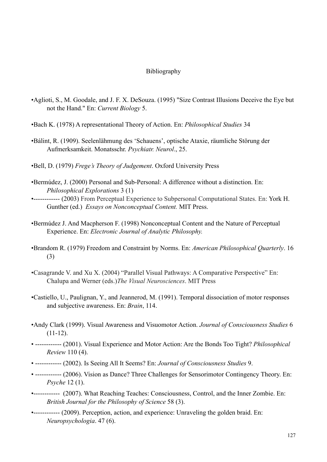## Bibliography

- •Aglioti, S., M. Goodale, and J. F. X. DeSouza. (1995) "Size Contrast Illusions Deceive the Eye but not the Hand." En: *Current Biology* 5.
- •Bach K. (1978) A representational Theory of Action. En: *Philosophical Studies* 34
- •Bálint, R. (1909). Seelenlähmung des 'Schauens', optische Ataxie, räumliche Störung der Aufmerksamkeit. Monatsschr. *Psychiatr. Neurol*., 25.
- •Bell, D. (1979) *Frege's Theory of Judgement*. Oxford University Press
- •Bermúdez, J. (2000) Personal and Sub-Personal: A difference without a distinction. En: *Philosophical Explorations* 3 (1)
- •------------ (2003) From Perceptual Experience to Subpersonal Computational States. En: [York H.](http://philpapers.org/autosense.pl?searchStr=York%20H.%20Gunther)  [Gunther](http://philpapers.org/autosense.pl?searchStr=York%20H.%20Gunther) (ed.) *[Essays on Nonconceptual Content.](http://books.google.com/books?id=hF2v2zY7RrEC&printsec=front_cover)* MIT Press.
- •Bermúdez J. And Macpherson F. (1998) Nonconceptual Content and the Nature of Perceptual Experience. En: *Electronic Journal of Analytic Philosophy.*
- •Brandom R. (1979) Freedom and Constraint by Norms. En: *American Philosophical Quarterly*. 16 (3)
- •Casagrande V. and Xu X. (2004) "Parallel Visual Pathways: A Comparative Perspective" En: Chalupa and Werner (eds.)*The Visual Neurosciences*. MIT Press
- •Castiello, U., Paulignan, Y., and Jeannerod, M. (1991). Temporal dissociation of motor responses and subjective awareness. En: *Brain*, 114.
- [•Andy Clark](http://philpapers.org/autosense.pl?searchStr=Andy%20Clark) (1999). [Visual Awareness and Visuomotor Action.](http://www.cogs.indiana.edu/andy/VisAwareVisAction.pdf) *Journal of Consciousness Studies* 6  $(11-12)$ .
- ------------ (2001). [Visual Experience and Motor Action: Are the Bonds Too Tight?](http://www.cogs.indiana.edu/andy/eafinal.pdf) *Philosophical Review* 110 (4).
- ------------ (2002). [Is Seeing All It Seems?](http://www.ingentaconnect.com/content/imp/jcs/2002/00000009/F0020005/1276) En: *Journal of Consciousness Studies* 9.
- ------------ (2006). [Vision as Dance? Three Challenges for Sensorimotor Contingency Theory.](http://psyche.cs.monash.edu.au/symposia/noe/Clark.pdf) En: *Psyche* 12 (1).
- •------------ (2007). [What Reaching Teaches: Consciousness, Control, and the Inner Zombie.](http://bjps.oxfordjournals.org/cgi/reprint/58/3/563) En: *British Journal for the Philosophy of Science* 58 (3).
- •------------ (2009). Perception, action, and experience: Unraveling the golden braid. En: *Neuropsychologia*. 47 (6).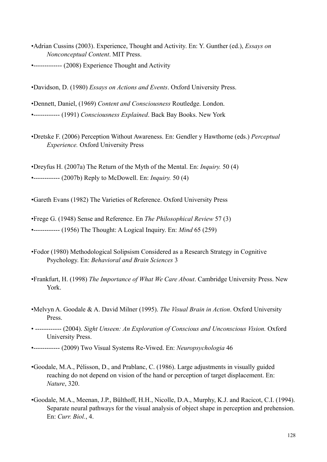[•Adrian Cussins](http://philpapers.org/autosense.pl?searchStr=Adrian%20Cussins) (2003). [Experience, Thought and Activity.](http://www.haecceia.com/FILES/york.htm) En: Y. Gunther (ed.), *Essays on Nonconceptual Content*. MIT Press.

•------------- (2008) Experience Thought and Activity

•Davidson, D. (1980) *Essays on Actions and Events*. Oxford University Press.

•Dennett, Daniel, (1969) *Content and Consciousness* Routledge. London.

•------------ (1991) *Consciousness Explained*. Back Bay Books. New York

•Dretske F. (2006) Perception Without Awareness. En: Gendler y Hawthorne (eds.) *Perceptual Experience.* Oxford University Press

•Dreyfus H. (2007a) The Return of the Myth of the Mental. En: *Inquiry.* 50 (4) •------------ (2007b) Reply to McDowell. En: *Inquiry.* 50 (4)

•Gareth Evans (1982) The Varieties of Reference. Oxford University Press

•Frege G. (1948) Sense and Reference. En *The Philosophical Review* 57 (3) •------------ (1956) The Thought: A Logical Inquiry. En: *Mind* 65 (259)

- •Fodor (1980) Methodological Solipsism Considered as a Research Strategy in Cognitive Psychology. En: *Behavioral and Brain Sciences* 3
- •Frankfurt, H. (1998) *The Importance of What We Care About*. Cambridge University Press. New York.
- [•Melvyn A. Goodale](http://philpapers.org/autosense.pl?searchStr=Melvyn%20A.%20Goodale) & [A. David Milner](http://philpapers.org/autosense.pl?searchStr=A.%20David%20Milner) (1995). *[The Visual Brain in Action](http://books.google.com/books?id=K0lxgVJvffYC&printsec=front_cover)*. Oxford University Press.
- ------------ (2004). *[Sight Unseen: An Exploration of Conscious and Unconscious Vision.](http://www.nursinglibrary.org/Portal/main.aspx?pageid=36&sku=23196&ProductPrice=59.5000)* Oxford University Press.
- •------------ (2009) Two Visual Systems Re-Viwed. En: *Neuropsychologia* 46
- •Goodale, M.A., Pélisson, D., and Prablanc, C. (1986). Large adjustments in visually guided reaching do not depend on vision of the hand or perception of target displacement. En: *Nature*, 320.
- •Goodale, M.A., Meenan, J.P., Bülthoff, H.H., Nicolle, D.A., Murphy, K.J. and Racicot, C.I. (1994). Separate neural pathways for the visual analysis of object shape in perception and prehension. En: *Curr. Biol.*, 4.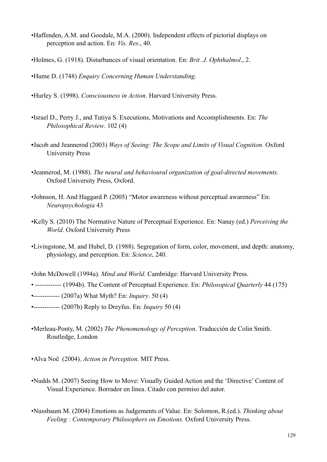- •Haffenden, A.M. and Goodale, M.A. (2000). Independent effects of pictorial displays on perception and action. En: *Vis. Res*., 40.
- •Holmes, G. (1918). Disturbances of visual orientation. En: *Brit. J. Ophthalmol*., 2.

•Hume D. (1748) *Enquiry Concerning Human Understanding*.

- •Hurley S. (1998). *[Consciousness in Action](http://mentalhelp.net/books/books.php?type=de&id=1298)*. Harvard University Press.
- •Israel D., Perry J., and Tutiya S. Executions, Motivations and Accomplishments. En: *The Philosophical Review*. 102 (4)
- **•**Jacob and Jeannerod (2003) *Ways of Seeing: The Scope and Limits of Visual Cognition.* Oxford University Press
- •Jeannerod, M. (1988). *The neural and behavioural organization of goal-directed movements.* Oxford University Press, Oxford.
- •Johnson, H. And Haggard P. (2005) "Motor awareness without perceptual awareness" En: *Neuropsychologia* 43
- •Kelly S. (2010) The Normative Nature of Perceptual Experience. En: Nanay (ed.) *Perceiving the World.* Oxford University Press
- •Livingstone, M. and Hubel, D. (1988). Segregation of form, color, movement, and depth: anatomy, physiology, and perception. En: *Science*, 240.
- [•John McDowell](http://philpapers.org/autosense.pl?searchStr=John%20McDowell) (1994a). *[Mind and World.](http://books.google.com/books?hl=en&lr=&id=O4m7VtNHjY0C&oi=fnd&pg=PR7&dq=Mind+and+World+McDowell&ots=--fX_cc5eN&sig=kOosnqzWPsjntlcKCnbos86I2ig)* Cambridge: Harvard University Press.
- ------------ (1994b). [The Content of Perceptual Experience.](http://links.jstor.org/sici?sici=0031-8094%28199404%2944:175%3C190:TCOPE%3E2.0.CO;2-I) En: *Philosopical Quarterly* 44 (175)
- •------------ (2007a) What Myth? En: *Inquiry*. 50 (4)
- •------------ (2007b) Reply to Dreyfus. En: *Inquiry* 50 (4)
- •Merleau-Ponty, M. (2002) *The Phenomenology of Perception*. Traducción de Colin Smith. Routledge, London
- [•Alva Noë](http://philpapers.org/autosense.pl?searchStr=Alva%20No%C3%AB) (2004). *[Action in Perception.](http://mitpress.mit.edu/item.asp?ttype=2&tid=10257&mlid=382)* MIT Press.
- •Nudds M. (2007) Seeing How to Move: Visually Guided Action and the 'Directive' Content of Visual Experience. Borrador en línea. Citado con permiso del autor.
- •Nussbaum M. (2004) Emotions as Judgements of Value. En: Solomon, R.(ed.). *Thinking about Feeling : Contemporary Philosophers on Emotions.* Oxford University Press.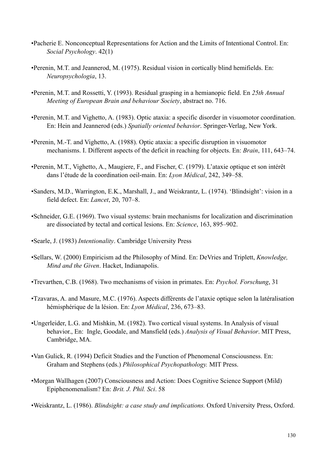- •Pacherie E. Nonconceptual Representations for Action and the Limits of Intentional Control. En: *Social Psychology*. 42(1)
- •Perenin, M.T. and Jeannerod, M. (1975). Residual vision in cortically blind hemifields. En: *Neuropsychologia*, 13.
- •Perenin, M.T. and Rossetti, Y. (1993). Residual grasping in a hemianopic field. En *25th Annual Meeting of European Brain and behaviour Society*, abstract no. 716.
- •Perenin, M.T. and Vighetto, A. (1983). Optic ataxia: a specific disorder in visuomotor coordination. En: Hein and Jeannerod (eds.) *Spatially oriented behavior*. Springer-Verlag, New York.
- •Perenin, M.-T. and Vighetto, A. (1988). Optic ataxia: a specific disruption in visuomotor mechanisms. I. Different aspects of the deficit in reaching for objects. En: *Brain*, 111, 643–74.
- •Perenin, M.T., Vighetto, A., Maugiere, F., and Fischer, C. (1979). L'ataxie optique et son intérêt dans l'étude de la coordination oeil-main. En: *Lyon Médical*, 242, 349–58.
- •Sanders, M.D., Warrington, E.K., Marshall, J., and Weiskrantz, L. (1974). 'Blindsight': vision in a field defect. En: *Lancet*, 20, 707–8.
- •Schneider, G.E. (1969). Two visual systems: brain mechanisms for localization and discrimination are dissociated by tectal and cortical lesions. En: *Science*, 163, 895–902.
- •Searle, J. (1983) *Intentionality*. Cambridge University Press
- •Sellars, W. (2000) Empiricism ad the Philosophy of Mind. En: DeVries and Triplett, *Knowledge, Mind and the Given*. Hacket, Indianapolis.
- •Trevarthen, C.B. (1968). Two mechanisms of vision in primates. En: *Psychol. Forschung*, 31
- •Tzavaras, A. and Masure, M.C. (1976). Aspects différents de l'ataxie optique selon la latéralisation hémisphérique de la lésion. En: *Lyon Médical*, 236, 673–83.
- •Ungerleider, L.G. and Mishkin, M. (1982). Two cortical visual systems. In Analysis of visual behavior., En: Ingle, Goodale, and Mansfield (eds.) *Analysis of Visual Behavior*. MIT Press, Cambridge, MA.
- •Van Gulick, R. (1994) Deficit Studies and the Function of Phenomenal Consciousness. En: Graham and Stephens (eds.) *Philosophical Psychopathology.* MIT Press.
- •Morgan Wallhagen (2007) Consciousness and Action: Does Cognitive Science Support (Mild) Epiphenomenalism? En: *Brit. J. Phil. Sci*. 58

•Weiskrantz, L. (1986). *Blindsight: a case study and implications.* Oxford University Press, Oxford.